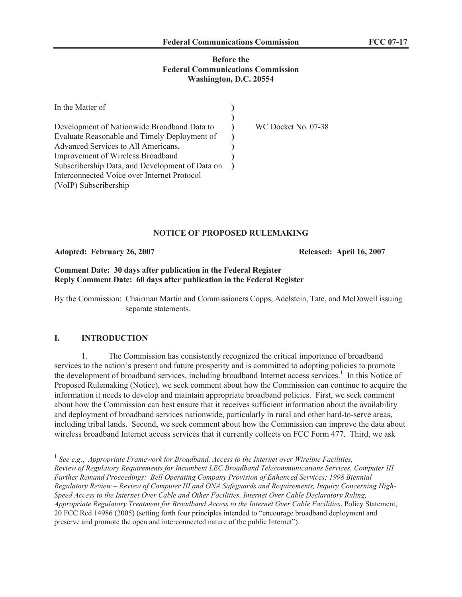#### **Before the Federal Communications Commission Washington, D.C. 20554**

| In the Matter of                                |                     |
|-------------------------------------------------|---------------------|
|                                                 |                     |
| Development of Nationwide Broadband Data to     | WC Docket No. 07-38 |
| Evaluate Reasonable and Timely Deployment of    |                     |
| Advanced Services to All Americans,             |                     |
| Improvement of Wireless Broadband               |                     |
| Subscribership Data, and Development of Data on |                     |
| Interconnected Voice over Internet Protocol     |                     |
| (VoIP) Subscribership                           |                     |

## **NOTICE OF PROPOSED RULEMAKING**

**Adopted: February 26, 2007 Released: April 16, 2007**

#### **Comment Date: 30 days after publication in the Federal Register Reply Comment Date: 60 days after publication in the Federal Register**

By the Commission: Chairman Martin and Commissioners Copps, Adelstein, Tate, and McDowell issuing separate statements.

# **I. INTRODUCTION**

1. The Commission has consistently recognized the critical importance of broadband services to the nation's present and future prosperity and is committed to adopting policies to promote the development of broadband services, including broadband Internet access services.<sup>1</sup> In this Notice of Proposed Rulemaking (Notice), we seek comment about how the Commission can continue to acquire the information it needs to develop and maintain appropriate broadband policies. First, we seek comment about how the Commission can best ensure that it receives sufficient information about the availability and deployment of broadband services nationwide, particularly in rural and other hard-to-serve areas, including tribal lands. Second, we seek comment about how the Commission can improve the data about wireless broadband Internet access services that it currently collects on FCC Form 477. Third, we ask

<sup>&</sup>lt;sup>1</sup> See e.g., Appropriate Framework for Broadband, Access to the Internet over Wireline Facilities, *Review of Regulatory Requirements for Incumbent LEC Broadband Telecommunications Services, Computer III Further Remand Proceedings: Bell Operating Company Provision of Enhanced Services; 1998 Biennial Regulatory Review – Review of Computer III and ONA Safeguards and Requirements, Inquiry Concerning High-Speed Access to the Internet Over Cable and Other Facilities, Internet Over Cable Declaratory Ruling, Appropriate Regulatory Treatment for Broadband Access to the Internet Over Cable Facilities*, Policy Statement, 20 FCC Rcd 14986 (2005) (setting forth four principles intended to "encourage broadband deployment and preserve and promote the open and interconnected nature of the public Internet").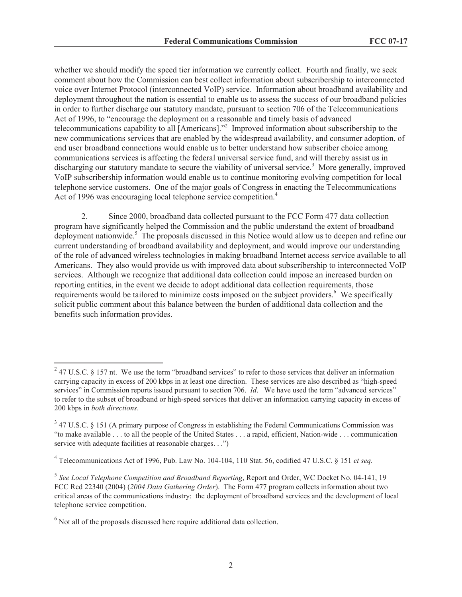whether we should modify the speed tier information we currently collect. Fourth and finally, we seek comment about how the Commission can best collect information about subscribership to interconnected voice over Internet Protocol (interconnected VoIP) service. Information about broadband availability and deployment throughout the nation is essential to enable us to assess the success of our broadband policies in order to further discharge our statutory mandate, pursuant to section 706 of the Telecommunications Act of 1996, to "encourage the deployment on a reasonable and timely basis of advanced telecommunications capability to all [Americans].<sup>32</sup> Improved information about subscribership to the new communications services that are enabled by the widespread availability, and consumer adoption, of end user broadband connections would enable us to better understand how subscriber choice among communications services is affecting the federal universal service fund, and will thereby assist us in discharging our statutory mandate to secure the viability of universal service.<sup>3</sup> More generally, improved VoIP subscribership information would enable us to continue monitoring evolving competition for local telephone service customers. One of the major goals of Congress in enacting the Telecommunications Act of 1996 was encouraging local telephone service competition. 4

2. Since 2000, broadband data collected pursuant to the FCC Form 477 data collection program have significantly helped the Commission and the public understand the extent of broadband deployment nationwide. <sup>5</sup> The proposals discussed in this Notice would allow us to deepen and refine our current understanding of broadband availability and deployment, and would improve our understanding of the role of advanced wireless technologies in making broadband Internet access service available to all Americans. They also would provide us with improved data about subscribership to interconnected VoIP services. Although we recognize that additional data collection could impose an increased burden on reporting entities, in the event we decide to adopt additional data collection requirements, those requirements would be tailored to minimize costs imposed on the subject providers.<sup>6</sup> We specifically solicit public comment about this balance between the burden of additional data collection and the benefits such information provides.

 $^{2}$  47 U.S.C. § 157 nt. We use the term "broadband services" to refer to those services that deliver an information carrying capacity in excess of 200 kbps in at least one direction. These services are also described as "high-speed services" in Commission reports issued pursuant to section 706. *Id*. We have used the term "advanced services" to refer to the subset of broadband or high-speed services that deliver an information carrying capacity in excess of 200 kbps in *both directions*.

 $3$  47 U.S.C. § 151 (A primary purpose of Congress in establishing the Federal Communications Commission was "to make available . . . to all the people of the United States . . . a rapid, efficient, Nation-wide . . . communication service with adequate facilities at reasonable charges. . .")

<sup>4</sup> Telecommunications Act of 1996, Pub. Law No. 104-104, 110 Stat. 56, codified 47 U.S.C. § 151 *et seq.* 

<sup>5</sup> *See Local Telephone Competition and Broadband Reporting*, Report and Order, WC Docket No. 04-141, 19 FCC Rcd 22340 (2004) (*2004 Data Gathering Order*). The Form 477 program collects information about two critical areas of the communications industry: the deployment of broadband services and the development of local telephone service competition.

 $<sup>6</sup>$  Not all of the proposals discussed here require additional data collection.</sup>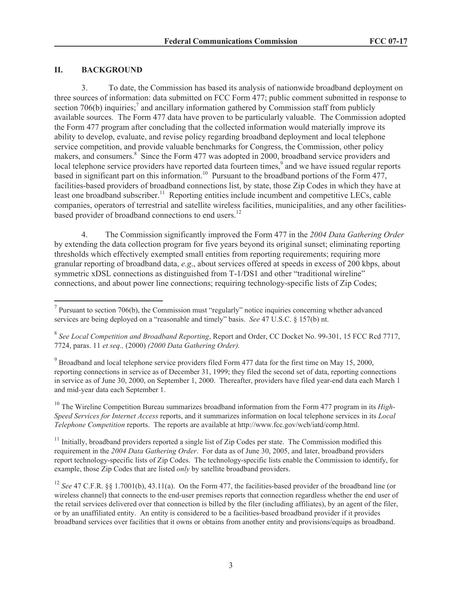#### **II. BACKGROUND**

3. To date, the Commission has based its analysis of nationwide broadband deployment on three sources of information: data submitted on FCC Form 477; public comment submitted in response to section 706(b) inquiries;<sup>7</sup> and ancillary information gathered by Commission staff from publicly available sources. The Form 477 data have proven to be particularly valuable. The Commission adopted the Form 477 program after concluding that the collected information would materially improve its ability to develop, evaluate, and revise policy regarding broadband deployment and local telephone service competition, and provide valuable benchmarks for Congress, the Commission, other policy makers, and consumers.<sup>8</sup> Since the Form 477 was adopted in 2000, broadband service providers and local telephone service providers have reported data fourteen times,<sup>9</sup> and we have issued regular reports based in significant part on this information.<sup>10</sup> Pursuant to the broadband portions of the Form 477, facilities-based providers of broadband connections list, by state, those Zip Codes in which they have at least one broadband subscriber.<sup>11</sup> Reporting entities include incumbent and competitive LECs, cable companies, operators of terrestrial and satellite wireless facilities, municipalities, and any other facilitiesbased provider of broadband connections to end users.<sup>12</sup>

4. The Commission significantly improved the Form 477 in the *2004 Data Gathering Order* by extending the data collection program for five years beyond its original sunset; eliminating reporting thresholds which effectively exempted small entities from reporting requirements; requiring more granular reporting of broadband data, *e.g*., about services offered at speeds in excess of 200 kbps, about symmetric xDSL connections as distinguished from T-1/DS1 and other "traditional wireline" connections, and about power line connections; requiring technology-specific lists of Zip Codes;

 $9^9$  Broadband and local telephone service providers filed Form 477 data for the first time on May 15, 2000, reporting connections in service as of December 31, 1999; they filed the second set of data, reporting connections in service as of June 30, 2000, on September 1, 2000. Thereafter, providers have filed year-end data each March 1 and mid-year data each September 1.

<sup>10</sup> The Wireline Competition Bureau summarizes broadband information from the Form 477 program in its *High*-*Speed Services for Internet Access* reports, and it summarizes information on local telephone services in its *Local Telephone Competition* reports. The reports are available at http://www.fcc.gov/wcb/iatd/comp.html.

 $11$  Initially, broadband providers reported a single list of Zip Codes per state. The Commission modified this requirement in the *2004 Data Gathering Order*. For data as of June 30, 2005, and later, broadband providers report technology-specific lists of Zip Codes. The technology-specific lists enable the Commission to identify, for example, those Zip Codes that are listed *only* by satellite broadband providers.

<sup>12</sup> *See* 47 C.F.R. §§ 1.7001(b), 43.11(a). On the Form 477, the facilities-based provider of the broadband line (or wireless channel) that connects to the end-user premises reports that connection regardless whether the end user of the retail services delivered over that connection is billed by the filer (including affiliates), by an agent of the filer, or by an unaffiliated entity. An entity is considered to be a facilities-based broadband provider if it provides broadband services over facilities that it owns or obtains from another entity and provisions/equips as broadband.

<sup>&</sup>lt;sup>7</sup> Pursuant to section 706(b), the Commission must "regularly" notice inquiries concerning whether advanced services are being deployed on a "reasonable and timely" basis. *See* 47 U.S.C. § 157(b) nt.

<sup>8</sup> *See Local Competition and Broadband Reporting*, Report and Order, CC Docket No. 99-301, 15 FCC Rcd 7717, 7724, paras. 11 *et seq.,* (2000) *(2000 Data Gathering Order).*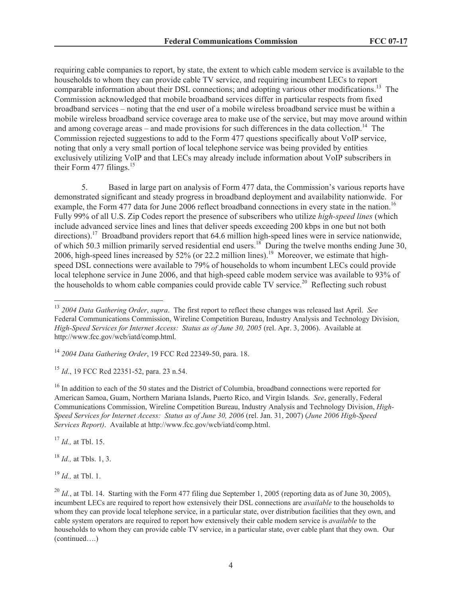requiring cable companies to report, by state, the extent to which cable modem service is available to the households to whom they can provide cable TV service, and requiring incumbent LECs to report comparable information about their DSL connections; and adopting various other modifications.<sup>13</sup> The Commission acknowledged that mobile broadband services differ in particular respects from fixed broadband services – noting that the end user of a mobile wireless broadband service must be within a mobile wireless broadband service coverage area to make use of the service, but may move around within and among coverage areas – and made provisions for such differences in the data collection.<sup>14</sup> The Commission rejected suggestions to add to the Form 477 questions specifically about VoIP service, noting that only a very small portion of local telephone service was being provided by entities exclusively utilizing VoIP and that LECs may already include information about VoIP subscribers in their Form  $477$  filings.<sup>15</sup>

5. Based in large part on analysis of Form 477 data, the Commission's various reports have demonstrated significant and steady progress in broadband deployment and availability nationwide. For example, the Form 477 data for June 2006 reflect broadband connections in every state in the nation.<sup>16</sup> Fully 99% of all U.S. Zip Codes report the presence of subscribers who utilize *high-speed lines* (which include advanced service lines and lines that deliver speeds exceeding 200 kbps in one but not both directions).<sup>17</sup> Broadband providers report that 64.6 million high-speed lines were in service nationwide, of which 50.3 million primarily served residential end users.<sup>18</sup> During the twelve months ending June 30, 2006, high-speed lines increased by 52% (or 22.2 million lines).<sup>19</sup> Moreover, we estimate that highspeed DSL connections were available to 79% of households to whom incumbent LECs could provide local telephone service in June 2006, and that high-speed cable modem service was available to 93% of the households to whom cable companies could provide cable TV service.<sup>20</sup> Reflecting such robust

<sup>15</sup> *Id*., 19 FCC Rcd 22351-52, para. 23 n.54.

<sup>16</sup> In addition to each of the 50 states and the District of Columbia, broadband connections were reported for American Samoa, Guam, Northern Mariana Islands, Puerto Rico, and Virgin Islands. *See*, generally, Federal Communications Commission, Wireline Competition Bureau, Industry Analysis and Technology Division, *High-Speed Services for Internet Access: Status as of June 30, 2006* (rel. Jan. 31, 2007) (*June 2006 High-Speed Services Report)*. Available at http://www.fcc.gov/wcb/iatd/comp.html.

<sup>17</sup> *Id.,* at Tbl. 15.

<sup>18</sup> *Id.,* at Tbls. 1, 3.

<sup>19</sup> *Id.,* at Tbl. 1.

<sup>13</sup> *2004 Data Gathering Order*, *supra*. The first report to reflect these changes was released last April. *See* Federal Communications Commission, Wireline Competition Bureau, Industry Analysis and Technology Division, *High-Speed Services for Internet Access: Status as of June 30, 2005* (rel. Apr. 3, 2006). Available at http://www.fcc.gov/wcb/iatd/comp.html.

<sup>14</sup> *2004 Data Gathering Order*, 19 FCC Rcd 22349-50, para. 18.

 $^{20}$  *Id.*, at Tbl. 14. Starting with the Form 477 filing due September 1, 2005 (reporting data as of June 30, 2005), incumbent LECs are required to report how extensively their DSL connections are *available* to the households to whom they can provide local telephone service, in a particular state, over distribution facilities that they own, and cable system operators are required to report how extensively their cable modem service is *available* to the households to whom they can provide cable TV service, in a particular state, over cable plant that they own. Our (continued….)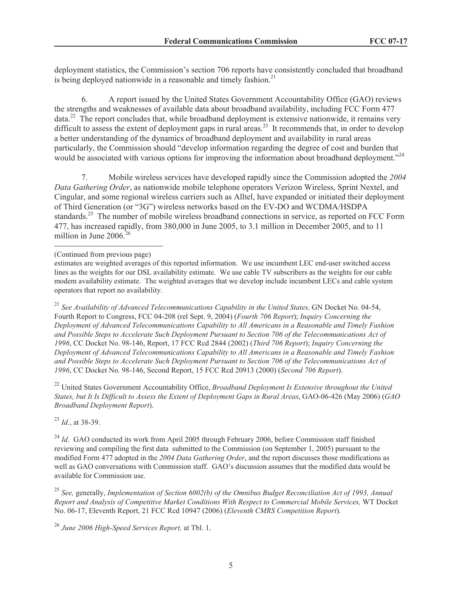deployment statistics, the Commission's section 706 reports have consistently concluded that broadband is being deployed nationwide in a reasonable and timely fashion.<sup>21</sup>

6. A report issued by the United States Government Accountability Office (GAO) reviews the strengths and weaknesses of available data about broadband availability, including FCC Form 477  $data<sup>22</sup>$  The report concludes that, while broadband deployment is extensive nationwide, it remains very difficult to assess the extent of deployment gaps in rural areas.<sup>23</sup> It recommends that, in order to develop a better understanding of the dynamics of broadband deployment and availability in rural areas particularly, the Commission should "develop information regarding the degree of cost and burden that would be associated with various options for improving the information about broadband deployment."<sup>24</sup>

7. Mobile wireless services have developed rapidly since the Commission adopted the *2004 Data Gathering Order*, as nationwide mobile telephone operators Verizon Wireless, Sprint Nextel, and Cingular, and some regional wireless carriers such as Alltel, have expanded or initiated their deployment of Third Generation (or "3G") wireless networks based on the EV-DO and WCDMA/HSDPA standards.<sup>25</sup> The number of mobile wireless broadband connections in service, as reported on FCC Form 477, has increased rapidly, from 380,000 in June 2005, to 3.1 million in December 2005, and to 11 million in June 2006.<sup>26</sup>

<sup>21</sup> See Availability of Advanced Telecommunications Capability in the United States, GN Docket No. 04-54, Fourth Report to Congress, FCC 04-208 (rel Sept. 9, 2004) (*Fourth 706 Report*); *Inquiry Concerning the Deployment of Advanced Telecommunications Capability to All Americans in a Reasonable and Timely Fashion and Possible Steps to Accelerate Such Deployment Pursuant to Section 706 of the Telecommunications Act of 1996*, CC Docket No. 98-146, Report, 17 FCC Rcd 2844 (2002) (*Third 706 Report*); *Inquiry Concerning the Deployment of Advanced Telecommunications Capability to All Americans in a Reasonable and Timely Fashion and Possible Steps to Accelerate Such Deployment Pursuant to Section 706 of the Telecommunications Act of 1996*, CC Docket No. 98-146, Second Report, 15 FCC Rcd 20913 (2000) (*Second 706 Report*).

<sup>22</sup> United States Government Accountability Office, *Broadband Deployment Is Extensive throughout the United States, but It Is Difficult to Assess the Extent of Deployment Gaps in Rural Areas*, GAO-06-426 (May 2006) (*GAO Broadband Deployment Report*).

<sup>23</sup> *Id.*, at 38-39.

<sup>24</sup> *Id.* GAO conducted its work from April 2005 through February 2006, before Commission staff finished reviewing and compiling the first data submitted to the Commission (on September 1, 2005) pursuant to the modified Form 477 adopted in the *2004 Data Gathering Order*, and the report discusses those modifications as well as GAO conversations with Commission staff. GAO's discussion assumes that the modified data would be available for Commission use.

<sup>25</sup> *See,* generally, *Implementation of Section 6002(b) of the Omnibus Budget Reconciliation Act of 1993, Annual Report and Analysis of Competitive Market Conditions With Respect to Commercial Mobile Services,* WT Docket No. 06-17, Eleventh Report, 21 FCC Rcd 10947 (2006) (*Eleventh CMRS Competition Report*).

<sup>(</sup>Continued from previous page)

estimates are weighted averages of this reported information. We use incumbent LEC end-user switched access lines as the weights for our DSL availability estimate. We use cable TV subscribers as the weights for our cable modem availability estimate. The weighted averages that we develop include incumbent LECs and cable system operators that report no availability.

<sup>26</sup> *June 2006 High-Speed Services Report,* at Tbl. 1.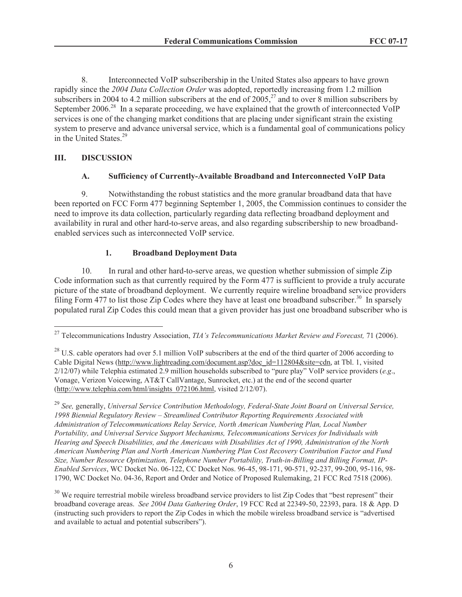8. Interconnected VoIP subscribership in the United States also appears to have grown rapidly since the *2004 Data Collection Order* was adopted, reportedly increasing from 1.2 million subscribers in 2004 to 4.2 million subscribers at the end of  $2005$ ,<sup>27</sup> and to over 8 million subscribers by September 2006.<sup>28</sup> In a separate proceeding, we have explained that the growth of interconnected VoIP services is one of the changing market conditions that are placing under significant strain the existing system to preserve and advance universal service, which is a fundamental goal of communications policy in the United States.<sup>29</sup>

# **III. DISCUSSION**

## **A. Sufficiency of Currently-Available Broadband and Interconnected VoIP Data**

9. Notwithstanding the robust statistics and the more granular broadband data that have been reported on FCC Form 477 beginning September 1, 2005, the Commission continues to consider the need to improve its data collection, particularly regarding data reflecting broadband deployment and availability in rural and other hard-to-serve areas, and also regarding subscribership to new broadbandenabled services such as interconnected VoIP service.

# **1. Broadband Deployment Data**

10. In rural and other hard-to-serve areas, we question whether submission of simple Zip Code information such as that currently required by the Form 477 is sufficient to provide a truly accurate picture of the state of broadband deployment. We currently require wireline broadband service providers filing Form 477 to list those Zip Codes where they have at least one broadband subscriber.<sup>30</sup> In sparsely populated rural Zip Codes this could mean that a given provider has just one broadband subscriber who is

<sup>27</sup> Telecommunications Industry Association, *TIA's Telecommunications Market Review and Forecast,* 71 (2006).

 $^{28}$  U.S. cable operators had over 5.1 million VoIP subscribers at the end of the third quarter of 2006 according to Cable Digital News (http://www.lightreading.com/document.asp?doc\_id=112804&site=cdn, at Tbl. 1, visited 2/12/07) while Telephia estimated 2.9 million households subscribed to "pure play" VoIP service providers (*e.g*., Vonage, Verizon Voicewing, AT&T CallVantage, Sunrocket, etc.) at the end of the second quarter (http://www.telephia.com/html/insights\_072106.html, visited 2/12/07).

<sup>29</sup> *See,* generally, *Universal Service Contribution Methodology, Federal-State Joint Board on Universal Service, 1998 Biennial Regulatory Review – Streamlined Contributor Reporting Requirements Associated with Administration of Telecommunications Relay Service, North American Numbering Plan, Local Number Portability, and Universal Service Support Mechanisms, Telecommunications Services for Individuals with Hearing and Speech Disabilities, and the Americans with Disabilities Act of 1990, Administration of the North American Numbering Plan and North American Numbering Plan Cost Recovery Contribution Factor and Fund Size, Number Resource Optimization, Telephone Number Portability, Truth-in-Billing and Billing Format, IP-Enabled Services*, WC Docket No. 06-122, CC Docket Nos. 96-45, 98-171, 90-571, 92-237, 99-200, 95-116, 98- 1790, WC Docket No. 04-36, Report and Order and Notice of Proposed Rulemaking, 21 FCC Rcd 7518 (2006).

 $30$  We require terrestrial mobile wireless broadband service providers to list Zip Codes that "best represent" their broadband coverage areas. *See 2004 Data Gathering Order*, 19 FCC Rcd at 22349-50, 22393, para. 18 & App. D (instructing such providers to report the Zip Codes in which the mobile wireless broadband service is "advertised and available to actual and potential subscribers").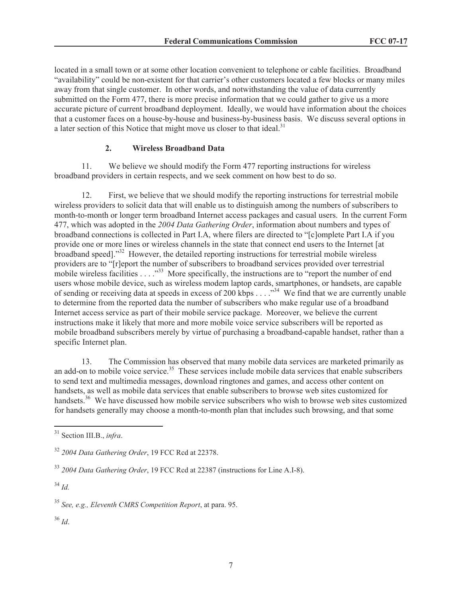located in a small town or at some other location convenient to telephone or cable facilities. Broadband "availability" could be non-existent for that carrier's other customers located a few blocks or many miles away from that single customer. In other words, and notwithstanding the value of data currently submitted on the Form 477, there is more precise information that we could gather to give us a more accurate picture of current broadband deployment. Ideally, we would have information about the choices that a customer faces on a house-by-house and business-by-business basis. We discuss several options in a later section of this Notice that might move us closer to that ideal.<sup>31</sup>

## **2. Wireless Broadband Data**

11. We believe we should modify the Form 477 reporting instructions for wireless broadband providers in certain respects, and we seek comment on how best to do so.

12. First, we believe that we should modify the reporting instructions for terrestrial mobile wireless providers to solicit data that will enable us to distinguish among the numbers of subscribers to month-to-month or longer term broadband Internet access packages and casual users. In the current Form 477, which was adopted in the *2004 Data Gathering Order*, information about numbers and types of broadband connections is collected in Part I.A, where filers are directed to "[c]omplete Part I.A if you provide one or more lines or wireless channels in the state that connect end users to the Internet [at broadband speed]."<sup>32</sup> However, the detailed reporting instructions for terrestrial mobile wireless providers are to "[r]eport the number of subscribers to broadband services provided over terrestrial mobile wireless facilities  $\ldots$   $\cdot$ <sup>33</sup>. More specifically, the instructions are to "report the number of end users whose mobile device, such as wireless modem laptop cards, smartphones, or handsets, are capable of sending or receiving data at speeds in excess of 200 kbps . . . .<sup>34</sup> We find that we are currently unable to determine from the reported data the number of subscribers who make regular use of a broadband Internet access service as part of their mobile service package. Moreover, we believe the current instructions make it likely that more and more mobile voice service subscribers will be reported as mobile broadband subscribers merely by virtue of purchasing a broadband-capable handset, rather than a specific Internet plan.

13. The Commission has observed that many mobile data services are marketed primarily as an add-on to mobile voice service.<sup>35</sup> These services include mobile data services that enable subscribers to send text and multimedia messages, download ringtones and games, and access other content on handsets, as well as mobile data services that enable subscribers to browse web sites customized for handsets.<sup>36</sup> We have discussed how mobile service subscribers who wish to browse web sites customized for handsets generally may choose a month-to-month plan that includes such browsing, and that some

<sup>34</sup> *Id.*

<sup>36</sup> *Id*.

<sup>31</sup> Section III.B., *infra*.

<sup>32</sup> *2004 Data Gathering Order*, 19 FCC Rcd at 22378.

<sup>33</sup> *2004 Data Gathering Order*, 19 FCC Rcd at 22387 (instructions for Line A.I-8).

<sup>35</sup> *See, e.g., Eleventh CMRS Competition Report*, at para. 95.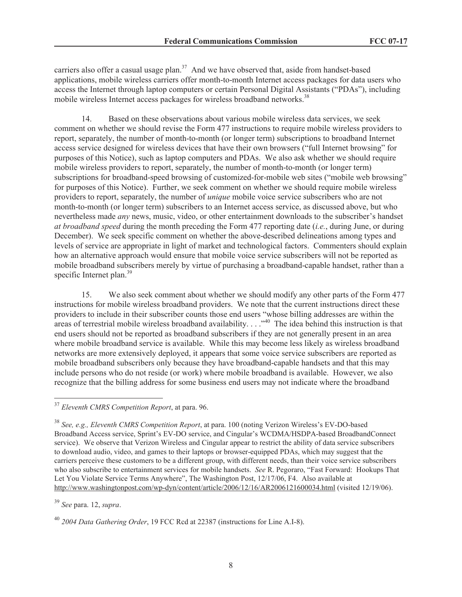carriers also offer a casual usage plan.<sup>37</sup> And we have observed that, aside from handset-based applications, mobile wireless carriers offer month-to-month Internet access packages for data users who access the Internet through laptop computers or certain Personal Digital Assistants ("PDAs"), including mobile wireless Internet access packages for wireless broadband networks.<sup>38</sup>

14. Based on these observations about various mobile wireless data services, we seek comment on whether we should revise the Form 477 instructions to require mobile wireless providers to report, separately, the number of month-to-month (or longer term) subscriptions to broadband Internet access service designed for wireless devices that have their own browsers ("full Internet browsing" for purposes of this Notice), such as laptop computers and PDAs. We also ask whether we should require mobile wireless providers to report, separately, the number of month-to-month (or longer term) subscriptions for broadband-speed browsing of customized-for-mobile web sites ("mobile web browsing" for purposes of this Notice). Further, we seek comment on whether we should require mobile wireless providers to report, separately, the number of *unique* mobile voice service subscribers who are not month-to-month (or longer term) subscribers to an Internet access service, as discussed above, but who nevertheless made *any* news, music, video, or other entertainment downloads to the subscriber's handset *at broadband speed* during the month preceding the Form 477 reporting date (*i.e.*, during June, or during December). We seek specific comment on whether the above-described delineations among types and levels of service are appropriate in light of market and technological factors. Commenters should explain how an alternative approach would ensure that mobile voice service subscribers will not be reported as mobile broadband subscribers merely by virtue of purchasing a broadband-capable handset, rather than a specific Internet plan.<sup>39</sup>

15. We also seek comment about whether we should modify any other parts of the Form 477 instructions for mobile wireless broadband providers. We note that the current instructions direct these providers to include in their subscriber counts those end users "whose billing addresses are within the areas of terrestrial mobile wireless broadband availability...."<sup>40</sup> The idea behind this instruction is that end users should not be reported as broadband subscribers if they are not generally present in an area where mobile broadband service is available. While this may become less likely as wireless broadband networks are more extensively deployed, it appears that some voice service subscribers are reported as mobile broadband subscribers only because they have broadband-capable handsets and that this may include persons who do not reside (or work) where mobile broadband is available. However, we also recognize that the billing address for some business end users may not indicate where the broadband

<sup>37</sup> *Eleventh CMRS Competition Report*, at para. 96.

<sup>38</sup> *See, e.g., Eleventh CMRS Competition Report*, at para. 100 (noting Verizon Wireless's EV-DO-based Broadband Access service, Sprint's EV-DO service, and Cingular's WCDMA/HSDPA-based BroadbandConnect service). We observe that Verizon Wireless and Cingular appear to restrict the ability of data service subscribers to download audio, video, and games to their laptops or browser-equipped PDAs, which may suggest that the carriers perceive these customers to be a different group, with different needs, than their voice service subscribers who also subscribe to entertainment services for mobile handsets. *See* R. Pegoraro, "Fast Forward: Hookups That Let You Violate Service Terms Anywhere", The Washington Post, 12/17/06, F4. Also available at http://www.washingtonpost.com/wp-dyn/content/article/2006/12/16/AR2006121600034.html (visited 12/19/06).

<sup>39</sup> *See* para. 12, *supra*.

<sup>40</sup> *2004 Data Gathering Order*, 19 FCC Rcd at 22387 (instructions for Line A.I-8).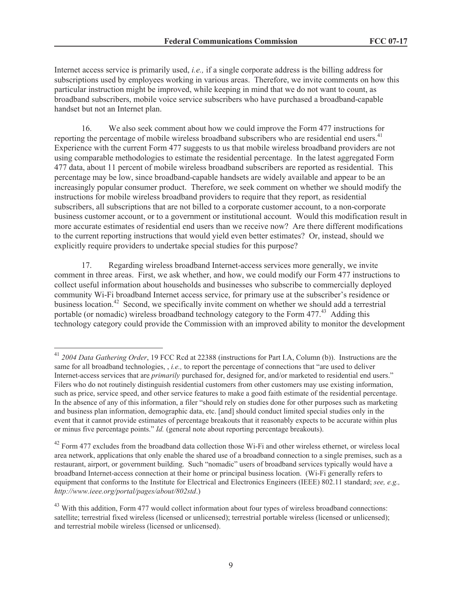Internet access service is primarily used, *i.e.,* if a single corporate address is the billing address for subscriptions used by employees working in various areas. Therefore, we invite comments on how this particular instruction might be improved, while keeping in mind that we do not want to count, as broadband subscribers, mobile voice service subscribers who have purchased a broadband-capable handset but not an Internet plan.

16. We also seek comment about how we could improve the Form 477 instructions for reporting the percentage of mobile wireless broadband subscribers who are residential end users.<sup>41</sup> Experience with the current Form 477 suggests to us that mobile wireless broadband providers are not using comparable methodologies to estimate the residential percentage. In the latest aggregated Form 477 data, about 11 percent of mobile wireless broadband subscribers are reported as residential. This percentage may be low, since broadband-capable handsets are widely available and appear to be an increasingly popular consumer product. Therefore, we seek comment on whether we should modify the instructions for mobile wireless broadband providers to require that they report, as residential subscribers, all subscriptions that are not billed to a corporate customer account, to a non-corporate business customer account, or to a government or institutional account. Would this modification result in more accurate estimates of residential end users than we receive now? Are there different modifications to the current reporting instructions that would yield even better estimates? Or, instead, should we explicitly require providers to undertake special studies for this purpose?

17. Regarding wireless broadband Internet-access services more generally, we invite comment in three areas. First, we ask whether, and how, we could modify our Form 477 instructions to collect useful information about households and businesses who subscribe to commercially deployed community Wi-Fi broadband Internet access service, for primary use at the subscriber's residence or business location.<sup>42</sup> Second, we specifically invite comment on whether we should add a terrestrial portable (or nomadic) wireless broadband technology category to the Form 477.<sup>43</sup> Adding this technology category could provide the Commission with an improved ability to monitor the development

<sup>41</sup> *2004 Data Gathering Order*, 19 FCC Rcd at 22388 (instructions for Part I.A, Column (b)). Instructions are the same for all broadband technologies, , *i.e.,* to report the percentage of connections that "are used to deliver Internet-access services that are *primarily* purchased for, designed for, and/or marketed to residential end users." Filers who do not routinely distinguish residential customers from other customers may use existing information, such as price, service speed, and other service features to make a good faith estimate of the residential percentage. In the absence of any of this information, a filer "should rely on studies done for other purposes such as marketing and business plan information, demographic data, etc. [and] should conduct limited special studies only in the event that it cannot provide estimates of percentage breakouts that it reasonably expects to be accurate within plus or minus five percentage points." *Id.* (general note about reporting percentage breakouts).

 $42$  Form 477 excludes from the broadband data collection those Wi-Fi and other wireless ethernet, or wireless local area network, applications that only enable the shared use of a broadband connection to a single premises, such as a restaurant, airport, or government building. Such "nomadic" users of broadband services typically would have a broadband Internet-access connection at their home or principal business location. (Wi-Fi generally refers to equipment that conforms to the Institute for Electrical and Electronics Engineers (IEEE) 802.11 standard; *see, e.g.*, *http://www.ieee.org/portal/pages/about/802std*.)

<sup>&</sup>lt;sup>43</sup> With this addition, Form 477 would collect information about four types of wireless broadband connections: satellite; terrestrial fixed wireless (licensed or unlicensed); terrestrial portable wireless (licensed or unlicensed); and terrestrial mobile wireless (licensed or unlicensed).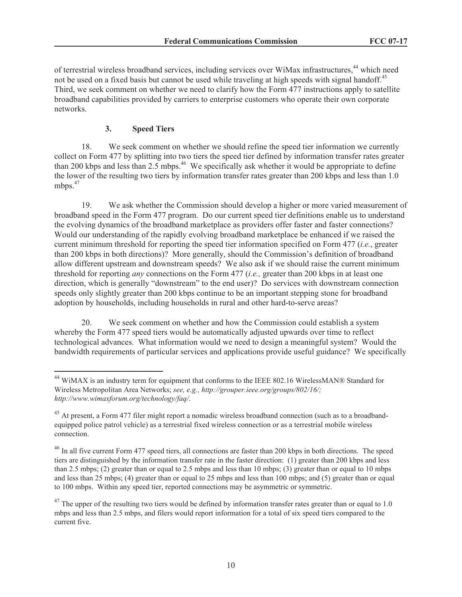of terrestrial wireless broadband services, including services over WiMax infrastructures,<sup>44</sup> which need not be used on a fixed basis but cannot be used while traveling at high speeds with signal handoff.<sup>45</sup> Third, we seek comment on whether we need to clarify how the Form 477 instructions apply to satellite broadband capabilities provided by carriers to enterprise customers who operate their own corporate networks.

## **3. Speed Tiers**

18. We seek comment on whether we should refine the speed tier information we currently collect on Form 477 by splitting into two tiers the speed tier defined by information transfer rates greater than 200 kbps and less than 2.5 mbps.<sup>46</sup> We specifically ask whether it would be appropriate to define the lower of the resulting two tiers by information transfer rates greater than 200 kbps and less than 1.0 mbps.<sup>47</sup>

19. We ask whether the Commission should develop a higher or more varied measurement of broadband speed in the Form 477 program. Do our current speed tier definitions enable us to understand the evolving dynamics of the broadband marketplace as providers offer faster and faster connections? Would our understanding of the rapidly evolving broadband marketplace be enhanced if we raised the current minimum threshold for reporting the speed tier information specified on Form 477 (*i.e.*, greater than 200 kbps in both directions)? More generally, should the Commission's definition of broadband allow different upstream and downstream speeds? We also ask if we should raise the current minimum threshold for reporting *any* connections on the Form 477 (*i.e.,* greater than 200 kbps in at least one direction, which is generally "downstream" to the end user)? Do services with downstream connection speeds only slightly greater than 200 kbps continue to be an important stepping stone for broadband adoption by households, including households in rural and other hard-to-serve areas?

20. We seek comment on whether and how the Commission could establish a system whereby the Form 477 speed tiers would be automatically adjusted upwards over time to reflect technological advances. What information would we need to design a meaningful system? Would the bandwidth requirements of particular services and applications provide useful guidance? We specifically

<sup>&</sup>lt;sup>44</sup> WiMAX is an industry term for equipment that conforms to the IEEE 802.16 WirelessMAN® Standard for Wireless Metropolitan Area Networks; *see, e.g., http://grouper.ieee.org/groups/802/16/; http://www.wimaxforum.org/technology/faq/*.

<sup>&</sup>lt;sup>45</sup> At present, a Form 477 filer might report a nomadic wireless broadband connection (such as to a broadbandequipped police patrol vehicle) as a terrestrial fixed wireless connection or as a terrestrial mobile wireless connection.

 $^{46}$  In all five current Form 477 speed tiers, all connections are faster than 200 kbps in both directions. The speed tiers are distinguished by the information transfer rate in the faster direction: (1) greater than 200 kbps and less than 2.5 mbps; (2) greater than or equal to 2.5 mbps and less than 10 mbps; (3) greater than or equal to 10 mbps and less than 25 mbps; (4) greater than or equal to 25 mbps and less than 100 mbps; and (5) greater than or equal to 100 mbps. Within any speed tier, reported connections may be asymmetric or symmetric.

 $^{47}$  The upper of the resulting two tiers would be defined by information transfer rates greater than or equal to 1.0 mbps and less than 2.5 mbps, and filers would report information for a total of six speed tiers compared to the current five.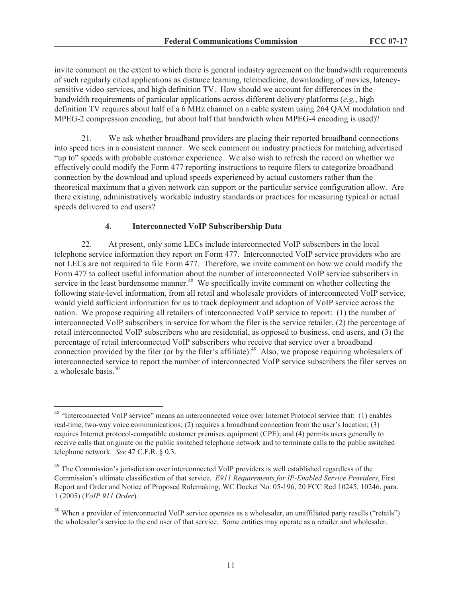invite comment on the extent to which there is general industry agreement on the bandwidth requirements of such regularly cited applications as distance learning, telemedicine, downloading of movies, latencysensitive video services, and high definition TV. How should we account for differences in the bandwidth requirements of particular applications across different delivery platforms (*e.g.*, high definition TV requires about half of a 6 MHz channel on a cable system using 264 QAM modulation and MPEG-2 compression encoding, but about half that bandwidth when MPEG-4 encoding is used)?

21. We ask whether broadband providers are placing their reported broadband connections into speed tiers in a consistent manner. We seek comment on industry practices for matching advertised "up to" speeds with probable customer experience. We also wish to refresh the record on whether we effectively could modify the Form 477 reporting instructions to require filers to categorize broadband connection by the download and upload speeds experienced by actual customers rather than the theoretical maximum that a given network can support or the particular service configuration allow. Are there existing, administratively workable industry standards or practices for measuring typical or actual speeds delivered to end users?

## **4. Interconnected VoIP Subscribership Data**

22. At present, only some LECs include interconnected VoIP subscribers in the local telephone service information they report on Form 477. Interconnected VoIP service providers who are not LECs are not required to file Form 477. Therefore, we invite comment on how we could modify the Form 477 to collect useful information about the number of interconnected VoIP service subscribers in service in the least burdensome manner.<sup>48</sup> We specifically invite comment on whether collecting the following state-level information, from all retail and wholesale providers of interconnected VoIP service, would yield sufficient information for us to track deployment and adoption of VoIP service across the nation. We propose requiring all retailers of interconnected VoIP service to report: (1) the number of interconnected VoIP subscribers in service for whom the filer is the service retailer, (2) the percentage of retail interconnected VoIP subscribers who are residential, as opposed to business, end users, and (3) the percentage of retail interconnected VoIP subscribers who receive that service over a broadband connection provided by the filer (or by the filer's affiliate).<sup>49</sup> Also, we propose requiring wholesalers of interconnected service to report the number of interconnected VoIP service subscribers the filer serves on a wholesale basis.<sup>50</sup>

<sup>&</sup>lt;sup>48</sup> "Interconnected VoIP service" means an interconnected voice over Internet Protocol service that: (1) enables real-time, two-way voice communications; (2) requires a broadband connection from the user's location; (3) requires Internet protocol-compatible customer premises equipment (CPE); and (4) permits users generally to receive calls that originate on the public switched telephone network and to terminate calls to the public switched telephone network. *See* 47 C.F.R. § 0.3.

<sup>&</sup>lt;sup>49</sup> The Commission's jurisdiction over interconnected VoIP providers is well established regardless of the Commission's ultimate classification of that service. *E911 Requirements for IP-Enabled Service Providers*, First Report and Order and Notice of Proposed Rulemaking, WC Docket No. 05-196, 20 FCC Rcd 10245, 10246, para. 1 (2005) (*VoIP 911 Order*).

 $50$  When a provider of interconnected VoIP service operates as a wholesaler, an unaffiliated party resells ("retails") the wholesaler's service to the end user of that service. Some entities may operate as a retailer and wholesaler.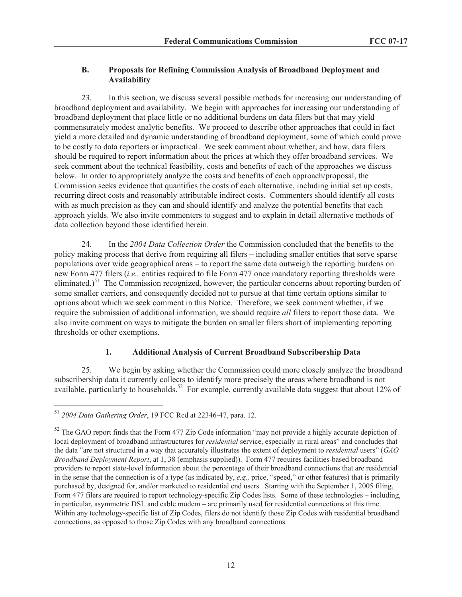### **B. Proposals for Refining Commission Analysis of Broadband Deployment and Availability**

23. In this section, we discuss several possible methods for increasing our understanding of broadband deployment and availability. We begin with approaches for increasing our understanding of broadband deployment that place little or no additional burdens on data filers but that may yield commensurately modest analytic benefits. We proceed to describe other approaches that could in fact yield a more detailed and dynamic understanding of broadband deployment, some of which could prove to be costly to data reporters or impractical. We seek comment about whether, and how, data filers should be required to report information about the prices at which they offer broadband services. We seek comment about the technical feasibility, costs and benefits of each of the approaches we discuss below. In order to appropriately analyze the costs and benefits of each approach/proposal, the Commission seeks evidence that quantifies the costs of each alternative, including initial set up costs, recurring direct costs and reasonably attributable indirect costs. Commenters should identify all costs with as much precision as they can and should identify and analyze the potential benefits that each approach yields. We also invite commenters to suggest and to explain in detail alternative methods of data collection beyond those identified herein.

24. In the *2004 Data Collection Order* the Commission concluded that the benefits to the policy making process that derive from requiring all filers – including smaller entities that serve sparse populations over wide geographical areas – to report the same data outweigh the reporting burdens on new Form 477 filers (*i.e.,* entities required to file Form 477 once mandatory reporting thresholds were eliminated.)<sup>51</sup> The Commission recognized, however, the particular concerns about reporting burden of some smaller carriers, and consequently decided not to pursue at that time certain options similar to options about which we seek comment in this Notice. Therefore, we seek comment whether, if we require the submission of additional information, we should require *all* filers to report those data. We also invite comment on ways to mitigate the burden on smaller filers short of implementing reporting thresholds or other exemptions.

# **1. Additional Analysis of Current Broadband Subscribership Data**

25. We begin by asking whether the Commission could more closely analyze the broadband subscribership data it currently collects to identify more precisely the areas where broadband is not available, particularly to households.<sup>52</sup> For example, currently available data suggest that about 12% of

<sup>51</sup> *2004 Data Gathering Order*, 19 FCC Rcd at 22346-47, para. 12.

<sup>&</sup>lt;sup>52</sup> The GAO report finds that the Form 477 Zip Code information "may not provide a highly accurate depiction of local deployment of broadband infrastructures for *residential* service, especially in rural areas" and concludes that the data "are not structured in a way that accurately illustrates the extent of deployment to *residential* users" (*GAO Broadband Deployment Report*, at 1, 38 (emphasis supplied)). Form 477 requires facilities-based broadband providers to report state-level information about the percentage of their broadband connections that are residential in the sense that the connection is of a type (as indicated by, *e.g.,* price, "speed," or other features) that is primarily purchased by, designed for, and/or marketed to residential end users. Starting with the September 1, 2005 filing, Form 477 filers are required to report technology-specific Zip Codes lists. Some of these technologies – including, in particular, asymmetric DSL and cable modem – are primarily used for residential connections at this time. Within any technology-specific list of Zip Codes, filers do not identify those Zip Codes with residential broadband connections, as opposed to those Zip Codes with any broadband connections.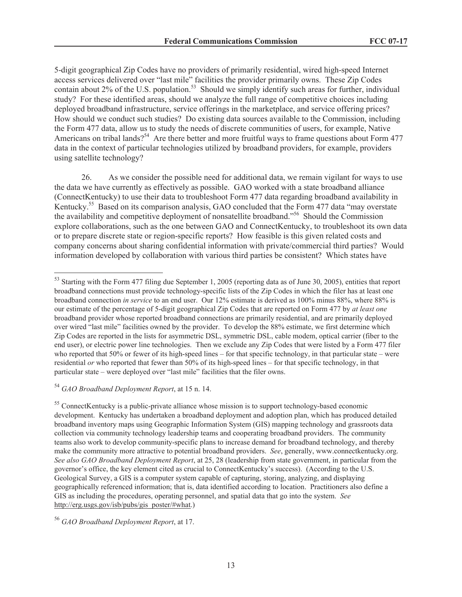5-digit geographical Zip Codes have no providers of primarily residential, wired high-speed Internet access services delivered over "last mile" facilities the provider primarily owns. These Zip Codes contain about 2% of the U.S. population.<sup>53</sup> Should we simply identify such areas for further, individual study? For these identified areas, should we analyze the full range of competitive choices including deployed broadband infrastructure, service offerings in the marketplace, and service offering prices? How should we conduct such studies? Do existing data sources available to the Commission, including the Form 477 data, allow us to study the needs of discrete communities of users, for example, Native Americans on tribal lands?<sup>54</sup> Are there better and more fruitful ways to frame questions about Form 477 data in the context of particular technologies utilized by broadband providers, for example, providers using satellite technology?

26. As we consider the possible need for additional data, we remain vigilant for ways to use the data we have currently as effectively as possible. GAO worked with a state broadband alliance (ConnectKentucky) to use their data to troubleshoot Form 477 data regarding broadband availability in Kentucky.<sup>55</sup> Based on its comparison analysis, GAO concluded that the Form 477 data "may overstate the availability and competitive deployment of nonsatellite broadband."<sup>56</sup> Should the Commission explore collaborations, such as the one between GAO and ConnectKentucky, to troubleshoot its own data or to prepare discrete state or region-specific reports? How feasible is this given related costs and company concerns about sharing confidential information with private/commercial third parties? Would information developed by collaboration with various third parties be consistent? Which states have

<sup>&</sup>lt;sup>53</sup> Starting with the Form 477 filing due September 1, 2005 (reporting data as of June 30, 2005), entities that report broadband connections must provide technology-specific lists of the Zip Codes in which the filer has at least one broadband connection *in service* to an end user. Our 12% estimate is derived as 100% minus 88%, where 88% is our estimate of the percentage of 5-digit geographical Zip Codes that are reported on Form 477 by *at least one*  broadband provider whose reported broadband connections are primarily residential, and are primarily deployed over wired "last mile" facilities owned by the provider. To develop the 88% estimate, we first determine which Zip Codes are reported in the lists for asymmetric DSL, symmetric DSL, cable modem, optical carrier (fiber to the end user), or electric power line technologies. Then we exclude any Zip Codes that were listed by a Form 477 filer who reported that 50% or fewer of its high-speed lines – for that specific technology, in that particular state – were residential *or* who reported that fewer than 50% of its high-speed lines – for that specific technology, in that particular state – were deployed over "last mile" facilities that the filer owns.

<sup>54</sup> *GAO Broadband Deployment Report*, at 15 n. 14.

<sup>&</sup>lt;sup>55</sup> ConnectKentucky is a public-private alliance whose mission is to support technology-based economic development. Kentucky has undertaken a broadband deployment and adoption plan, which has produced detailed broadband inventory maps using Geographic Information System (GIS) mapping technology and grassroots data collection via community technology leadership teams and cooperating broadband providers. The community teams also work to develop community-specific plans to increase demand for broadband technology, and thereby make the community more attractive to potential broadband providers. *See*, generally, www.connectkentucky.org. *See also GAO Broadband Deployment Report*, at 25, 28 (leadership from state government, in particular from the governor's office, the key element cited as crucial to ConnectKentucky's success). (According to the U.S. Geological Survey, a GIS is a computer system capable of capturing, storing, analyzing, and displaying geographically referenced information; that is, data identified according to location. Practitioners also define a GIS as including the procedures, operating personnel, and spatial data that go into the system. *See*  http://erg.usgs.gov/isb/pubs/gis\_poster/#what.)

<sup>56</sup> *GAO Broadband Deployment Report*, at 17.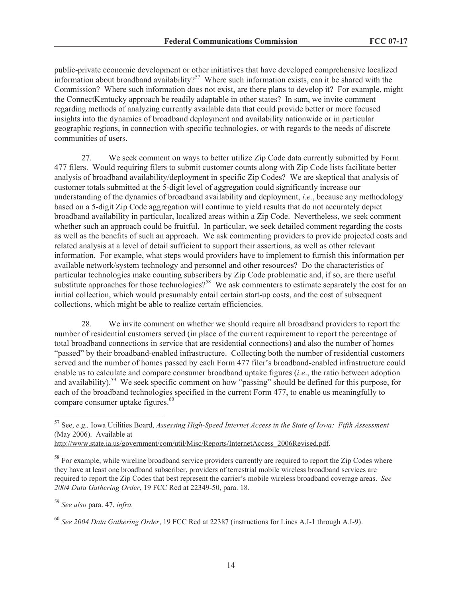public-private economic development or other initiatives that have developed comprehensive localized information about broadband availability?<sup>57</sup> Where such information exists, can it be shared with the Commission? Where such information does not exist, are there plans to develop it? For example, might the ConnectKentucky approach be readily adaptable in other states? In sum, we invite comment regarding methods of analyzing currently available data that could provide better or more focused insights into the dynamics of broadband deployment and availability nationwide or in particular geographic regions, in connection with specific technologies, or with regards to the needs of discrete communities of users.

27. We seek comment on ways to better utilize Zip Code data currently submitted by Form 477 filers. Would requiring filers to submit customer counts along with Zip Code lists facilitate better analysis of broadband availability/deployment in specific Zip Codes? We are skeptical that analysis of customer totals submitted at the 5-digit level of aggregation could significantly increase our understanding of the dynamics of broadband availability and deployment, *i.e.*, because any methodology based on a 5-digit Zip Code aggregation will continue to yield results that do not accurately depict broadband availability in particular, localized areas within a Zip Code. Nevertheless, we seek comment whether such an approach could be fruitful. In particular, we seek detailed comment regarding the costs as well as the benefits of such an approach. We ask commenting providers to provide projected costs and related analysis at a level of detail sufficient to support their assertions, as well as other relevant information. For example, what steps would providers have to implement to furnish this information per available network/system technology and personnel and other resources? Do the characteristics of particular technologies make counting subscribers by Zip Code problematic and, if so, are there useful substitute approaches for those technologies?<sup>58</sup> We ask commenters to estimate separately the cost for an initial collection, which would presumably entail certain start-up costs, and the cost of subsequent collections, which might be able to realize certain efficiencies.

28. We invite comment on whether we should require all broadband providers to report the number of residential customers served (in place of the current requirement to report the percentage of total broadband connections in service that are residential connections) and also the number of homes "passed" by their broadband-enabled infrastructure. Collecting both the number of residential customers served and the number of homes passed by each Form 477 filer's broadband-enabled infrastructure could enable us to calculate and compare consumer broadband uptake figures (*i.e*., the ratio between adoption and availability).<sup>59</sup> We seek specific comment on how "passing" should be defined for this purpose, for each of the broadband technologies specified in the current Form 477, to enable us meaningfully to compare consumer uptake figures.<sup>60</sup>

<sup>57</sup> See, *e.g.,* Iowa Utilities Board, *Assessing High-Speed Internet Access in the State of Iowa: Fifth Assessment* (May 2006). Available at

http://www.state.ia.us/government/com/util/Misc/Reports/InternetAccess\_2006Revised.pdf.

<sup>&</sup>lt;sup>58</sup> For example, while wireline broadband service providers currently are required to report the Zip Codes where they have at least one broadband subscriber, providers of terrestrial mobile wireless broadband services are required to report the Zip Codes that best represent the carrier's mobile wireless broadband coverage areas. *See 2004 Data Gathering Order*, 19 FCC Rcd at 22349-50, para. 18.

<sup>59</sup> *See also* para. 47, *infra.*

<sup>60</sup> *See 2004 Data Gathering Order*, 19 FCC Rcd at 22387 (instructions for Lines A.I-1 through A.I-9).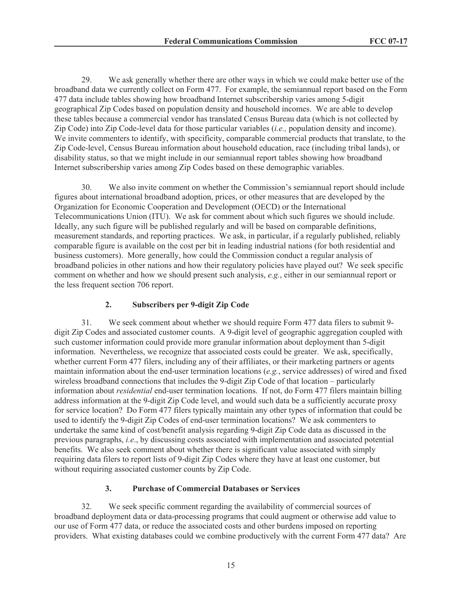29. We ask generally whether there are other ways in which we could make better use of the broadband data we currently collect on Form 477. For example, the semiannual report based on the Form 477 data include tables showing how broadband Internet subscribership varies among 5-digit geographical Zip Codes based on population density and household incomes. We are able to develop these tables because a commercial vendor has translated Census Bureau data (which is not collected by Zip Code) into Zip Code-level data for those particular variables (*i.e.,* population density and income). We invite commenters to identify, with specificity, comparable commercial products that translate, to the Zip Code-level, Census Bureau information about household education, race (including tribal lands), or disability status, so that we might include in our semiannual report tables showing how broadband Internet subscribership varies among Zip Codes based on these demographic variables.

30. We also invite comment on whether the Commission's semiannual report should include figures about international broadband adoption, prices, or other measures that are developed by the Organization for Economic Cooperation and Development (OECD) or the International Telecommunications Union (ITU). We ask for comment about which such figures we should include. Ideally, any such figure will be published regularly and will be based on comparable definitions, measurement standards, and reporting practices. We ask, in particular, if a regularly published, reliably comparable figure is available on the cost per bit in leading industrial nations (for both residential and business customers). More generally, how could the Commission conduct a regular analysis of broadband policies in other nations and how their regulatory policies have played out? We seek specific comment on whether and how we should present such analysis, *e.g.*, either in our semiannual report or the less frequent section 706 report.

# **2. Subscribers per 9-digit Zip Code**

31. We seek comment about whether we should require Form 477 data filers to submit 9 digit Zip Codes and associated customer counts. A 9-digit level of geographic aggregation coupled with such customer information could provide more granular information about deployment than 5-digit information. Nevertheless, we recognize that associated costs could be greater. We ask, specifically, whether current Form 477 filers, including any of their affiliates, or their marketing partners or agents maintain information about the end-user termination locations (*e.g.*, service addresses) of wired and fixed wireless broadband connections that includes the 9-digit Zip Code of that location – particularly information about *residential* end-user termination locations. If not, do Form 477 filers maintain billing address information at the 9-digit Zip Code level, and would such data be a sufficiently accurate proxy for service location? Do Form 477 filers typically maintain any other types of information that could be used to identify the 9-digit Zip Codes of end-user termination locations? We ask commenters to undertake the same kind of cost/benefit analysis regarding 9-digit Zip Code data as discussed in the previous paragraphs, *i.e*., by discussing costs associated with implementation and associated potential benefits. We also seek comment about whether there is significant value associated with simply requiring data filers to report lists of 9-digit Zip Codes where they have at least one customer, but without requiring associated customer counts by Zip Code.

# **3. Purchase of Commercial Databases or Services**

32. We seek specific comment regarding the availability of commercial sources of broadband deployment data or data-processing programs that could augment or otherwise add value to our use of Form 477 data, or reduce the associated costs and other burdens imposed on reporting providers. What existing databases could we combine productively with the current Form 477 data? Are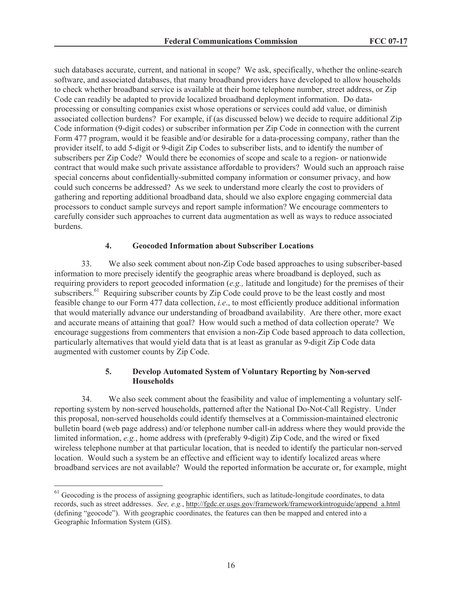such databases accurate, current, and national in scope? We ask, specifically, whether the online-search software, and associated databases, that many broadband providers have developed to allow households to check whether broadband service is available at their home telephone number, street address, or Zip Code can readily be adapted to provide localized broadband deployment information. Do dataprocessing or consulting companies exist whose operations or services could add value, or diminish associated collection burdens? For example, if (as discussed below) we decide to require additional Zip Code information (9-digit codes) or subscriber information per Zip Code in connection with the current Form 477 program, would it be feasible and/or desirable for a data-processing company, rather than the provider itself, to add 5-digit or 9-digit Zip Codes to subscriber lists, and to identify the number of subscribers per Zip Code? Would there be economies of scope and scale to a region- or nationwide contract that would make such private assistance affordable to providers? Would such an approach raise special concerns about confidentially-submitted company information or consumer privacy, and how could such concerns be addressed? As we seek to understand more clearly the cost to providers of gathering and reporting additional broadband data, should we also explore engaging commercial data processors to conduct sample surveys and report sample information? We encourage commenters to carefully consider such approaches to current data augmentation as well as ways to reduce associated burdens.

#### **4. Geocoded Information about Subscriber Locations**

33. We also seek comment about non-Zip Code based approaches to using subscriber-based information to more precisely identify the geographic areas where broadband is deployed, such as requiring providers to report geocoded information (*e.g.,* latitude and longitude) for the premises of their subscribers.<sup>61</sup> Requiring subscriber counts by Zip Code could prove to be the least costly and most feasible change to our Form 477 data collection, *i.e*., to most efficiently produce additional information that would materially advance our understanding of broadband availability. Are there other, more exact and accurate means of attaining that goal? How would such a method of data collection operate? We encourage suggestions from commenters that envision a non-Zip Code based approach to data collection, particularly alternatives that would yield data that is at least as granular as 9-digit Zip Code data augmented with customer counts by Zip Code.

## **5. Develop Automated System of Voluntary Reporting by Non-served Households**

34. We also seek comment about the feasibility and value of implementing a voluntary selfreporting system by non-served households, patterned after the National Do-Not-Call Registry. Under this proposal, non-served households could identify themselves at a Commission-maintained electronic bulletin board (web page address) and/or telephone number call-in address where they would provide the limited information, *e.g.*, home address with (preferably 9-digit) Zip Code, and the wired or fixed wireless telephone number at that particular location, that is needed to identify the particular non-served location. Would such a system be an effective and efficient way to identify localized areas where broadband services are not available? Would the reported information be accurate or, for example, might

 $61$  Geocoding is the process of assigning geographic identifiers, such as latitude-longitude coordinates, to data records, such as street addresses. *See, e.g.*, http://fgdc.er.usgs.gov/framework/frameworkintroguide/append\_a.html (defining "geocode"). With geographic coordinates, the features can then be mapped and entered into a Geographic Information System (GIS).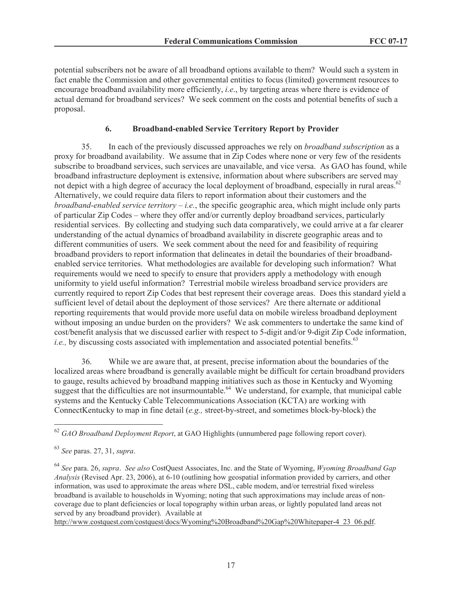potential subscribers not be aware of all broadband options available to them? Would such a system in fact enable the Commission and other governmental entities to focus (limited) government resources to encourage broadband availability more efficiently, *i.e*., by targeting areas where there is evidence of actual demand for broadband services? We seek comment on the costs and potential benefits of such a proposal.

## **6. Broadband-enabled Service Territory Report by Provider**

35. In each of the previously discussed approaches we rely on *broadband subscription* as a proxy for broadband availability. We assume that in Zip Codes where none or very few of the residents subscribe to broadband services, such services are unavailable, and vice versa. As GAO has found, while broadband infrastructure deployment is extensive, information about where subscribers are served may not depict with a high degree of accuracy the local deployment of broadband, especially in rural areas.<sup>62</sup> Alternatively, we could require data filers to report information about their customers and the *broadband-enabled service territory* – *i.e.*, the specific geographic area, which might include only parts of particular Zip Codes – where they offer and/or currently deploy broadband services, particularly residential services. By collecting and studying such data comparatively, we could arrive at a far clearer understanding of the actual dynamics of broadband availability in discrete geographic areas and to different communities of users. We seek comment about the need for and feasibility of requiring broadband providers to report information that delineates in detail the boundaries of their broadbandenabled service territories. What methodologies are available for developing such information? What requirements would we need to specify to ensure that providers apply a methodology with enough uniformity to yield useful information? Terrestrial mobile wireless broadband service providers are currently required to report Zip Codes that best represent their coverage areas. Does this standard yield a sufficient level of detail about the deployment of those services? Are there alternate or additional reporting requirements that would provide more useful data on mobile wireless broadband deployment without imposing an undue burden on the providers? We ask commenters to undertake the same kind of cost/benefit analysis that we discussed earlier with respect to 5-digit and/or 9-digit Zip Code information, *i.e.*, by discussing costs associated with implementation and associated potential benefits.<sup>63</sup>

36. While we are aware that, at present, precise information about the boundaries of the localized areas where broadband is generally available might be difficult for certain broadband providers to gauge, results achieved by broadband mapping initiatives such as those in Kentucky and Wyoming suggest that the difficulties are not insurmountable.<sup>64</sup> We understand, for example, that municipal cable systems and the Kentucky Cable Telecommunications Association (KCTA) are working with ConnectKentucky to map in fine detail (*e.g.,* street-by-street, and sometimes block-by-block) the

<sup>64</sup> *See* para. 26, *supra*. *See also* CostQuest Associates, Inc. and the State of Wyoming, *Wyoming Broadband Gap Analysis* (Revised Apr. 23, 2006), at 6-10 (outlining how geospatial information provided by carriers, and other information, was used to approximate the areas where DSL, cable modem, and/or terrestrial fixed wireless broadband is available to households in Wyoming; noting that such approximations may include areas of noncoverage due to plant deficiencies or local topography within urban areas, or lightly populated land areas not served by any broadband provider). Available at

http://www.costquest.com/costquest/docs/Wyoming%20Broadband%20Gap%20Whitepaper-4\_23\_06.pdf.

<sup>62</sup> *GAO Broadband Deployment Report*, at GAO Highlights (unnumbered page following report cover).

<sup>63</sup> *See* paras. 27, 31, *supra*.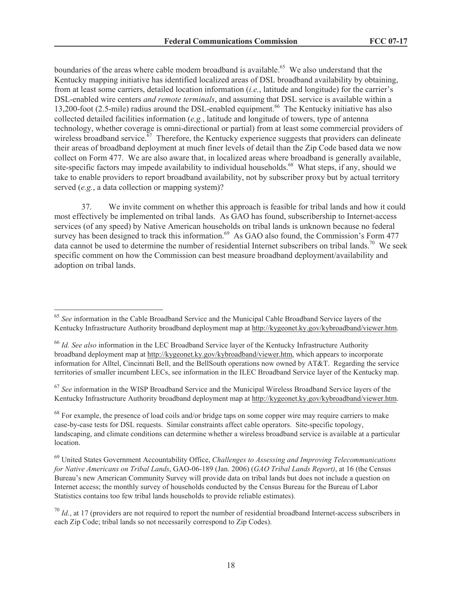boundaries of the areas where cable modem broadband is available.<sup>65</sup> We also understand that the Kentucky mapping initiative has identified localized areas of DSL broadband availability by obtaining, from at least some carriers, detailed location information (*i.e.*, latitude and longitude) for the carrier's DSL-enabled wire centers *and remote terminals*, and assuming that DSL service is available within a 13,200-foot (2.5-mile) radius around the DSL-enabled equipment. <sup>66</sup> The Kentucky initiative has also collected detailed facilities information (*e.g.*, latitude and longitude of towers, type of antenna technology, whether coverage is omni-directional or partial) from at least some commercial providers of wireless broadband service. $\frac{67}{7}$  Therefore, the Kentucky experience suggests that providers can delineate their areas of broadband deployment at much finer levels of detail than the Zip Code based data we now collect on Form 477. We are also aware that, in localized areas where broadband is generally available, site-specific factors may impede availability to individual households.<sup>68</sup> What steps, if any, should we take to enable providers to report broadband availability, not by subscriber proxy but by actual territory served (*e.g.*, a data collection or mapping system)?

37. We invite comment on whether this approach is feasible for tribal lands and how it could most effectively be implemented on tribal lands. As GAO has found, subscribership to Internet-access services (of any speed) by Native American households on tribal lands is unknown because no federal survey has been designed to track this information.<sup>69</sup> As GAO also found, the Commission's Form 477 data cannot be used to determine the number of residential Internet subscribers on tribal lands.<sup>70</sup> We seek specific comment on how the Commission can best measure broadband deployment/availability and adoption on tribal lands.

<sup>67</sup> *See* information in the WISP Broadband Service and the Municipal Wireless Broadband Service layers of the Kentucky Infrastructure Authority broadband deployment map at http://kygeonet.ky.gov/kybroadband/viewer.htm.

<sup>65</sup> *See* information in the Cable Broadband Service and the Municipal Cable Broadband Service layers of the Kentucky Infrastructure Authority broadband deployment map at http://kygeonet.ky.gov/kybroadband/viewer.htm.

<sup>66</sup> *Id. See also* information in the LEC Broadband Service layer of the Kentucky Infrastructure Authority broadband deployment map at http://kygeonet.ky.gov/kybroadband/viewer.htm, which appears to incorporate information for Alltel, Cincinnati Bell, and the BellSouth operations now owned by AT&T. Regarding the service territories of smaller incumbent LECs, see information in the ILEC Broadband Service layer of the Kentucky map.

 $68$  For example, the presence of load coils and/or bridge taps on some copper wire may require carriers to make case-by-case tests for DSL requests. Similar constraints affect cable operators. Site-specific topology, landscaping, and climate conditions can determine whether a wireless broadband service is available at a particular location.

<sup>69</sup> United States Government Accountability Office, *Challenges to Assessing and Improving Telecommunications for Native Americans on Tribal Lands*, GAO-06-189 (Jan. 2006) (*GAO Tribal Lands Report)*, at 16 (the Census Bureau's new American Community Survey will provide data on tribal lands but does not include a question on Internet access; the monthly survey of households conducted by the Census Bureau for the Bureau of Labor Statistics contains too few tribal lands households to provide reliable estimates).

 $^{70}$  *Id.*, at 17 (providers are not required to report the number of residential broadband Internet-access subscribers in each Zip Code; tribal lands so not necessarily correspond to Zip Codes).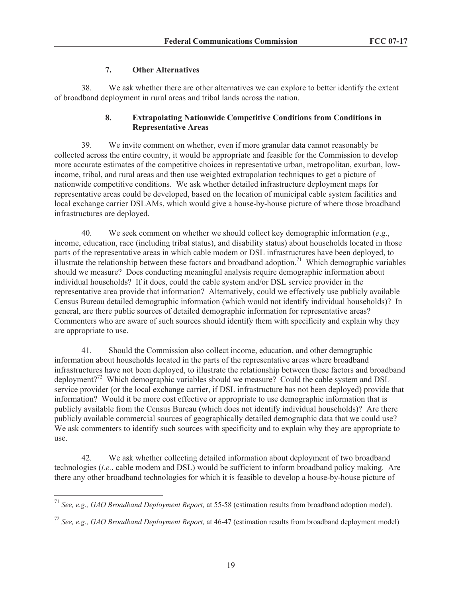## **7. Other Alternatives**

38. We ask whether there are other alternatives we can explore to better identify the extent of broadband deployment in rural areas and tribal lands across the nation.

## **8. Extrapolating Nationwide Competitive Conditions from Conditions in Representative Areas**

39. We invite comment on whether, even if more granular data cannot reasonably be collected across the entire country, it would be appropriate and feasible for the Commission to develop more accurate estimates of the competitive choices in representative urban, metropolitan, exurban, lowincome, tribal, and rural areas and then use weighted extrapolation techniques to get a picture of nationwide competitive conditions. We ask whether detailed infrastructure deployment maps for representative areas could be developed, based on the location of municipal cable system facilities and local exchange carrier DSLAMs, which would give a house-by-house picture of where those broadband infrastructures are deployed.

40. We seek comment on whether we should collect key demographic information (*e*.g., income, education, race (including tribal status), and disability status) about households located in those parts of the representative areas in which cable modem or DSL infrastructures have been deployed, to illustrate the relationship between these factors and broadband adoption.<sup>71</sup> Which demographic variables should we measure? Does conducting meaningful analysis require demographic information about individual households? If it does, could the cable system and/or DSL service provider in the representative area provide that information? Alternatively, could we effectively use publicly available Census Bureau detailed demographic information (which would not identify individual households)? In general, are there public sources of detailed demographic information for representative areas? Commenters who are aware of such sources should identify them with specificity and explain why they are appropriate to use.

41. Should the Commission also collect income, education, and other demographic information about households located in the parts of the representative areas where broadband infrastructures have not been deployed, to illustrate the relationship between these factors and broadband deployment?<sup>72</sup> Which demographic variables should we measure? Could the cable system and DSL service provider (or the local exchange carrier, if DSL infrastructure has not been deployed) provide that information? Would it be more cost effective or appropriate to use demographic information that is publicly available from the Census Bureau (which does not identify individual households)? Are there publicly available commercial sources of geographically detailed demographic data that we could use? We ask commenters to identify such sources with specificity and to explain why they are appropriate to use.

42. We ask whether collecting detailed information about deployment of two broadband technologies (*i.e.*, cable modem and DSL) would be sufficient to inform broadband policy making. Are there any other broadband technologies for which it is feasible to develop a house-by-house picture of

<sup>71</sup> *See, e.g., GAO Broadband Deployment Report,* at 55-58 (estimation results from broadband adoption model).

<sup>72</sup> *See, e.g., GAO Broadband Deployment Report,* at 46-47 (estimation results from broadband deployment model)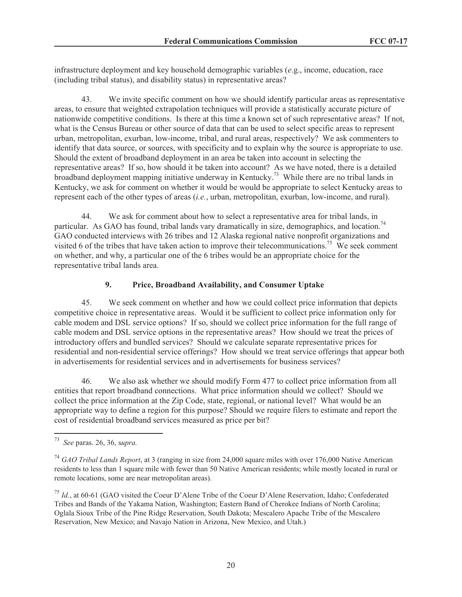infrastructure deployment and key household demographic variables (*e*.g., income, education, race (including tribal status), and disability status) in representative areas?

43. We invite specific comment on how we should identify particular areas as representative areas, to ensure that weighted extrapolation techniques will provide a statistically accurate picture of nationwide competitive conditions. Is there at this time a known set of such representative areas? If not, what is the Census Bureau or other source of data that can be used to select specific areas to represent urban, metropolitan, exurban, low-income, tribal, and rural areas, respectively? We ask commenters to identify that data source, or sources, with specificity and to explain why the source is appropriate to use. Should the extent of broadband deployment in an area be taken into account in selecting the representative areas? If so, how should it be taken into account? As we have noted, there is a detailed broadband deployment mapping initiative underway in Kentucky.<sup>73</sup> While there are no tribal lands in Kentucky, we ask for comment on whether it would be would be appropriate to select Kentucky areas to represent each of the other types of areas (*i.e.*, urban, metropolitan, exurban, low-income, and rural).

44. We ask for comment about how to select a representative area for tribal lands, in particular. As GAO has found, tribal lands vary dramatically in size, demographics, and location.<sup>74</sup> GAO conducted interviews with 26 tribes and 12 Alaska regional native nonprofit organizations and visited 6 of the tribes that have taken action to improve their telecommunications.<sup>75</sup> We seek comment on whether, and why, a particular one of the 6 tribes would be an appropriate choice for the representative tribal lands area.

# **9. Price, Broadband Availability, and Consumer Uptake**

45. We seek comment on whether and how we could collect price information that depicts competitive choice in representative areas. Would it be sufficient to collect price information only for cable modem and DSL service options? If so, should we collect price information for the full range of cable modem and DSL service options in the representative areas? How should we treat the prices of introductory offers and bundled services? Should we calculate separate representative prices for residential and non-residential service offerings? How should we treat service offerings that appear both in advertisements for residential services and in advertisements for business services?

46. We also ask whether we should modify Form 477 to collect price information from all entities that report broadband connections. What price information should we collect? Should we collect the price information at the Zip Code, state, regional, or national level? What would be an appropriate way to define a region for this purpose? Should we require filers to estimate and report the cost of residential broadband services measured as price per bit?

<sup>73</sup> *See* paras. 26, 36, s*upra.*

<sup>74</sup> *GAO Tribal Lands Report*, at 3 (ranging in size from 24,000 square miles with over 176,000 Native American residents to less than 1 square mile with fewer than 50 Native American residents; while mostly located in rural or remote locations, some are near metropolitan areas).

<sup>75</sup> *Id.*, at 60-61 (GAO visited the Coeur D'Alene Tribe of the Coeur D'Alene Reservation, Idaho; Confederated Tribes and Bands of the Yakama Nation, Washington; Eastern Band of Cherokee Indians of North Carolina; Oglala Sioux Tribe of the Pine Ridge Reservation, South Dakota; Mescalero Apache Tribe of the Mescalero Reservation, New Mexico; and Navajo Nation in Arizona, New Mexico, and Utah.)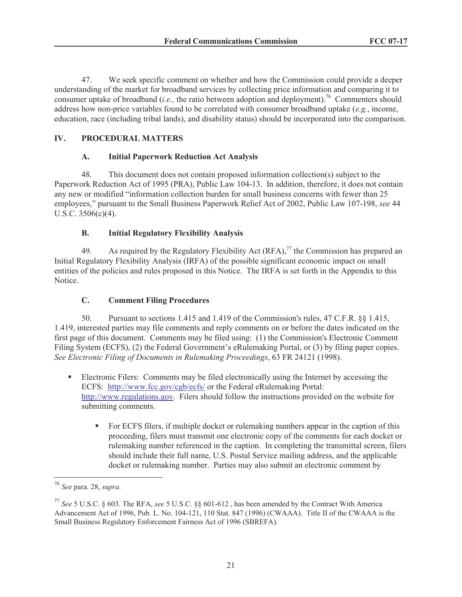47. We seek specific comment on whether and how the Commission could provide a deeper understanding of the market for broadband services by collecting price information and comparing it to consumer uptake of broadband *(i.e.,* the ratio between adoption and deployment).<sup>76</sup> Commenters should address how non-price variables found to be correlated with consumer broadband uptake (*e.g.*, income, education, race (including tribal lands), and disability status) should be incorporated into the comparison.

# **IV. PROCEDURAL MATTERS**

#### **A. Initial Paperwork Reduction Act Analysis**

48. This document does not contain proposed information collection(s) subject to the Paperwork Reduction Act of 1995 (PRA), Public Law 104-13. In addition, therefore, it does not contain any new or modified "information collection burden for small business concerns with fewer than 25 employees," pursuant to the Small Business Paperwork Relief Act of 2002, Public Law 107-198, *see* 44 U.S.C. 3506(c)(4).

## **B. Initial Regulatory Flexibility Analysis**

49. As required by the Regulatory Flexibility Act  $(RFA)$ ,<sup>77</sup> the Commission has prepared an Initial Regulatory Flexibility Analysis (IRFA) of the possible significant economic impact on small entities of the policies and rules proposed in this Notice. The IRFA is set forth in the Appendix to this Notice.

#### **C. Comment Filing Procedures**

50. Pursuant to sections 1.415 and 1.419 of the Commission's rules, 47 C.F.R. §§ 1.415, 1.419, interested parties may file comments and reply comments on or before the dates indicated on the first page of this document. Comments may be filed using: (1) the Commission's Electronic Comment Filing System (ECFS), (2) the Federal Government's eRulemaking Portal, or (3) by filing paper copies. *See Electronic Filing of Documents in Rulemaking Proceedings*, 63 FR 24121 (1998).

- Electronic Filers: Comments may be filed electronically using the Internet by accessing the ECFS: http://www.fcc.gov/cgb/ecfs/ or the Federal eRulemaking Portal: http://www.regulations.gov. Filers should follow the instructions provided on the website for submitting comments.
	- For ECFS filers, if multiple docket or rulemaking numbers appear in the caption of this proceeding, filers must transmit one electronic copy of the comments for each docket or rulemaking number referenced in the caption. In completing the transmittal screen, filers should include their full name, U.S. Postal Service mailing address, and the applicable docket or rulemaking number. Parties may also submit an electronic comment by

<sup>76</sup> *See* para. 28, *supra.*

<sup>77</sup> *See* 5 U.S.C. § 603. The RFA, *see* 5 U.S.C. §§ 601-612 , has been amended by the Contract With America Advancement Act of 1996, Pub. L. No. 104-121, 110 Stat. 847 (1996) (CWAAA). Title II of the CWAAA is the Small Business Regulatory Enforcement Fairness Act of 1996 (SBREFA).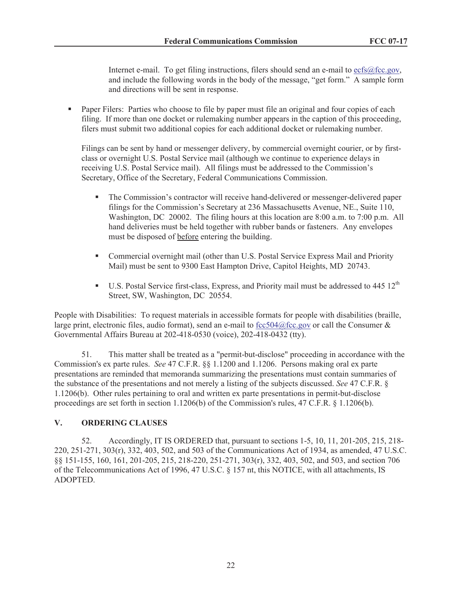Internet e-mail. To get filing instructions, filers should send an e-mail to ecfs@fcc.gov, and include the following words in the body of the message, "get form." A sample form and directions will be sent in response.

• Paper Filers: Parties who choose to file by paper must file an original and four copies of each filing. If more than one docket or rulemaking number appears in the caption of this proceeding, filers must submit two additional copies for each additional docket or rulemaking number.

Filings can be sent by hand or messenger delivery, by commercial overnight courier, or by firstclass or overnight U.S. Postal Service mail (although we continue to experience delays in receiving U.S. Postal Service mail). All filings must be addressed to the Commission's Secretary, Office of the Secretary, Federal Communications Commission.

- The Commission's contractor will receive hand-delivered or messenger-delivered paper filings for the Commission's Secretary at 236 Massachusetts Avenue, NE., Suite 110, Washington, DC 20002. The filing hours at this location are 8:00 a.m. to 7:00 p.m. All hand deliveries must be held together with rubber bands or fasteners. Any envelopes must be disposed of before entering the building.
- Commercial overnight mail (other than U.S. Postal Service Express Mail and Priority Mail) must be sent to 9300 East Hampton Drive, Capitol Heights, MD 20743.
- **•** U.S. Postal Service first-class, Express, and Priority mail must be addressed to 445  $12<sup>th</sup>$ Street, SW, Washington, DC 20554.

People with Disabilities: To request materials in accessible formats for people with disabilities (braille, large print, electronic files, audio format), send an e-mail to fcc504@fcc.gov or call the Consumer  $\&$ Governmental Affairs Bureau at 202-418-0530 (voice), 202-418-0432 (tty).

51. This matter shall be treated as a "permit-but-disclose" proceeding in accordance with the Commission's ex parte rules. *See* 47 C.F.R. §§ 1.1200 and 1.1206. Persons making oral ex parte presentations are reminded that memoranda summarizing the presentations must contain summaries of the substance of the presentations and not merely a listing of the subjects discussed. *See* 47 C.F.R. § 1.1206(b). Other rules pertaining to oral and written ex parte presentations in permit-but-disclose proceedings are set forth in section 1.1206(b) of the Commission's rules, 47 C.F.R. § 1.1206(b).

# **V. ORDERING CLAUSES**

52. Accordingly, IT IS ORDERED that, pursuant to sections 1-5, 10, 11, 201-205, 215, 218- 220, 251-271, 303(r), 332, 403, 502, and 503 of the Communications Act of 1934, as amended, 47 U.S.C. §§ 151-155, 160, 161, 201-205, 215, 218-220, 251-271, 303(r), 332, 403, 502, and 503, and section 706 of the Telecommunications Act of 1996, 47 U.S.C. § 157 nt, this NOTICE, with all attachments, IS ADOPTED.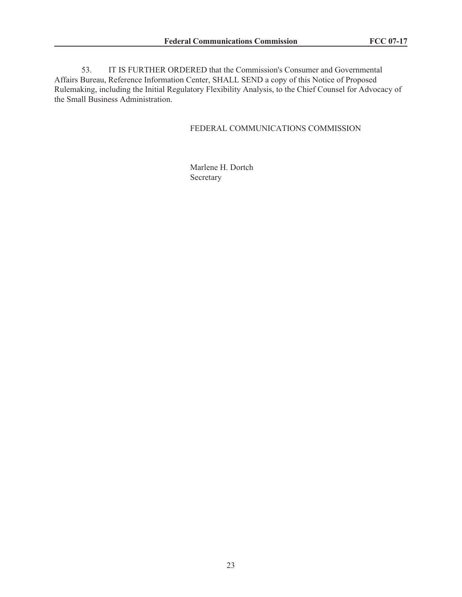53. IT IS FURTHER ORDERED that the Commission's Consumer and Governmental Affairs Bureau, Reference Information Center, SHALL SEND a copy of this Notice of Proposed Rulemaking, including the Initial Regulatory Flexibility Analysis, to the Chief Counsel for Advocacy of the Small Business Administration.

#### FEDERAL COMMUNICATIONS COMMISSION

Marlene H. Dortch Secretary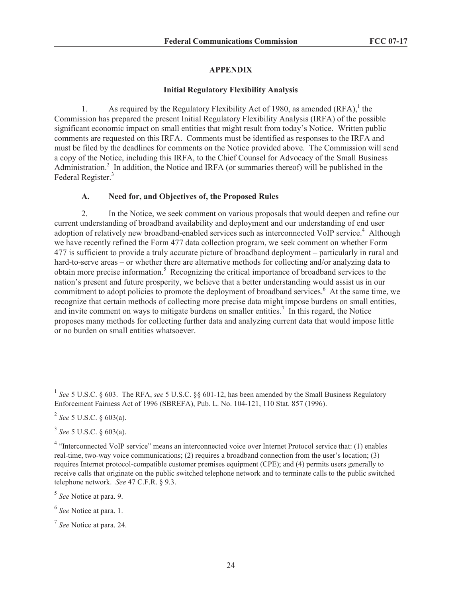#### **APPENDIX**

#### **Initial Regulatory Flexibility Analysis**

1. As required by the Regulatory Flexibility Act of 1980, as amended  $(RFA)$ ,<sup>1</sup> the Commission has prepared the present Initial Regulatory Flexibility Analysis (IRFA) of the possible significant economic impact on small entities that might result from today's Notice. Written public comments are requested on this IRFA. Comments must be identified as responses to the IRFA and must be filed by the deadlines for comments on the Notice provided above. The Commission will send a copy of the Notice, including this IRFA, to the Chief Counsel for Advocacy of the Small Business Administration.<sup>2</sup> In addition, the Notice and IRFA (or summaries thereof) will be published in the Federal Register.<sup>3</sup>

## **A. Need for, and Objectives of, the Proposed Rules**

2. In the Notice, we seek comment on various proposals that would deepen and refine our current understanding of broadband availability and deployment and our understanding of end user adoption of relatively new broadband-enabled services such as interconnected VoIP service.<sup>4</sup> Although we have recently refined the Form 477 data collection program, we seek comment on whether Form 477 is sufficient to provide a truly accurate picture of broadband deployment – particularly in rural and hard-to-serve areas – or whether there are alternative methods for collecting and/or analyzing data to obtain more precise information.<sup>5</sup> Recognizing the critical importance of broadband services to the nation's present and future prosperity, we believe that a better understanding would assist us in our commitment to adopt policies to promote the deployment of broadband services.<sup>6</sup> At the same time, we recognize that certain methods of collecting more precise data might impose burdens on small entities, and invite comment on ways to mitigate burdens on smaller entities.<sup>7</sup> In this regard, the Notice proposes many methods for collecting further data and analyzing current data that would impose little or no burden on small entities whatsoever.

<sup>&</sup>lt;sup>1</sup> See 5 U.S.C. § 603. The RFA, see 5 U.S.C. §§ 601-12, has been amended by the Small Business Regulatory Enforcement Fairness Act of 1996 (SBREFA), Pub. L. No. 104-121, 110 Stat. 857 (1996).

<sup>2</sup> *See* 5 U.S.C. § 603(a).

<sup>3</sup> *See* 5 U.S.C. § 603(a).

<sup>&</sup>lt;sup>4</sup> "Interconnected VoIP service" means an interconnected voice over Internet Protocol service that: (1) enables real-time, two-way voice communications; (2) requires a broadband connection from the user's location; (3) requires Internet protocol-compatible customer premises equipment (CPE); and (4) permits users generally to receive calls that originate on the public switched telephone network and to terminate calls to the public switched telephone network. *See* 47 C.F.R. § 9.3.

<sup>5</sup> *See* Notice at para. 9.

<sup>6</sup> *See* Notice at para. 1.

<sup>7</sup> *See* Notice at para. 24.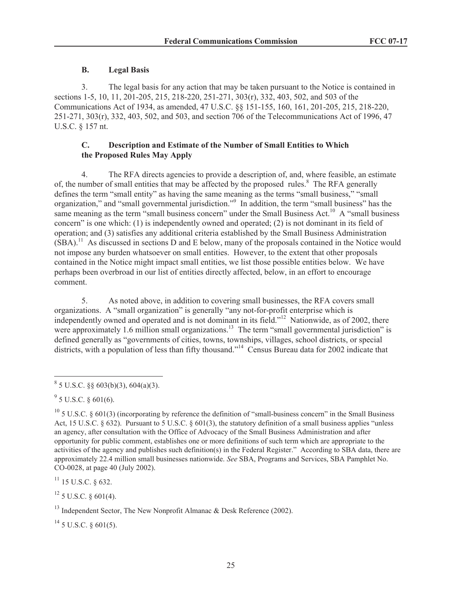## **B. Legal Basis**

3. The legal basis for any action that may be taken pursuant to the Notice is contained in sections 1-5, 10, 11, 201-205, 215, 218-220, 251-271, 303(r), 332, 403, 502, and 503 of the Communications Act of 1934, as amended, 47 U.S.C. §§ 151-155, 160, 161, 201-205, 215, 218-220, 251-271, 303(r), 332, 403, 502, and 503, and section 706 of the Telecommunications Act of 1996, 47 U.S.C. § 157 nt.

## **C. Description and Estimate of the Number of Small Entities to Which the Proposed Rules May Apply**

4. The RFA directs agencies to provide a description of, and, where feasible, an estimate of, the number of small entities that may be affected by the proposed rules.<sup>8</sup> The RFA generally defines the term "small entity" as having the same meaning as the terms "small business," "small organization," and "small governmental jurisdiction."<sup>9</sup> In addition, the term "small business" has the same meaning as the term "small business concern" under the Small Business Act.<sup>10</sup> A "small business" concern" is one which: (1) is independently owned and operated; (2) is not dominant in its field of operation; and (3) satisfies any additional criteria established by the Small Business Administration  $(SBA)$ <sup>11</sup> As discussed in sections D and E below, many of the proposals contained in the Notice would not impose any burden whatsoever on small entities. However, to the extent that other proposals contained in the Notice might impact small entities, we list those possible entities below. We have perhaps been overbroad in our list of entities directly affected, below, in an effort to encourage comment.

5. As noted above, in addition to covering small businesses, the RFA covers small organizations. A "small organization" is generally "any not-for-profit enterprise which is independently owned and operated and is not dominant in its field."<sup>12</sup> Nationwide, as of 2002, there were approximately 1.6 million small organizations.<sup>13</sup> The term "small governmental jurisdiction" is defined generally as "governments of cities, towns, townships, villages, school districts, or special districts, with a population of less than fifty thousand."<sup>14</sup> Census Bureau data for 2002 indicate that

 $11$  15 U.S.C. § 632.

 $12$  5 U.S.C. § 601(4).

 $^{14}$  5 U.S.C. § 601(5).

 $8^8$  5 U.S.C. §§ 603(b)(3), 604(a)(3).

 $9^9$  5 U.S.C. § 601(6).

 $10$  5 U.S.C. § 601(3) (incorporating by reference the definition of "small-business concern" in the Small Business Act, 15 U.S.C. § 632). Pursuant to 5 U.S.C. § 601(3), the statutory definition of a small business applies "unless an agency, after consultation with the Office of Advocacy of the Small Business Administration and after opportunity for public comment, establishes one or more definitions of such term which are appropriate to the activities of the agency and publishes such definition(s) in the Federal Register." According to SBA data, there are approximately 22.4 million small businesses nationwide. *See* SBA, Programs and Services, SBA Pamphlet No. CO-0028, at page 40 (July 2002).

<sup>&</sup>lt;sup>13</sup> Independent Sector, The New Nonprofit Almanac  $\&$  Desk Reference (2002).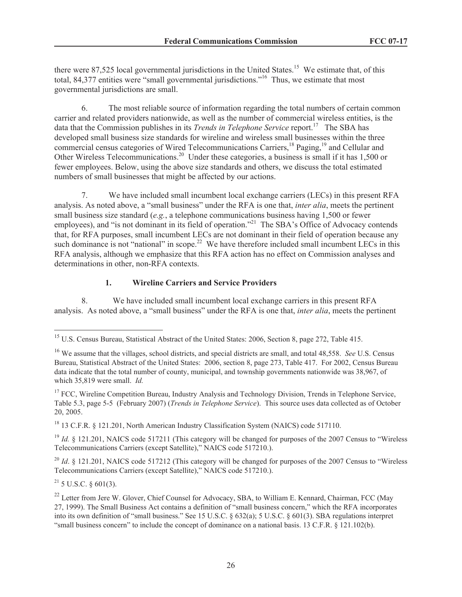there were 87,525 local governmental jurisdictions in the United States.<sup>15</sup> We estimate that, of this total, 84,377 entities were "small governmental jurisdictions."<sup>16</sup> Thus, we estimate that most governmental jurisdictions are small.

6. The most reliable source of information regarding the total numbers of certain common carrier and related providers nationwide, as well as the number of commercial wireless entities, is the data that the Commission publishes in its *Trends in Telephone Service* report.<sup>17</sup> The SBA has developed small business size standards for wireline and wireless small businesses within the three commercial census categories of Wired Telecommunications Carriers,<sup>18</sup> Paging,<sup>19</sup> and Cellular and Other Wireless Telecommunications.<sup>20</sup> Under these categories, a business is small if it has 1,500 or fewer employees. Below, using the above size standards and others, we discuss the total estimated numbers of small businesses that might be affected by our actions.

7. We have included small incumbent local exchange carriers (LECs) in this present RFA analysis. As noted above, a "small business" under the RFA is one that, *inter alia*, meets the pertinent small business size standard (*e.g.*, a telephone communications business having 1,500 or fewer employees), and "is not dominant in its field of operation."<sup>21</sup> The SBA's Office of Advocacy contends that, for RFA purposes, small incumbent LECs are not dominant in their field of operation because any such dominance is not "national" in scope.<sup>22</sup> We have therefore included small incumbent LECs in this RFA analysis, although we emphasize that this RFA action has no effect on Commission analyses and determinations in other, non-RFA contexts.

## **1. Wireline Carriers and Service Providers**

8. We have included small incumbent local exchange carriers in this present RFA analysis. As noted above, a "small business" under the RFA is one that, *inter alia*, meets the pertinent

<sup>19</sup> *Id.* § 121.201, NAICS code 517211 (This category will be changed for purposes of the 2007 Census to "Wireless" Telecommunications Carriers (except Satellite)," NAICS code 517210.).

<sup>20</sup> *Id.* § 121.201, NAICS code 517212 (This category will be changed for purposes of the 2007 Census to "Wireless" Telecommunications Carriers (except Satellite)," NAICS code 517210.).

 $^{21}$  5 U.S.C. § 601(3).

<sup>&</sup>lt;sup>15</sup> U.S. Census Bureau, Statistical Abstract of the United States: 2006, Section 8, page 272, Table 415.

<sup>16</sup> We assume that the villages, school districts, and special districts are small, and total 48,558. *See* U.S. Census Bureau, Statistical Abstract of the United States: 2006, section 8, page 273, Table 417. For 2002, Census Bureau data indicate that the total number of county, municipal, and township governments nationwide was 38,967, of which 35,819 were small. *Id.*

<sup>&</sup>lt;sup>17</sup> FCC, Wireline Competition Bureau, Industry Analysis and Technology Division, Trends in Telephone Service, Table 5.3, page 5-5 (February 2007) (*Trends in Telephone Service*). This source uses data collected as of October 20, 2005.

<sup>&</sup>lt;sup>18</sup> 13 C.F.R. § 121.201, North American Industry Classification System (NAICS) code 517110.

<sup>&</sup>lt;sup>22</sup> Letter from Jere W. Glover, Chief Counsel for Advocacy, SBA, to William E. Kennard, Chairman, FCC (May 27, 1999). The Small Business Act contains a definition of "small business concern," which the RFA incorporates into its own definition of "small business." See 15 U.S.C. § 632(a); 5 U.S.C. § 601(3). SBA regulations interpret "small business concern" to include the concept of dominance on a national basis. 13 C.F.R. § 121.102(b).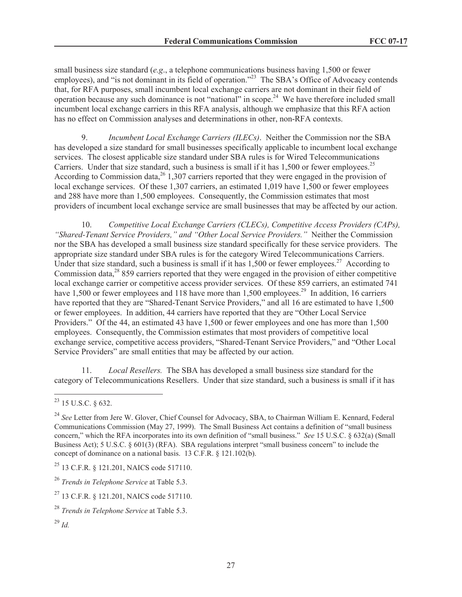small business size standard (*e.g*., a telephone communications business having 1,500 or fewer employees), and "is not dominant in its field of operation."<sup>23</sup> The SBA's Office of Advocacy contends that, for RFA purposes, small incumbent local exchange carriers are not dominant in their field of operation because any such dominance is not "national" in scope.<sup>24</sup> We have therefore included small incumbent local exchange carriers in this RFA analysis, although we emphasize that this RFA action has no effect on Commission analyses and determinations in other, non-RFA contexts.

9. *Incumbent Local Exchange Carriers (ILECs)*. Neither the Commission nor the SBA has developed a size standard for small businesses specifically applicable to incumbent local exchange services. The closest applicable size standard under SBA rules is for Wired Telecommunications Carriers. Under that size standard, such a business is small if it has  $1.500$  or fewer employees.<sup>25</sup> According to Commission data,  $26$  1,307 carriers reported that they were engaged in the provision of local exchange services. Of these 1,307 carriers, an estimated 1,019 have 1,500 or fewer employees and 288 have more than 1,500 employees. Consequently, the Commission estimates that most providers of incumbent local exchange service are small businesses that may be affected by our action.

10. *Competitive Local Exchange Carriers (CLECs), Competitive Access Providers (CAPs), "Shared-Tenant Service Providers," and "Other Local Service Providers."* Neither the Commission nor the SBA has developed a small business size standard specifically for these service providers. The appropriate size standard under SBA rules is for the category Wired Telecommunications Carriers. Under that size standard, such a business is small if it has  $1,500$  or fewer employees.<sup>27</sup> According to Commission data, $^{28}$  859 carriers reported that they were engaged in the provision of either competitive local exchange carrier or competitive access provider services. Of these 859 carriers, an estimated 741 have 1,500 or fewer employees and 118 have more than 1,500 employees.<sup>29</sup> In addition, 16 carriers have reported that they are "Shared-Tenant Service Providers," and all 16 are estimated to have 1,500 or fewer employees. In addition, 44 carriers have reported that they are "Other Local Service Providers." Of the 44, an estimated 43 have 1,500 or fewer employees and one has more than 1,500 employees. Consequently, the Commission estimates that most providers of competitive local exchange service, competitive access providers, "Shared-Tenant Service Providers," and "Other Local Service Providers" are small entities that may be affected by our action.

11. *Local Resellers.* The SBA has developed a small business size standard for the category of Telecommunications Resellers. Under that size standard, such a business is small if it has

<sup>23</sup> 15 U.S.C. § 632.

<sup>24</sup> *See* Letter from Jere W. Glover, Chief Counsel for Advocacy, SBA, to Chairman William E. Kennard, Federal Communications Commission (May 27, 1999). The Small Business Act contains a definition of "small business concern," which the RFA incorporates into its own definition of "small business." *See* 15 U.S.C. § 632(a) (Small Business Act); 5 U.S.C. § 601(3) (RFA). SBA regulations interpret "small business concern" to include the concept of dominance on a national basis. 13 C.F.R. § 121.102(b).

<sup>25</sup> 13 C.F.R. § 121.201, NAICS code 517110.

<sup>26</sup> *Trends in Telephone Service* at Table 5.3.

<sup>&</sup>lt;sup>27</sup> 13 C.F.R. § 121.201, NAICS code 517110.

<sup>28</sup> *Trends in Telephone Service* at Table 5.3.

<sup>29</sup> *Id.*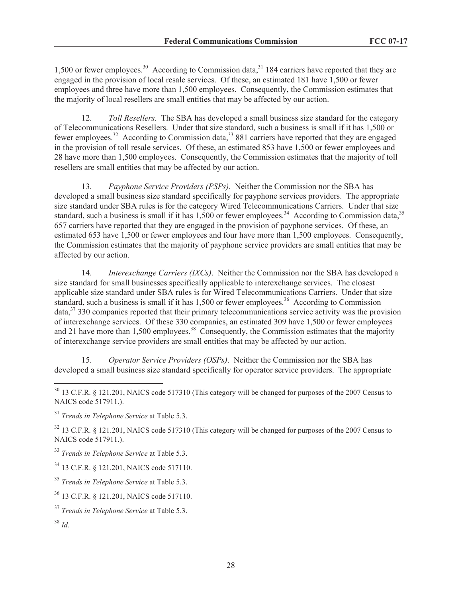1,500 or fewer employees.<sup>30</sup> According to Commission data,<sup>31</sup> 184 carriers have reported that they are engaged in the provision of local resale services. Of these, an estimated 181 have 1,500 or fewer employees and three have more than 1,500 employees. Consequently, the Commission estimates that the majority of local resellers are small entities that may be affected by our action.

12. *Toll Resellers.* The SBA has developed a small business size standard for the category of Telecommunications Resellers. Under that size standard, such a business is small if it has 1,500 or fewer employees.<sup>32</sup> According to Commission data,<sup>33</sup> 881 carriers have reported that they are engaged in the provision of toll resale services. Of these, an estimated 853 have 1,500 or fewer employees and 28 have more than 1,500 employees. Consequently, the Commission estimates that the majority of toll resellers are small entities that may be affected by our action.

13. *Payphone Service Providers (PSPs)*. Neither the Commission nor the SBA has developed a small business size standard specifically for payphone services providers. The appropriate size standard under SBA rules is for the category Wired Telecommunications Carriers. Under that size standard, such a business is small if it has  $1,500$  or fewer employees.<sup>34</sup> According to Commission data,<sup>35</sup> 657 carriers have reported that they are engaged in the provision of payphone services. Of these, an estimated 653 have 1,500 or fewer employees and four have more than 1,500 employees. Consequently, the Commission estimates that the majority of payphone service providers are small entities that may be affected by our action.

14. *Interexchange Carriers (IXCs)*. Neither the Commission nor the SBA has developed a size standard for small businesses specifically applicable to interexchange services. The closest applicable size standard under SBA rules is for Wired Telecommunications Carriers. Under that size standard, such a business is small if it has  $1,500$  or fewer employees.<sup>36</sup> According to Commission data,<sup>37</sup> 330 companies reported that their primary telecommunications service activity was the provision of interexchange services. Of these 330 companies, an estimated 309 have 1,500 or fewer employees and 21 have more than 1,500 employees.<sup>38</sup> Consequently, the Commission estimates that the majority of interexchange service providers are small entities that may be affected by our action.

15. *Operator Service Providers (OSPs)*. Neither the Commission nor the SBA has developed a small business size standard specifically for operator service providers. The appropriate

<sup>32</sup> 13 C.F.R. § 121.201, NAICS code 517310 (This category will be changed for purposes of the 2007 Census to NAICS code 517911.).

<sup>33</sup> *Trends in Telephone Service* at Table 5.3.

<sup>&</sup>lt;sup>30</sup> 13 C.F.R. § 121.201, NAICS code 517310 (This category will be changed for purposes of the 2007 Census to NAICS code 517911.).

<sup>31</sup> *Trends in Telephone Service* at Table 5.3.

<sup>34</sup> 13 C.F.R. § 121.201, NAICS code 517110.

<sup>35</sup> *Trends in Telephone Service* at Table 5.3.

<sup>36</sup> 13 C.F.R. § 121.201, NAICS code 517110.

<sup>37</sup> *Trends in Telephone Service* at Table 5.3.

<sup>38</sup> *Id.*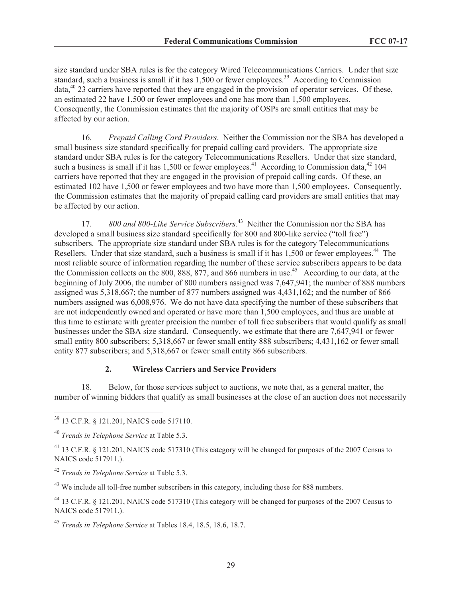size standard under SBA rules is for the category Wired Telecommunications Carriers. Under that size standard, such a business is small if it has  $1,500$  or fewer employees.<sup>39</sup> According to Commission  $data<sub>40</sub>$ <sup>40</sup> 23 carriers have reported that they are engaged in the provision of operator services. Of these, an estimated 22 have 1,500 or fewer employees and one has more than 1,500 employees. Consequently, the Commission estimates that the majority of OSPs are small entities that may be affected by our action.

16. *Prepaid Calling Card Providers*. Neither the Commission nor the SBA has developed a small business size standard specifically for prepaid calling card providers. The appropriate size standard under SBA rules is for the category Telecommunications Resellers. Under that size standard, such a business is small if it has  $1,500$  or fewer employees.<sup>41</sup> According to Commission data,<sup>42</sup> 104 carriers have reported that they are engaged in the provision of prepaid calling cards. Of these, an estimated 102 have 1,500 or fewer employees and two have more than 1,500 employees. Consequently, the Commission estimates that the majority of prepaid calling card providers are small entities that may be affected by our action.

17. *800 and 800-Like Service Subscribers*. <sup>43</sup> Neither the Commission nor the SBA has developed a small business size standard specifically for 800 and 800-like service ("toll free") subscribers. The appropriate size standard under SBA rules is for the category Telecommunications Resellers. Under that size standard, such a business is small if it has 1,500 or fewer employees.<sup>44</sup> The most reliable source of information regarding the number of these service subscribers appears to be data the Commission collects on the 800, 888, 877, and 866 numbers in use.<sup>45</sup> According to our data, at the beginning of July 2006, the number of 800 numbers assigned was 7,647,941; the number of 888 numbers assigned was 5,318,667; the number of 877 numbers assigned was 4,431,162; and the number of 866 numbers assigned was 6,008,976. We do not have data specifying the number of these subscribers that are not independently owned and operated or have more than 1,500 employees, and thus are unable at this time to estimate with greater precision the number of toll free subscribers that would qualify as small businesses under the SBA size standard. Consequently, we estimate that there are 7,647,941 or fewer small entity 800 subscribers; 5,318,667 or fewer small entity 888 subscribers; 4,431,162 or fewer small entity 877 subscribers; and 5,318,667 or fewer small entity 866 subscribers.

## **2. Wireless Carriers and Service Providers**

18. Below, for those services subject to auctions, we note that, as a general matter, the number of winning bidders that qualify as small businesses at the close of an auction does not necessarily

<sup>43</sup> We include all toll-free number subscribers in this category, including those for 888 numbers.

<sup>39</sup> 13 C.F.R. § 121.201, NAICS code 517110.

<sup>40</sup> *Trends in Telephone Service* at Table 5.3.

<sup>&</sup>lt;sup>41</sup> 13 C.F.R. § 121.201, NAICS code 517310 (This category will be changed for purposes of the 2007 Census to NAICS code 517911.).

<sup>42</sup> *Trends in Telephone Service* at Table 5.3.

<sup>44</sup> 13 C.F.R. § 121.201, NAICS code 517310 (This category will be changed for purposes of the 2007 Census to NAICS code 517911.).

<sup>45</sup> *Trends in Telephone Service* at Tables 18.4, 18.5, 18.6, 18.7.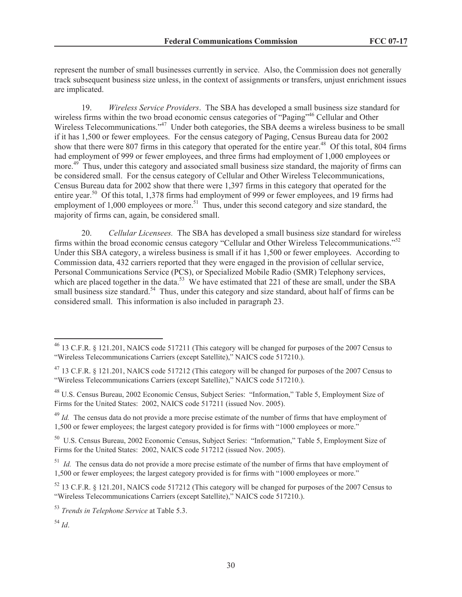represent the number of small businesses currently in service. Also, the Commission does not generally track subsequent business size unless, in the context of assignments or transfers, unjust enrichment issues are implicated.

19. *Wireless Service Providers*. The SBA has developed a small business size standard for wireless firms within the two broad economic census categories of "Paging"<sup>46</sup> Cellular and Other Wireless Telecommunications."<sup>47</sup> Under both categories, the SBA deems a wireless business to be small if it has 1,500 or fewer employees. For the census category of Paging, Census Bureau data for 2002 show that there were 807 firms in this category that operated for the entire year.<sup>48</sup> Of this total, 804 firms had employment of 999 or fewer employees, and three firms had employment of 1,000 employees or more.<sup>49</sup> Thus, under this category and associated small business size standard, the majority of firms can be considered small. For the census category of Cellular and Other Wireless Telecommunications, Census Bureau data for 2002 show that there were 1,397 firms in this category that operated for the entire year.<sup>50</sup> Of this total, 1,378 firms had employment of 999 or fewer employees, and 19 firms had employment of  $1,000$  employees or more.<sup>51</sup> Thus, under this second category and size standard, the majority of firms can, again, be considered small.

20. *Cellular Licensees.* The SBA has developed a small business size standard for wireless firms within the broad economic census category "Cellular and Other Wireless Telecommunications."<sup>52</sup> Under this SBA category, a wireless business is small if it has 1,500 or fewer employees. According to Commission data, 432 carriers reported that they were engaged in the provision of cellular service, Personal Communications Service (PCS), or Specialized Mobile Radio (SMR) Telephony services, which are placed together in the data.<sup>53</sup> We have estimated that 221 of these are small, under the SBA small business size standard.<sup>54</sup> Thus, under this category and size standard, about half of firms can be considered small. This information is also included in paragraph 23.

<sup>49</sup> *Id.* The census data do not provide a more precise estimate of the number of firms that have employment of 1,500 or fewer employees; the largest category provided is for firms with "1000 employees or more."

<sup>50</sup> U.S. Census Bureau, 2002 Economic Census, Subject Series: "Information," Table 5, Employment Size of Firms for the United States: 2002, NAICS code 517212 (issued Nov. 2005).

<sup>51</sup> *Id.* The census data do not provide a more precise estimate of the number of firms that have employment of 1,500 or fewer employees; the largest category provided is for firms with "1000 employees or more."

<sup>52</sup> 13 C.F.R. § 121.201, NAICS code 517212 (This category will be changed for purposes of the 2007 Census to "Wireless Telecommunications Carriers (except Satellite)," NAICS code 517210.).

<sup>53</sup> *Trends in Telephone Service* at Table 5.3.

<sup>54</sup> *Id*.

<sup>&</sup>lt;sup>46</sup> 13 C.F.R. § 121.201, NAICS code 517211 (This category will be changed for purposes of the 2007 Census to "Wireless Telecommunications Carriers (except Satellite)," NAICS code 517210.).

<sup>47</sup> 13 C.F.R. § 121.201, NAICS code 517212 (This category will be changed for purposes of the 2007 Census to "Wireless Telecommunications Carriers (except Satellite)," NAICS code 517210.).

<sup>48</sup> U.S. Census Bureau, 2002 Economic Census, Subject Series: "Information," Table 5, Employment Size of Firms for the United States: 2002, NAICS code 517211 (issued Nov. 2005).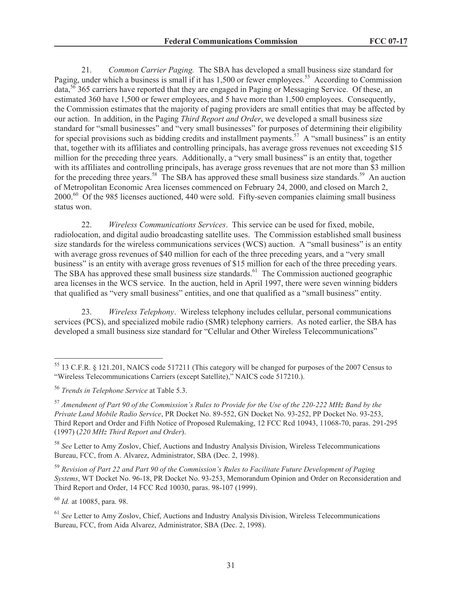21. *Common Carrier Paging.* The SBA has developed a small business size standard for Paging, under which a business is small if it has 1,500 or fewer employees.<sup>55</sup> According to Commission data,<sup>56</sup> 365 carriers have reported that they are engaged in Paging or Messaging Service. Of these, an estimated 360 have 1,500 or fewer employees, and 5 have more than 1,500 employees. Consequently, the Commission estimates that the majority of paging providers are small entities that may be affected by our action. In addition, in the Paging *Third Report and Order*, we developed a small business size standard for "small businesses" and "very small businesses" for purposes of determining their eligibility for special provisions such as bidding credits and installment payments.<sup>57</sup> A "small business" is an entity that, together with its affiliates and controlling principals, has average gross revenues not exceeding \$15 million for the preceding three years. Additionally, a "very small business" is an entity that, together with its affiliates and controlling principals, has average gross revenues that are not more than \$3 million for the preceding three years.<sup>58</sup> The SBA has approved these small business size standards.<sup>59</sup> An auction of Metropolitan Economic Area licenses commenced on February 24, 2000, and closed on March 2, 2000.<sup>60</sup> Of the 985 licenses auctioned, 440 were sold. Fifty-seven companies claiming small business status won.

22. *Wireless Communications Services*. This service can be used for fixed, mobile, radiolocation, and digital audio broadcasting satellite uses. The Commission established small business size standards for the wireless communications services (WCS) auction. A "small business" is an entity with average gross revenues of \$40 million for each of the three preceding years, and a "very small business" is an entity with average gross revenues of \$15 million for each of the three preceding years. The SBA has approved these small business size standards.<sup>61</sup> The Commission auctioned geographic area licenses in the WCS service. In the auction, held in April 1997, there were seven winning bidders that qualified as "very small business" entities, and one that qualified as a "small business" entity.

23. *Wireless Telephony*. Wireless telephony includes cellular, personal communications services (PCS), and specialized mobile radio (SMR) telephony carriers. As noted earlier, the SBA has developed a small business size standard for "Cellular and Other Wireless Telecommunications"

<sup>60</sup> *Id.* at 10085, para. 98.

<sup>55</sup> 13 C.F.R. § 121.201, NAICS code 517211 (This category will be changed for purposes of the 2007 Census to "Wireless Telecommunications Carriers (except Satellite)," NAICS code 517210.).

<sup>56</sup> *Trends in Telephone Service* at Table 5.3.

<sup>57</sup> *Amendment of Part 90 of the Commission's Rules to Provide for the Use of the 220-222 MHz Band by the Private Land Mobile Radio Service*, PR Docket No. 89-552, GN Docket No. 93-252, PP Docket No. 93-253, Third Report and Order and Fifth Notice of Proposed Rulemaking, 12 FCC Rcd 10943, 11068-70, paras. 291-295 (1997) (*220 MHz Third Report and Order*).

<sup>58</sup> *See* Letter to Amy Zoslov, Chief, Auctions and Industry Analysis Division, Wireless Telecommunications Bureau, FCC, from A. Alvarez, Administrator, SBA (Dec. 2, 1998).

<sup>59</sup> *Revision of Part 22 and Part 90 of the Commission's Rules to Facilitate Future Development of Paging Systems*, WT Docket No. 96-18, PR Docket No. 93-253, Memorandum Opinion and Order on Reconsideration and Third Report and Order, 14 FCC Rcd 10030, paras. 98-107 (1999).

<sup>61</sup> *See* Letter to Amy Zoslov, Chief, Auctions and Industry Analysis Division, Wireless Telecommunications Bureau, FCC, from Aida Alvarez, Administrator, SBA (Dec. 2, 1998).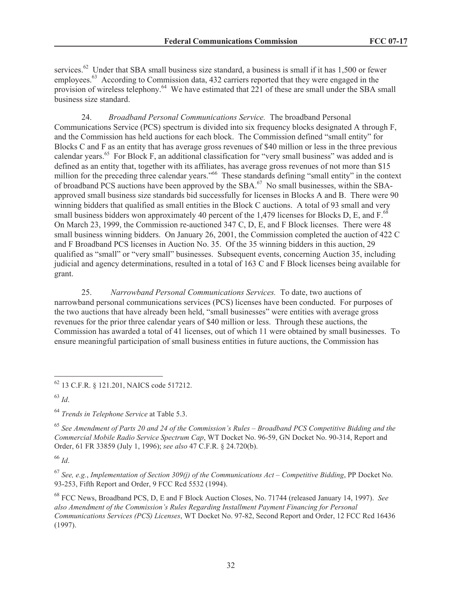services.<sup>62</sup> Under that SBA small business size standard, a business is small if it has 1,500 or fewer employees.<sup>63</sup> According to Commission data, 432 carriers reported that they were engaged in the provision of wireless telephony.<sup>64</sup> We have estimated that 221 of these are small under the SBA small business size standard.

24. *Broadband Personal Communications Service.* The broadband Personal Communications Service (PCS) spectrum is divided into six frequency blocks designated A through F, and the Commission has held auctions for each block. The Commission defined "small entity" for Blocks C and F as an entity that has average gross revenues of \$40 million or less in the three previous calendar years.<sup>65</sup> For Block F, an additional classification for "very small business" was added and is defined as an entity that, together with its affiliates, has average gross revenues of not more than \$15 million for the preceding three calendar years."<sup>66</sup> These standards defining "small entity" in the context of broadband PCS auctions have been approved by the SBA.<sup>67</sup> No small businesses, within the SBAapproved small business size standards bid successfully for licenses in Blocks A and B. There were 90 winning bidders that qualified as small entities in the Block C auctions. A total of 93 small and very small business bidders won approximately 40 percent of the 1,479 licenses for Blocks D, E, and  $F<sup>68</sup>$ On March 23, 1999, the Commission re-auctioned 347 C, D, E, and F Block licenses. There were 48 small business winning bidders. On January 26, 2001, the Commission completed the auction of 422 C and F Broadband PCS licenses in Auction No. 35. Of the 35 winning bidders in this auction, 29 qualified as "small" or "very small" businesses. Subsequent events, concerning Auction 35, including judicial and agency determinations, resulted in a total of 163 C and F Block licenses being available for grant.

25. *Narrowband Personal Communications Services.* To date, two auctions of narrowband personal communications services (PCS) licenses have been conducted. For purposes of the two auctions that have already been held, "small businesses" were entities with average gross revenues for the prior three calendar years of \$40 million or less. Through these auctions, the Commission has awarded a total of 41 licenses, out of which 11 were obtained by small businesses. To ensure meaningful participation of small business entities in future auctions, the Commission has

<sup>63</sup> *Id*.

<sup>65</sup> *See Amendment of Parts 20 and 24 of the Commission's Rules – Broadband PCS Competitive Bidding and the Commercial Mobile Radio Service Spectrum Cap*, WT Docket No. 96-59, GN Docket No. 90-314, Report and Order, 61 FR 33859 (July 1, 1996); *see also* 47 C.F.R. § 24.720(b).

<sup>66</sup> *Id*.

<sup>67</sup> *See, e.g.*, *Implementation of Section 309(j) of the Communications Act – Competitive Bidding*, PP Docket No. 93-253, Fifth Report and Order, 9 FCC Rcd 5532 (1994).

<sup>68</sup> FCC News, Broadband PCS, D, E and F Block Auction Closes, No. 71744 (released January 14, 1997). *See also Amendment of the Commission's Rules Regarding Installment Payment Financing for Personal Communications Services (PCS) Licenses*, WT Docket No. 97-82, Second Report and Order, 12 FCC Rcd 16436 (1997).

<sup>62</sup> 13 C.F.R. § 121.201, NAICS code 517212.

<sup>64</sup> *Trends in Telephone Service* at Table 5.3.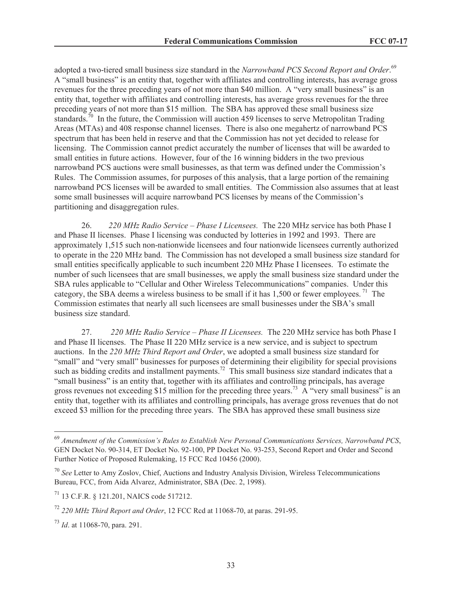adopted a two-tiered small business size standard in the *Narrowband PCS Second Report and Order*. 69 A "small business" is an entity that, together with affiliates and controlling interests, has average gross revenues for the three preceding years of not more than \$40 million. A "very small business" is an entity that, together with affiliates and controlling interests, has average gross revenues for the three preceding years of not more than \$15 million. The SBA has approved these small business size standards.<sup>70</sup> In the future, the Commission will auction 459 licenses to serve Metropolitan Trading Areas (MTAs) and 408 response channel licenses. There is also one megahertz of narrowband PCS spectrum that has been held in reserve and that the Commission has not yet decided to release for licensing. The Commission cannot predict accurately the number of licenses that will be awarded to small entities in future actions. However, four of the 16 winning bidders in the two previous narrowband PCS auctions were small businesses, as that term was defined under the Commission's Rules. The Commission assumes, for purposes of this analysis, that a large portion of the remaining narrowband PCS licenses will be awarded to small entities. The Commission also assumes that at least some small businesses will acquire narrowband PCS licenses by means of the Commission's partitioning and disaggregation rules.

26. *220 MHz Radio Service – Phase I Licensees.* The 220 MHz service has both Phase I and Phase II licenses. Phase I licensing was conducted by lotteries in 1992 and 1993. There are approximately 1,515 such non-nationwide licensees and four nationwide licensees currently authorized to operate in the 220 MHz band. The Commission has not developed a small business size standard for small entities specifically applicable to such incumbent 220 MHz Phase I licensees. To estimate the number of such licensees that are small businesses, we apply the small business size standard under the SBA rules applicable to "Cellular and Other Wireless Telecommunications" companies. Under this category, the SBA deems a wireless business to be small if it has  $1,500$  or fewer employees.<sup>71</sup> The Commission estimates that nearly all such licensees are small businesses under the SBA's small business size standard.

27. *220 MHz Radio Service – Phase II Licensees.* The 220 MHz service has both Phase I and Phase II licenses. The Phase II 220 MHz service is a new service, and is subject to spectrum auctions. In the *220 MHz Third Report and Order*, we adopted a small business size standard for "small" and "very small" businesses for purposes of determining their eligibility for special provisions such as bidding credits and installment payments.<sup>72</sup> This small business size standard indicates that a "small business" is an entity that, together with its affiliates and controlling principals, has average gross revenues not exceeding \$15 million for the preceding three years.<sup>73</sup> A "very small business" is an entity that, together with its affiliates and controlling principals, has average gross revenues that do not exceed \$3 million for the preceding three years. The SBA has approved these small business size

<sup>69</sup> *Amendment of the Commission's Rules to Establish New Personal Communications Services, Narrowband PCS*, GEN Docket No. 90-314, ET Docket No. 92-100, PP Docket No. 93-253, Second Report and Order and Second Further Notice of Proposed Rulemaking, 15 FCC Rcd 10456 (2000).

<sup>70</sup> *See* Letter to Amy Zoslov, Chief, Auctions and Industry Analysis Division, Wireless Telecommunications Bureau, FCC, from Aida Alvarez, Administrator, SBA (Dec. 2, 1998).

<sup>71</sup> 13 C.F.R. § 121.201, NAICS code 517212.

<sup>72</sup> *220 MHz Third Report and Order*, 12 FCC Rcd at 11068-70, at paras. 291-95.

<sup>73</sup> *Id*. at 11068-70, para. 291.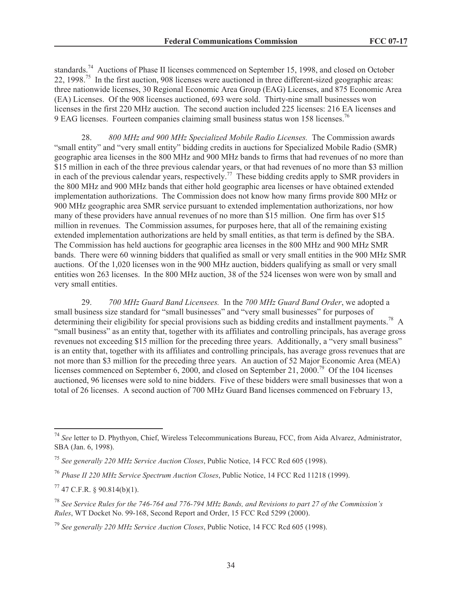standards.<sup>74</sup> Auctions of Phase II licenses commenced on September 15, 1998, and closed on October 22, 1998.<sup>75</sup> In the first auction, 908 licenses were auctioned in three different-sized geographic areas: three nationwide licenses, 30 Regional Economic Area Group (EAG) Licenses, and 875 Economic Area (EA) Licenses. Of the 908 licenses auctioned, 693 were sold. Thirty-nine small businesses won licenses in the first 220 MHz auction. The second auction included 225 licenses: 216 EA licenses and 9 EAG licenses. Fourteen companies claiming small business status won 158 licenses.<sup>76</sup>

28. *800 MHz and 900 MHz Specialized Mobile Radio Licenses.* The Commission awards "small entity" and "very small entity" bidding credits in auctions for Specialized Mobile Radio (SMR) geographic area licenses in the 800 MHz and 900 MHz bands to firms that had revenues of no more than \$15 million in each of the three previous calendar years, or that had revenues of no more than \$3 million in each of the previous calendar years, respectively.<sup>77</sup> These bidding credits apply to SMR providers in the 800 MHz and 900 MHz bands that either hold geographic area licenses or have obtained extended implementation authorizations. The Commission does not know how many firms provide 800 MHz or 900 MHz geographic area SMR service pursuant to extended implementation authorizations, nor how many of these providers have annual revenues of no more than \$15 million. One firm has over \$15 million in revenues. The Commission assumes, for purposes here, that all of the remaining existing extended implementation authorizations are held by small entities, as that term is defined by the SBA. The Commission has held auctions for geographic area licenses in the 800 MHz and 900 MHz SMR bands. There were 60 winning bidders that qualified as small or very small entities in the 900 MHz SMR auctions. Of the 1,020 licenses won in the 900 MHz auction, bidders qualifying as small or very small entities won 263 licenses. In the 800 MHz auction, 38 of the 524 licenses won were won by small and very small entities.

29. *700 MHz Guard Band Licensees.* In the *700 MHz Guard Band Order*, we adopted a small business size standard for "small businesses" and "very small businesses" for purposes of determining their eligibility for special provisions such as bidding credits and installment payments.<sup>78</sup> A "small business" as an entity that, together with its affiliates and controlling principals, has average gross revenues not exceeding \$15 million for the preceding three years. Additionally, a "very small business" is an entity that, together with its affiliates and controlling principals, has average gross revenues that are not more than \$3 million for the preceding three years. An auction of 52 Major Economic Area (MEA) licenses commenced on September 6, 2000, and closed on September 21, 2000.<sup>79</sup> Of the 104 licenses auctioned, 96 licenses were sold to nine bidders. Five of these bidders were small businesses that won a total of 26 licenses. A second auction of 700 MHz Guard Band licenses commenced on February 13,

<sup>74</sup> *See* letter to D. Phythyon, Chief, Wireless Telecommunications Bureau, FCC, from Aida Alvarez, Administrator, SBA (Jan. 6, 1998).

<sup>75</sup> *See generally 220 MHz Service Auction Closes*, Public Notice, 14 FCC Rcd 605 (1998).

<sup>76</sup> *Phase II 220 MHz Service Spectrum Auction Closes*, Public Notice, 14 FCC Rcd 11218 (1999).

 $77$  47 C.F.R. § 90.814(b)(1).

<sup>78</sup> *See Service Rules for the 746-764 and 776-794 MHz Bands, and Revisions to part 27 of the Commission's Rules*, WT Docket No. 99-168, Second Report and Order, 15 FCC Rcd 5299 (2000).

<sup>79</sup> *See generally 220 MHz Service Auction Closes*, Public Notice, 14 FCC Rcd 605 (1998).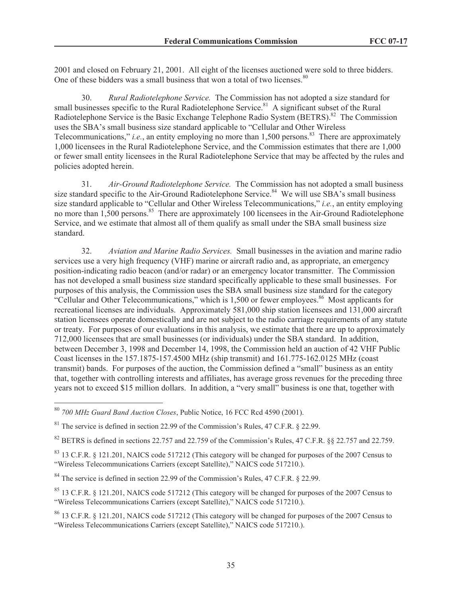2001 and closed on February 21, 2001. All eight of the licenses auctioned were sold to three bidders. One of these bidders was a small business that won a total of two licenses.<sup>80</sup>

30. *Rural Radiotelephone Service.* The Commission has not adopted a size standard for small businesses specific to the Rural Radiotelephone Service.<sup>81</sup> A significant subset of the Rural Radiotelephone Service is the Basic Exchange Telephone Radio System (BETRS).<sup>82</sup> The Commission uses the SBA's small business size standard applicable to "Cellular and Other Wireless Telecommunications," *i.e.*, an entity employing no more than  $1,500$  persons.<sup>83</sup> There are approximately 1,000 licensees in the Rural Radiotelephone Service, and the Commission estimates that there are 1,000 or fewer small entity licensees in the Rural Radiotelephone Service that may be affected by the rules and policies adopted herein.

31. *Air-Ground Radiotelephone Service.* The Commission has not adopted a small business size standard specific to the Air-Ground Radiotelephone Service.<sup>84</sup> We will use SBA's small business size standard applicable to "Cellular and Other Wireless Telecommunications," *i.e.*, an entity employing no more than  $1,500$  persons.<sup>85</sup> There are approximately 100 licensees in the Air-Ground Radiotelephone Service, and we estimate that almost all of them qualify as small under the SBA small business size standard.

32. *Aviation and Marine Radio Services.* Small businesses in the aviation and marine radio services use a very high frequency (VHF) marine or aircraft radio and, as appropriate, an emergency position-indicating radio beacon (and/or radar) or an emergency locator transmitter. The Commission has not developed a small business size standard specifically applicable to these small businesses. For purposes of this analysis, the Commission uses the SBA small business size standard for the category "Cellular and Other Telecommunications," which is  $1,500$  or fewer employees.<sup>86</sup> Most applicants for recreational licenses are individuals. Approximately 581,000 ship station licensees and 131,000 aircraft station licensees operate domestically and are not subject to the radio carriage requirements of any statute or treaty. For purposes of our evaluations in this analysis, we estimate that there are up to approximately 712,000 licensees that are small businesses (or individuals) under the SBA standard. In addition, between December 3, 1998 and December 14, 1998, the Commission held an auction of 42 VHF Public Coast licenses in the 157.1875-157.4500 MHz (ship transmit) and 161.775-162.0125 MHz (coast transmit) bands. For purposes of the auction, the Commission defined a "small" business as an entity that, together with controlling interests and affiliates, has average gross revenues for the preceding three years not to exceed \$15 million dollars. In addition, a "very small" business is one that, together with

 $82$  BETRS is defined in sections 22.757 and 22.759 of the Commission's Rules, 47 C.F.R.  $88$  22.757 and 22.759.

<sup>80</sup> *700 MHz Guard Band Auction Closes*, Public Notice, 16 FCC Rcd 4590 (2001).

 $81$  The service is defined in section 22.99 of the Commission's Rules, 47 C.F.R. § 22.99.

<sup>&</sup>lt;sup>83</sup> 13 C.F.R. § 121.201, NAICS code 517212 (This category will be changed for purposes of the 2007 Census to "Wireless Telecommunications Carriers (except Satellite)," NAICS code 517210.).

<sup>&</sup>lt;sup>84</sup> The service is defined in section 22.99 of the Commission's Rules, 47 C.F.R. § 22.99.

<sup>&</sup>lt;sup>85</sup> 13 C.F.R. § 121.201, NAICS code 517212 (This category will be changed for purposes of the 2007 Census to "Wireless Telecommunications Carriers (except Satellite)," NAICS code 517210.).

<sup>86</sup> 13 C.F.R. § 121.201, NAICS code 517212 (This category will be changed for purposes of the 2007 Census to "Wireless Telecommunications Carriers (except Satellite)," NAICS code 517210.).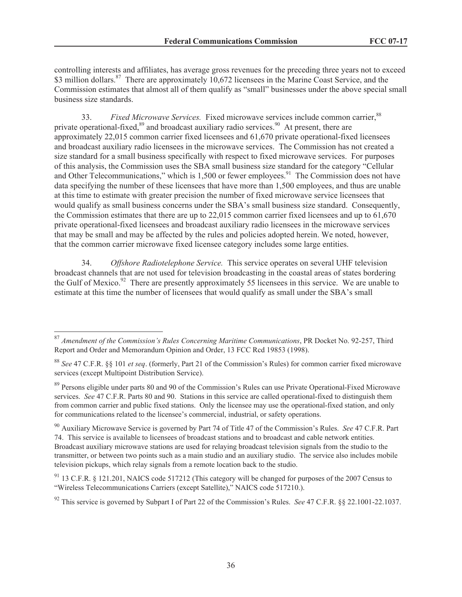controlling interests and affiliates, has average gross revenues for the preceding three years not to exceed \$3 million dollars.<sup>87</sup> There are approximately 10,672 licensees in the Marine Coast Service, and the Commission estimates that almost all of them qualify as "small" businesses under the above special small business size standards.

33. *Fixed Microwave Services.* Fixed microwave services include common carrier,<sup>88</sup> private operational-fixed,<sup>89</sup> and broadcast auxiliary radio services.<sup>90</sup> At present, there are approximately 22,015 common carrier fixed licensees and 61,670 private operational-fixed licensees and broadcast auxiliary radio licensees in the microwave services. The Commission has not created a size standard for a small business specifically with respect to fixed microwave services. For purposes of this analysis, the Commission uses the SBA small business size standard for the category "Cellular and Other Telecommunications," which is  $1,500$  or fewer employees. $91$  The Commission does not have data specifying the number of these licensees that have more than 1,500 employees, and thus are unable at this time to estimate with greater precision the number of fixed microwave service licensees that would qualify as small business concerns under the SBA's small business size standard. Consequently, the Commission estimates that there are up to 22,015 common carrier fixed licensees and up to 61,670 private operational-fixed licensees and broadcast auxiliary radio licensees in the microwave services that may be small and may be affected by the rules and policies adopted herein. We noted, however, that the common carrier microwave fixed licensee category includes some large entities.

34. *Offshore Radiotelephone Service.* This service operates on several UHF television broadcast channels that are not used for television broadcasting in the coastal areas of states bordering the Gulf of Mexico.<sup>92</sup> There are presently approximately 55 licensees in this service. We are unable to estimate at this time the number of licensees that would qualify as small under the SBA's small

<sup>87</sup> *Amendment of the Commission's Rules Concerning Maritime Communications*, PR Docket No. 92-257, Third Report and Order and Memorandum Opinion and Order, 13 FCC Rcd 19853 (1998).

<sup>88</sup> *See* 47 C.F.R. §§ 101 *et seq*. (formerly, Part 21 of the Commission's Rules) for common carrier fixed microwave services (except Multipoint Distribution Service).

<sup>&</sup>lt;sup>89</sup> Persons eligible under parts 80 and 90 of the Commission's Rules can use Private Operational-Fixed Microwave services. *See* 47 C.F.R. Parts 80 and 90. Stations in this service are called operational-fixed to distinguish them from common carrier and public fixed stations. Only the licensee may use the operational-fixed station, and only for communications related to the licensee's commercial, industrial, or safety operations.

<sup>90</sup> Auxiliary Microwave Service is governed by Part 74 of Title 47 of the Commission's Rules. *See* 47 C.F.R. Part 74. This service is available to licensees of broadcast stations and to broadcast and cable network entities. Broadcast auxiliary microwave stations are used for relaying broadcast television signals from the studio to the transmitter, or between two points such as a main studio and an auxiliary studio. The service also includes mobile television pickups, which relay signals from a remote location back to the studio.

<sup>91</sup> 13 C.F.R. § 121.201, NAICS code 517212 (This category will be changed for purposes of the 2007 Census to "Wireless Telecommunications Carriers (except Satellite)," NAICS code 517210.).

<sup>92</sup> This service is governed by Subpart I of Part 22 of the Commission's Rules. *See* 47 C.F.R. §§ 22.1001-22.1037.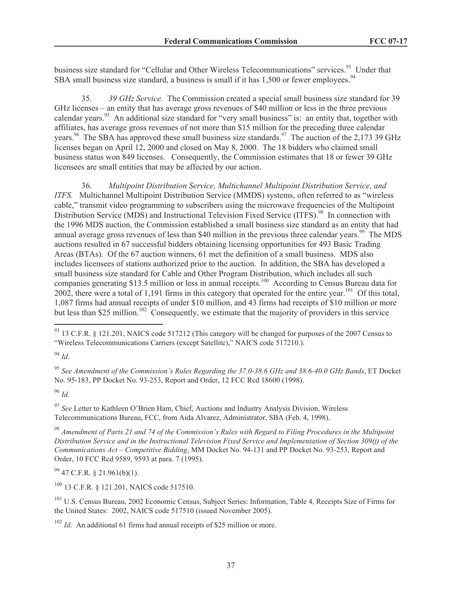business size standard for "Cellular and Other Wireless Telecommunications" services.<sup>93</sup> Under that SBA small business size standard, a business is small if it has  $1.500$  or fewer employees.<sup>94</sup>

35. *39 GHz Service.* The Commission created a special small business size standard for 39 GHz licenses – an entity that has average gross revenues of \$40 million or less in the three previous calendar years.<sup>95</sup> An additional size standard for "very small business" is: an entity that, together with affiliates, has average gross revenues of not more than \$15 million for the preceding three calendar years.<sup>96</sup> The SBA has approved these small business size standards.<sup>97</sup> The auction of the 2,173 39 GHz licenses began on April 12, 2000 and closed on May 8, 2000. The 18 bidders who claimed small business status won 849 licenses. Consequently, the Commission estimates that 18 or fewer 39 GHz licensees are small entities that may be affected by our action.

36. *Multipoint Distribution Service, Multichannel Multipoint Distribution Service, and ITFS.* Multichannel Multipoint Distribution Service (MMDS) systems, often referred to as "wireless cable," transmit video programming to subscribers using the microwave frequencies of the Multipoint Distribution Service (MDS) and Instructional Television Fixed Service (ITFS).<sup>98</sup> In connection with the 1996 MDS auction, the Commission established a small business size standard as an entity that had annual average gross revenues of less than \$40 million in the previous three calendar years.<sup>99</sup> The MDS auctions resulted in 67 successful bidders obtaining licensing opportunities for 493 Basic Trading Areas (BTAs). Of the 67 auction winners, 61 met the definition of a small business. MDS also includes licensees of stations authorized prior to the auction. In addition, the SBA has developed a small business size standard for Cable and Other Program Distribution, which includes all such companies generating \$13.5 million or less in annual receipts.<sup>100</sup> According to Census Bureau data for 2002, there were a total of 1,191 firms in this category that operated for the entire year.<sup>101</sup> Of this total, 1,087 firms had annual receipts of under \$10 million, and 43 firms had receipts of \$10 million or more but less than \$25 million.<sup>102</sup> Consequently, we estimate that the majority of providers in this service

<sup>94</sup> *Id*.

<sup>95</sup> *See Amendment of the Commission's Rules Regarding the 37.0-38.6 GHz and 38.6-40.0 GHz Bands*, ET Docket No. 95-183, PP Docket No. 93-253, Report and Order, 12 FCC Rcd 18600 (1998).

<sup>96</sup> *Id.*

<sup>97</sup> *See* Letter to Kathleen O'Brien Ham, Chief, Auctions and Industry Analysis Division, Wireless Telecommunications Bureau, FCC, from Aida Alvarez, Administrator, SBA (Feb. 4, 1998).

<sup>98</sup> *Amendment of Parts 21 and 74 of the Commission's Rules with Regard to Filing Procedures in the Multipoint Distribution Service and in the Instructional Television Fixed Service and Implementation of Section 309(j) of the Communications Act – Competitive Bidding*, MM Docket No. 94-131 and PP Docket No. 93-253, Report and Order, 10 FCC Rcd 9589, 9593 at para. 7 (1995).

 $99$  47 C.F.R. § 21.961(b)(1).

<sup>100</sup> 13 C.F.R. § 121.201, NAICS code 517510.

<sup>101</sup> U.S. Census Bureau, 2002 Economic Census, Subject Series: Information, Table 4, Receipts Size of Firms for the United States: 2002, NAICS code 517510 (issued November 2005).

<sup>102</sup> *Id*. An additional 61 firms had annual receipts of \$25 million or more.

 $^{93}$  13 C.F.R. § 121.201, NAICS code 517212 (This category will be changed for purposes of the 2007 Census to "Wireless Telecommunications Carriers (except Satellite)," NAICS code 517210.).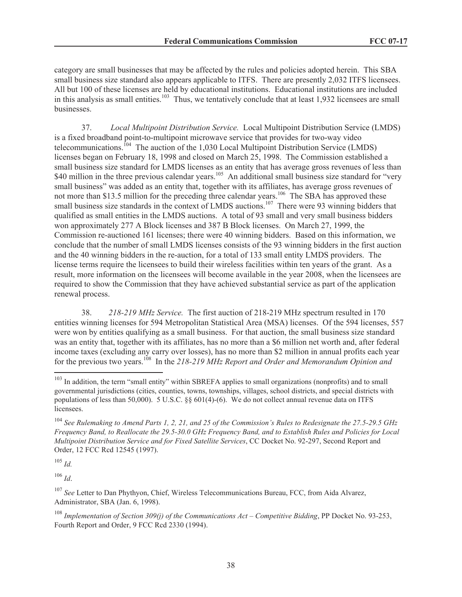category are small businesses that may be affected by the rules and policies adopted herein. This SBA small business size standard also appears applicable to ITFS. There are presently 2,032 ITFS licensees. All but 100 of these licenses are held by educational institutions. Educational institutions are included in this analysis as small entities.<sup>103</sup> Thus, we tentatively conclude that at least 1,932 licensees are small businesses.

37. *Local Multipoint Distribution Service.* Local Multipoint Distribution Service (LMDS) is a fixed broadband point-to-multipoint microwave service that provides for two-way video telecommunications.<sup>104</sup> The auction of the 1,030 Local Multipoint Distribution Service (LMDS) licenses began on February 18, 1998 and closed on March 25, 1998. The Commission established a small business size standard for LMDS licenses as an entity that has average gross revenues of less than \$40 million in the three previous calendar years.<sup>105</sup> An additional small business size standard for "very" small business" was added as an entity that, together with its affiliates, has average gross revenues of not more than \$13.5 million for the preceding three calendar years.<sup>106</sup> The SBA has approved these small business size standards in the context of LMDS auctions.<sup>107</sup> There were 93 winning bidders that qualified as small entities in the LMDS auctions. A total of 93 small and very small business bidders won approximately 277 A Block licenses and 387 B Block licenses. On March 27, 1999, the Commission re-auctioned 161 licenses; there were 40 winning bidders. Based on this information, we conclude that the number of small LMDS licenses consists of the 93 winning bidders in the first auction and the 40 winning bidders in the re-auction, for a total of 133 small entity LMDS providers. The license terms require the licensees to build their wireless facilities within ten years of the grant. As a result, more information on the licensees will become available in the year 2008, when the licensees are required to show the Commission that they have achieved substantial service as part of the application renewal process.

38. *218-219 MHz Service.* The first auction of 218-219 MHz spectrum resulted in 170 entities winning licenses for 594 Metropolitan Statistical Area (MSA) licenses. Of the 594 licenses, 557 were won by entities qualifying as a small business. For that auction, the small business size standard was an entity that, together with its affiliates, has no more than a \$6 million net worth and, after federal income taxes (excluding any carry over losses), has no more than \$2 million in annual profits each year for the previous two years.<sup>108</sup> In the *218-219 MHz Report and Order and Memorandum Opinion and* 

 $^{105}$  *Id.* 

<sup>106</sup> *Id*.

<sup>107</sup> *See* Letter to Dan Phythyon, Chief, Wireless Telecommunications Bureau, FCC, from Aida Alvarez, Administrator, SBA (Jan. 6, 1998).

<sup>108</sup> *Implementation of Section 309(j) of the Communications Act – Competitive Bidding*, PP Docket No. 93-253, Fourth Report and Order, 9 FCC Rcd 2330 (1994).

<sup>&</sup>lt;sup>103</sup> In addition, the term "small entity" within SBREFA applies to small organizations (nonprofits) and to small governmental jurisdictions (cities, counties, towns, townships, villages, school districts, and special districts with populations of less than 50,000). 5 U.S.C. §§  $601(4)$ - $(6)$ . We do not collect annual revenue data on ITFS licensees.

<sup>104</sup> *See Rulemaking to Amend Parts 1, 2, 21, and 25 of the Commission's Rules to Redesignate the 27.5-29.5 GHz Frequency Band, to Reallocate the 29.5-30.0 GHz Frequency Band, and to Establish Rules and Policies for Local Multipoint Distribution Service and for Fixed Satellite Services*, CC Docket No. 92-297, Second Report and Order, 12 FCC Rcd 12545 (1997).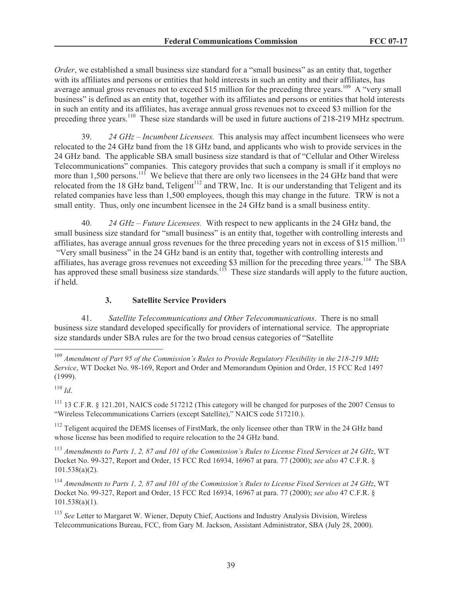*Order*, we established a small business size standard for a "small business" as an entity that, together with its affiliates and persons or entities that hold interests in such an entity and their affiliates, has average annual gross revenues not to exceed \$15 million for the preceding three years.<sup>109</sup> A "very small" business" is defined as an entity that, together with its affiliates and persons or entities that hold interests in such an entity and its affiliates, has average annual gross revenues not to exceed \$3 million for the preceding three years.<sup>110</sup> These size standards will be used in future auctions of 218-219 MHz spectrum.

39. *24 GHz – Incumbent Licensees.* This analysis may affect incumbent licensees who were relocated to the 24 GHz band from the 18 GHz band, and applicants who wish to provide services in the 24 GHz band. The applicable SBA small business size standard is that of "Cellular and Other Wireless Telecommunications" companies. This category provides that such a company is small if it employs no more than 1,500 persons.<sup>111</sup> We believe that there are only two licensees in the 24 GHz band that were relocated from the 18 GHz band, Teligent<sup>112</sup> and TRW, Inc. It is our understanding that Teligent and its related companies have less than 1,500 employees, though this may change in the future. TRW is not a small entity. Thus, only one incumbent licensee in the 24 GHz band is a small business entity.

40. *24 GHz – Future Licensees.* With respect to new applicants in the 24 GHz band, the small business size standard for "small business" is an entity that, together with controlling interests and affiliates, has average annual gross revenues for the three preceding years not in excess of \$15 million.<sup>113</sup> "Very small business" in the 24 GHz band is an entity that, together with controlling interests and affiliates, has average gross revenues not exceeding \$3 million for the preceding three years.<sup>114</sup> The SBA has approved these small business size standards.<sup>115</sup> These size standards will apply to the future auction, if held.

#### **3. Satellite Service Providers**

41. *Satellite Telecommunications and Other Telecommunications*. There is no small business size standard developed specifically for providers of international service. The appropriate size standards under SBA rules are for the two broad census categories of "Satellite

<sup>111</sup> 13 C.F.R. § 121.201, NAICS code 517212 (This category will be changed for purposes of the 2007 Census to "Wireless Telecommunications Carriers (except Satellite)," NAICS code 517210.).

 $112$  Teligent acquired the DEMS licenses of FirstMark, the only licensee other than TRW in the 24 GHz band whose license has been modified to require relocation to the 24 GHz band.

<sup>113</sup> *Amendments to Parts 1, 2, 87 and 101 of the Commission's Rules to License Fixed Services at 24 GHz*, WT Docket No. 99-327, Report and Order, 15 FCC Rcd 16934, 16967 at para. 77 (2000); *see also* 47 C.F.R. § 101.538(a)(2).

<sup>114</sup> *Amendments to Parts 1, 2, 87 and 101 of the Commission's Rules to License Fixed Services at 24 GHz*, WT Docket No. 99-327, Report and Order, 15 FCC Rcd 16934, 16967 at para. 77 (2000); *see also* 47 C.F.R. § 101.538(a)(1).

<sup>115</sup> *See* Letter to Margaret W. Wiener, Deputy Chief, Auctions and Industry Analysis Division, Wireless Telecommunications Bureau, FCC, from Gary M. Jackson, Assistant Administrator, SBA (July 28, 2000).

<sup>109</sup> *Amendment of Part 95 of the Commission's Rules to Provide Regulatory Flexibility in the 218-219 MHz Service*, WT Docket No. 98-169, Report and Order and Memorandum Opinion and Order, 15 FCC Rcd 1497 (1999).

<sup>110</sup> *Id*.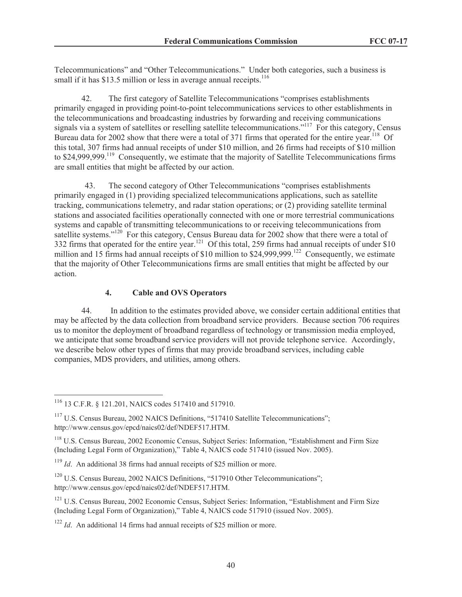Telecommunications" and "Other Telecommunications." Under both categories, such a business is small if it has \$13.5 million or less in average annual receipts.<sup>116</sup>

42. The first category of Satellite Telecommunications "comprises establishments primarily engaged in providing point-to-point telecommunications services to other establishments in the telecommunications and broadcasting industries by forwarding and receiving communications signals via a system of satellites or reselling satellite telecommunications."<sup>117</sup> For this category, Census Bureau data for 2002 show that there were a total of 371 firms that operated for the entire year.<sup>118</sup> Of this total, 307 firms had annual receipts of under \$10 million, and 26 firms had receipts of \$10 million to \$24,999,999.<sup>119</sup> Consequently, we estimate that the majority of Satellite Telecommunications firms are small entities that might be affected by our action.

43. The second category of Other Telecommunications "comprises establishments primarily engaged in (1) providing specialized telecommunications applications, such as satellite tracking, communications telemetry, and radar station operations; or (2) providing satellite terminal stations and associated facilities operationally connected with one or more terrestrial communications systems and capable of transmitting telecommunications to or receiving telecommunications from satellite systems."<sup>120</sup> For this category, Census Bureau data for 2002 show that there were a total of 332 firms that operated for the entire year.<sup>121</sup> Of this total, 259 firms had annual receipts of under \$10 million and 15 firms had annual receipts of \$10 million to \$24,999,999.<sup>122</sup> Consequently, we estimate that the majority of Other Telecommunications firms are small entities that might be affected by our action.

# **4. Cable and OVS Operators**

44. In addition to the estimates provided above, we consider certain additional entities that may be affected by the data collection from broadband service providers. Because section 706 requires us to monitor the deployment of broadband regardless of technology or transmission media employed, we anticipate that some broadband service providers will not provide telephone service. Accordingly, we describe below other types of firms that may provide broadband services, including cable companies, MDS providers, and utilities, among others.

<sup>116</sup> 13 C.F.R. § 121.201, NAICS codes 517410 and 517910.

<sup>&</sup>lt;sup>117</sup> U.S. Census Bureau, 2002 NAICS Definitions, "517410 Satellite Telecommunications"; http://www.census.gov/epcd/naics02/def/NDEF517.HTM.

<sup>118</sup> U.S. Census Bureau, 2002 Economic Census, Subject Series: Information, "Establishment and Firm Size (Including Legal Form of Organization)," Table 4, NAICS code 517410 (issued Nov. 2005).

<sup>&</sup>lt;sup>119</sup> *Id.* An additional 38 firms had annual receipts of \$25 million or more.

<sup>&</sup>lt;sup>120</sup> U.S. Census Bureau, 2002 NAICS Definitions, "517910 Other Telecommunications"; http://www.census.gov/epcd/naics02/def/NDEF517.HTM.

<sup>&</sup>lt;sup>121</sup> U.S. Census Bureau, 2002 Economic Census, Subject Series: Information, "Establishment and Firm Size (Including Legal Form of Organization)," Table 4, NAICS code 517910 (issued Nov. 2005).

<sup>&</sup>lt;sup>122</sup> *Id.* An additional 14 firms had annual receipts of \$25 million or more.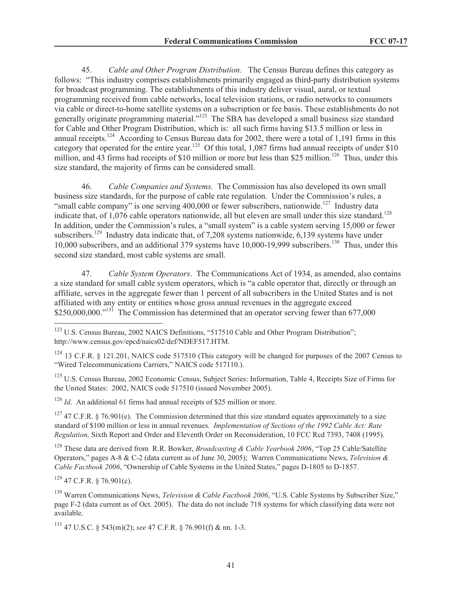45. *Cable and Other Program Distribution.* The Census Bureau defines this category as follows: "This industry comprises establishments primarily engaged as third-party distribution systems for broadcast programming. The establishments of this industry deliver visual, aural, or textual programming received from cable networks, local television stations, or radio networks to consumers via cable or direct-to-home satellite systems on a subscription or fee basis. These establishments do not generally originate programming material."<sup>123</sup> The SBA has developed a small business size standard for Cable and Other Program Distribution, which is: all such firms having \$13.5 million or less in annual receipts.<sup>124</sup> According to Census Bureau data for 2002, there were a total of 1,191 firms in this category that operated for the entire year.<sup>125</sup> Of this total, 1,087 firms had annual receipts of under \$10 million, and 43 firms had receipts of \$10 million or more but less than \$25 million.<sup>126</sup> Thus, under this size standard, the majority of firms can be considered small.

46. *Cable Companies and Systems.* The Commission has also developed its own small business size standards, for the purpose of cable rate regulation. Under the Commission's rules, a "small cable company" is one serving  $400,000$  or fewer subscribers, nationwide.<sup>127</sup> Industry data indicate that, of 1,076 cable operators nationwide, all but eleven are small under this size standard.<sup>128</sup> In addition, under the Commission's rules, a "small system" is a cable system serving 15,000 or fewer subscribers.<sup>129</sup> Industry data indicate that, of 7,208 systems nationwide, 6,139 systems have under 10,000 subscribers, and an additional 379 systems have 10,000-19,999 subscribers.<sup>130</sup> Thus, under this second size standard, most cable systems are small.

47. *Cable System Operators*. The Communications Act of 1934, as amended, also contains a size standard for small cable system operators, which is "a cable operator that, directly or through an affiliate, serves in the aggregate fewer than 1 percent of all subscribers in the United States and is not affiliated with any entity or entities whose gross annual revenues in the aggregate exceed  $$250,000,000.^{131}$  The Commission has determined that an operator serving fewer than 677,000

<sup>123</sup> U.S. Census Bureau, 2002 NAICS Definitions, "517510 Cable and Other Program Distribution"; http://www.census.gov/epcd/naics02/def/NDEF517.HTM.

<sup>124</sup> 13 C.F.R. § 121.201, NAICS code 517510 (This category will be changed for purposes of the 2007 Census to "Wired Telecommunications Carriers," NAICS code 517110.).

<sup>125</sup> U.S. Census Bureau, 2002 Economic Census, Subject Series: Information, Table 4, Receipts Size of Firms for the United States: 2002, NAICS code 517510 (issued November 2005).

<sup>126</sup> *Id.* An additional 61 firms had annual receipts of \$25 million or more.

<sup>127</sup> 47 C.F.R. § 76.901(e). The Commission determined that this size standard equates approximately to a size standard of \$100 million or less in annual revenues. *Implementation of Sections of the 1992 Cable Act: Rate Regulation,* Sixth Report and Order and Eleventh Order on Reconsideration, 10 FCC Rcd 7393, 7408 (1995).

<sup>128</sup> These data are derived from R.R. Bowker, *Broadcasting & Cable Yearbook 2006*, "Top 25 Cable/Satellite Operators," pages A-8 & C-2 (data current as of June 30, 2005); Warren Communications News, *Television & Cable Factbook 2006*, "Ownership of Cable Systems in the United States," pages D-1805 to D-1857.

 $129$  47 C.F.R. § 76.901(c).

<sup>130</sup> Warren Communications News, *Television & Cable Factbook 2006*, "U.S. Cable Systems by Subscriber Size," page F-2 (data current as of Oct. 2005). The data do not include 718 systems for which classifying data were not available.

<sup>131</sup> 47 U.S.C. § 543(m)(2); *see* 47 C.F.R. § 76.901(f) & nn. 1-3.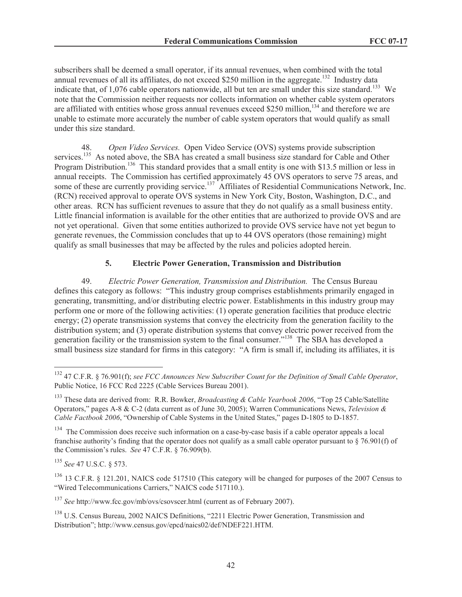subscribers shall be deemed a small operator, if its annual revenues, when combined with the total annual revenues of all its affiliates, do not exceed \$250 million in the aggregate.<sup>132</sup> Industry data indicate that, of 1,076 cable operators nationwide, all but ten are small under this size standard.<sup>133</sup> We note that the Commission neither requests nor collects information on whether cable system operators are affiliated with entities whose gross annual revenues exceed \$250 million,<sup>134</sup> and therefore we are unable to estimate more accurately the number of cable system operators that would qualify as small under this size standard.

48. *Open Video Services.* Open Video Service (OVS) systems provide subscription services.<sup>135</sup> As noted above, the SBA has created a small business size standard for Cable and Other Program Distribution.<sup>136</sup> This standard provides that a small entity is one with \$13.5 million or less in annual receipts. The Commission has certified approximately 45 OVS operators to serve 75 areas, and some of these are currently providing service.<sup>137</sup> Affiliates of Residential Communications Network, Inc. (RCN) received approval to operate OVS systems in New York City, Boston, Washington, D.C., and other areas. RCN has sufficient revenues to assure that they do not qualify as a small business entity. Little financial information is available for the other entities that are authorized to provide OVS and are not yet operational. Given that some entities authorized to provide OVS service have not yet begun to generate revenues, the Commission concludes that up to 44 OVS operators (those remaining) might qualify as small businesses that may be affected by the rules and policies adopted herein.

# **5. Electric Power Generation, Transmission and Distribution**

49. *Electric Power Generation, Transmission and Distribution.* The Census Bureau defines this category as follows: "This industry group comprises establishments primarily engaged in generating, transmitting, and/or distributing electric power. Establishments in this industry group may perform one or more of the following activities: (1) operate generation facilities that produce electric energy; (2) operate transmission systems that convey the electricity from the generation facility to the distribution system; and (3) operate distribution systems that convey electric power received from the generation facility or the transmission system to the final consumer."<sup>138</sup> The SBA has developed a small business size standard for firms in this category: "A firm is small if, including its affiliates, it is

<sup>132</sup> 47 C.F.R. § 76.901(f); *see FCC Announces New Subscriber Count for the Definition of Small Cable Operator*, Public Notice, 16 FCC Rcd 2225 (Cable Services Bureau 2001).

<sup>133</sup> These data are derived from: R.R. Bowker, *Broadcasting & Cable Yearbook 2006*, "Top 25 Cable/Satellite Operators," pages A-8 & C-2 (data current as of June 30, 2005); Warren Communications News, *Television & Cable Factbook 2006*, "Ownership of Cable Systems in the United States," pages D-1805 to D-1857.

<sup>&</sup>lt;sup>134</sup> The Commission does receive such information on a case-by-case basis if a cable operator appeals a local franchise authority's finding that the operator does not qualify as a small cable operator pursuant to  $\S$  76.901(f) of the Commission's rules. *See* 47 C.F.R. § 76.909(b).

<sup>135</sup> *See* 47 U.S.C. § 573.

<sup>&</sup>lt;sup>136</sup> 13 C.F.R. § 121.201, NAICS code 517510 (This category will be changed for purposes of the 2007 Census to "Wired Telecommunications Carriers," NAICS code 517110.).

<sup>137</sup> *See* http://www.fcc.gov/mb/ovs/csovscer.html (current as of February 2007).

<sup>&</sup>lt;sup>138</sup> U.S. Census Bureau, 2002 NAICS Definitions, "2211 Electric Power Generation, Transmission and Distribution"; http://www.census.gov/epcd/naics02/def/NDEF221.HTM.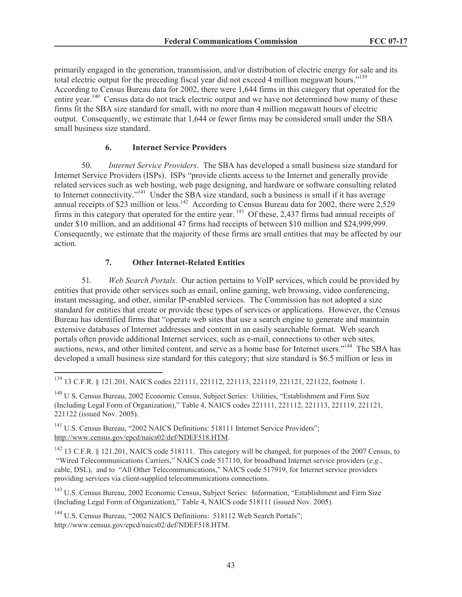primarily engaged in the generation, transmission, and/or distribution of electric energy for sale and its total electric output for the preceding fiscal year did not exceed 4 million megawatt hours."<sup>139</sup> According to Census Bureau data for 2002, there were 1,644 firms in this category that operated for the entire year.<sup>140</sup> Census data do not track electric output and we have not determined how many of these firms fit the SBA size standard for small, with no more than 4 million megawatt hours of electric output. Consequently, we estimate that 1,644 or fewer firms may be considered small under the SBA small business size standard.

#### **6. Internet Service Providers**

50. *Internet Service Providers*. The SBA has developed a small business size standard for Internet Service Providers (ISPs). ISPs "provide clients access to the Internet and generally provide related services such as web hosting, web page designing, and hardware or software consulting related to Internet connectivity."<sup>141</sup> Under the SBA size standard, such a business is small if it has average annual receipts of \$23 million or less.<sup>142</sup> According to Census Bureau data for 2002, there were  $2,529$ firms in this category that operated for the entire year. <sup>143</sup> Of these, 2,437 firms had annual receipts of under \$10 million, and an additional 47 firms had receipts of between \$10 million and \$24,999,999. Consequently, we estimate that the majority of these firms are small entities that may be affected by our action.

# **7. Other Internet-Related Entities**

51. *Web Search Portals*. Our action pertains to VoIP services, which could be provided by entities that provide other services such as email, online gaming, web browsing, video conferencing, instant messaging, and other, similar IP-enabled services. The Commission has not adopted a size standard for entities that create or provide these types of services or applications. However, the Census Bureau has identified firms that "operate web sites that use a search engine to generate and maintain extensive databases of Internet addresses and content in an easily searchable format. Web search portals often provide additional Internet services, such as e-mail, connections to other web sites, auctions, news, and other limited content, and serve as a home base for Internet users."<sup>144</sup> The SBA has developed a small business size standard for this category; that size standard is \$6.5 million or less in

<sup>139</sup> 13 C.F.R. § 121.201, NAICS codes 221111, 221112, 221113, 221119, 221121, 221122, footnote 1.

<sup>140</sup> U S. Census Bureau, 2002 Economic Census, Subject Series: Utilities, "Establishment and Firm Size (Including Legal Form of Organization)," Table 4, NAICS codes 221111, 221112, 221113, 221119, 221121, 221122 (issued Nov. 2005).

<sup>141</sup> U.S. Census Bureau, "2002 NAICS Definitions: 518111 Internet Service Providers"; http://www.census.gov/epcd/naics02/def/NDEF518.HTM.

<sup>142</sup> 13 C.F.R. § 121.201, NAICS code 518111. This category will be changed, for purposes of the 2007 Census, to "Wired Telecommunications Carriers," NAICS code 517110, for broadband Internet service providers (*e.g.*, cable, DSL), and to "All Other Telecommunications," NAICS code 517919, for Internet service providers providing services via client-supplied telecommunications connections.

<sup>143</sup> U.S. Census Bureau, 2002 Economic Census, Subject Series: Information, "Establishment and Firm Size (Including Legal Form of Organization)," Table 4, NAICS code 518111 (issued Nov. 2005).

<sup>144</sup> U.S. Census Bureau, "2002 NAICS Definitions: 518112 Web Search Portals"; http://www.census.gov/epcd/naics02/def/NDEF518.HTM.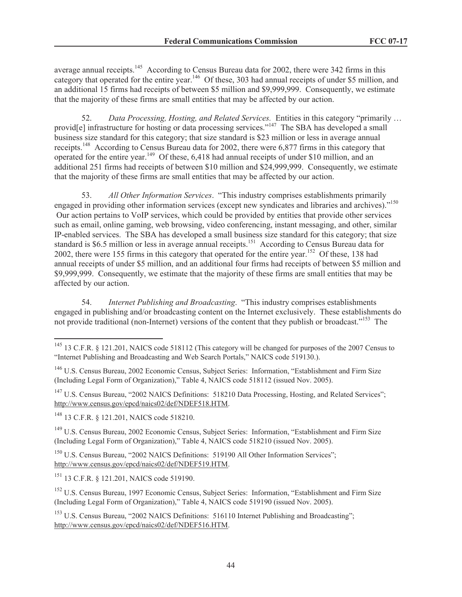average annual receipts.<sup>145</sup> According to Census Bureau data for 2002, there were 342 firms in this category that operated for the entire year.<sup>146</sup> Of these, 303 had annual receipts of under \$5 million, and an additional 15 firms had receipts of between \$5 million and \$9,999,999. Consequently, we estimate that the majority of these firms are small entities that may be affected by our action.

52. *Data Processing, Hosting, and Related Services.* Entities in this category "primarily … provid<sup>[e]</sup> infrastructure for hosting or data processing services."<sup>147</sup> The SBA has developed a small business size standard for this category; that size standard is \$23 million or less in average annual receipts.<sup>148</sup> According to Census Bureau data for 2002, there were 6,877 firms in this category that operated for the entire year.<sup>149</sup> Of these, 6,418 had annual receipts of under \$10 million, and an additional 251 firms had receipts of between \$10 million and \$24,999,999. Consequently, we estimate that the majority of these firms are small entities that may be affected by our action.

53. *All Other Information Services*. "This industry comprises establishments primarily engaged in providing other information services (except new syndicates and libraries and archives).<sup>"150</sup> Our action pertains to VoIP services, which could be provided by entities that provide other services such as email, online gaming, web browsing, video conferencing, instant messaging, and other, similar IP-enabled services. The SBA has developed a small business size standard for this category; that size standard is \$6.5 million or less in average annual receipts.<sup>151</sup> According to Census Bureau data for 2002, there were 155 firms in this category that operated for the entire year.<sup>152</sup> Of these, 138 had annual receipts of under \$5 million, and an additional four firms had receipts of between \$5 million and \$9,999,999. Consequently, we estimate that the majority of these firms are small entities that may be affected by our action.

54. *Internet Publishing and Broadcasting*. "This industry comprises establishments engaged in publishing and/or broadcasting content on the Internet exclusively. These establishments do not provide traditional (non-Internet) versions of the content that they publish or broadcast."<sup>153</sup> The

<sup>147</sup> U.S. Census Bureau, "2002 NAICS Definitions: 518210 Data Processing, Hosting, and Related Services"; http://www.census.gov/epcd/naics02/def/NDEF518.HTM.

<sup>148</sup> 13 C.F.R. § 121.201, NAICS code 518210.

<sup>149</sup> U.S. Census Bureau, 2002 Economic Census, Subject Series: Information, "Establishment and Firm Size (Including Legal Form of Organization)," Table 4, NAICS code 518210 (issued Nov. 2005).

<sup>150</sup> U.S. Census Bureau, "2002 NAICS Definitions: 519190 All Other Information Services"; http://www.census.gov/epcd/naics02/def/NDEF519.HTM.

<sup>151</sup> 13 C.F.R. § 121.201, NAICS code 519190.

<sup>152</sup> U.S. Census Bureau, 1997 Economic Census, Subject Series: Information, "Establishment and Firm Size (Including Legal Form of Organization)," Table 4, NAICS code 519190 (issued Nov. 2005).

<sup>153</sup> U.S. Census Bureau, "2002 NAICS Definitions: 516110 Internet Publishing and Broadcasting"; http://www.census.gov/epcd/naics02/def/NDEF516.HTM.

<sup>145</sup> 13 C.F.R. § 121.201, NAICS code 518112 (This category will be changed for purposes of the 2007 Census to "Internet Publishing and Broadcasting and Web Search Portals," NAICS code 519130.).

<sup>146</sup> U.S. Census Bureau, 2002 Economic Census, Subject Series: Information, "Establishment and Firm Size (Including Legal Form of Organization)," Table 4, NAICS code 518112 (issued Nov. 2005).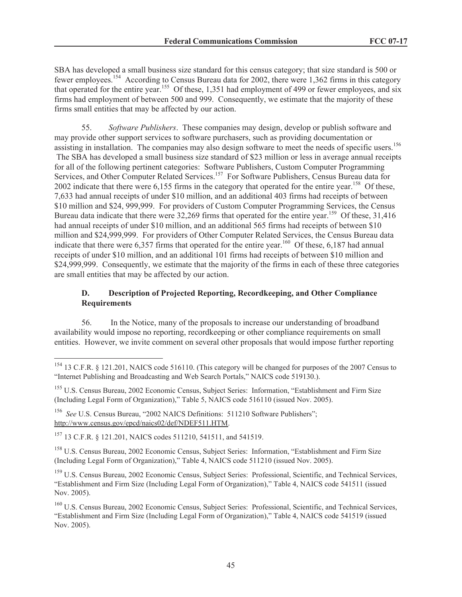SBA has developed a small business size standard for this census category; that size standard is 500 or fewer employees.<sup>154</sup> According to Census Bureau data for 2002, there were 1,362 firms in this category that operated for the entire year.<sup>155</sup> Of these, 1,351 had employment of 499 or fewer employees, and six firms had employment of between 500 and 999. Consequently, we estimate that the majority of these firms small entities that may be affected by our action.

55. *Software Publishers*. These companies may design, develop or publish software and may provide other support services to software purchasers, such as providing documentation or assisting in installation. The companies may also design software to meet the needs of specific users.<sup>156</sup> The SBA has developed a small business size standard of \$23 million or less in average annual receipts for all of the following pertinent categories: Software Publishers, Custom Computer Programming Services, and Other Computer Related Services.<sup>157</sup> For Software Publishers, Census Bureau data for 2002 indicate that there were 6,155 firms in the category that operated for the entire year.<sup>158</sup> Of these, 7,633 had annual receipts of under \$10 million, and an additional 403 firms had receipts of between \$10 million and \$24, 999,999. For providers of Custom Computer Programming Services, the Census Bureau data indicate that there were  $32,269$  firms that operated for the entire year.<sup>159</sup> Of these, 31,416 had annual receipts of under \$10 million, and an additional 565 firms had receipts of between \$10 million and \$24,999,999. For providers of Other Computer Related Services, the Census Bureau data indicate that there were  $6,357$  firms that operated for the entire year.<sup>160</sup> Of these,  $6,187$  had annual receipts of under \$10 million, and an additional 101 firms had receipts of between \$10 million and \$24,999,999. Consequently, we estimate that the majority of the firms in each of these three categories are small entities that may be affected by our action.

## **D. Description of Projected Reporting, Recordkeeping, and Other Compliance Requirements**

56. In the Notice, many of the proposals to increase our understanding of broadband availability would impose no reporting, recordkeeping or other compliance requirements on small entities. However, we invite comment on several other proposals that would impose further reporting

<sup>156</sup> See U.S. Census Bureau, "2002 NAICS Definitions: 511210 Software Publishers"; http://www.census.gov/epcd/naics02/def/NDEF511.HTM.

<sup>157</sup> 13 C.F.R. § 121.201, NAICS codes 511210, 541511, and 541519.

<sup>158</sup> U.S. Census Bureau, 2002 Economic Census, Subject Series: Information, "Establishment and Firm Size (Including Legal Form of Organization)," Table 4, NAICS code 511210 (issued Nov. 2005).

<sup>159</sup> U.S. Census Bureau, 2002 Economic Census, Subject Series: Professional, Scientific, and Technical Services, "Establishment and Firm Size (Including Legal Form of Organization)," Table 4, NAICS code 541511 (issued Nov. 2005).

<sup>160</sup> U.S. Census Bureau, 2002 Economic Census, Subject Series: Professional, Scientific, and Technical Services, "Establishment and Firm Size (Including Legal Form of Organization)," Table 4, NAICS code 541519 (issued Nov. 2005).

<sup>154</sup> 13 C.F.R. § 121.201, NAICS code 516110. (This category will be changed for purposes of the 2007 Census to "Internet Publishing and Broadcasting and Web Search Portals," NAICS code 519130.).

<sup>&</sup>lt;sup>155</sup> U.S. Census Bureau, 2002 Economic Census, Subject Series: Information, "Establishment and Firm Size (Including Legal Form of Organization)," Table 5, NAICS code 516110 (issued Nov. 2005).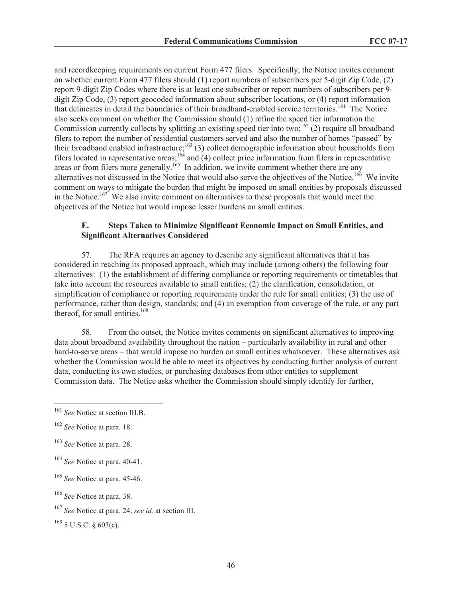and recordkeeping requirements on current Form 477 filers. Specifically, the Notice invites comment on whether current Form 477 filers should (1) report numbers of subscribers per 5-digit Zip Code, (2) report 9-digit Zip Codes where there is at least one subscriber or report numbers of subscribers per 9 digit Zip Code, (3) report geocoded information about subscriber locations, or (4) report information that delineates in detail the boundaries of their broadband-enabled service territories.<sup>161</sup> The Notice also seeks comment on whether the Commission should (1) refine the speed tier information the Commission currently collects by splitting an existing speed tier into two;<sup>162</sup> (2) require all broadband filers to report the number of residential customers served and also the number of homes "passed" by their broadband enabled infrastructure;<sup>163</sup> (3) collect demographic information about households from filers located in representative areas;<sup>164</sup> and (4) collect price information from filers in representative areas or from filers more generally.<sup>165</sup> In addition, we invite comment whether there are any alternatives not discussed in the Notice that would also serve the objectives of the Notice.<sup>166</sup> We invite comment on ways to mitigate the burden that might be imposed on small entities by proposals discussed in the Notice.<sup>167</sup> We also invite comment on alternatives to these proposals that would meet the objectives of the Notice but would impose lesser burdens on small entities.

## **E. Steps Taken to Minimize Significant Economic Impact on Small Entities, and Significant Alternatives Considered**

57. The RFA requires an agency to describe any significant alternatives that it has considered in reaching its proposed approach, which may include (among others) the following four alternatives: (1) the establishment of differing compliance or reporting requirements or timetables that take into account the resources available to small entities; (2) the clarification, consolidation, or simplification of compliance or reporting requirements under the rule for small entities; (3) the use of performance, rather than design, standards; and (4) an exemption from coverage of the rule, or any part thereof, for small entities.<sup>168</sup>

58. From the outset, the Notice invites comments on significant alternatives to improving data about broadband availability throughout the nation – particularly availability in rural and other hard-to-serve areas – that would impose no burden on small entities whatsoever. These alternatives ask whether the Commission would be able to meet its objectives by conducting further analysis of current data, conducting its own studies, or purchasing databases from other entities to supplement Commission data. The Notice asks whether the Commission should simply identify for further,

<sup>161</sup> *See* Notice at section III.B.

<sup>162</sup> *See* Notice at para. 18.

<sup>163</sup> *See* Notice at para. 28.

<sup>164</sup> *See* Notice at para. 40-41.

<sup>165</sup> *See* Notice at para. 45-46.

<sup>166</sup> *See* Notice at para. 38.

<sup>167</sup> *See* Notice at para. 24; *see id.* at section III.

 $^{168}$  5 U.S.C. § 603(c).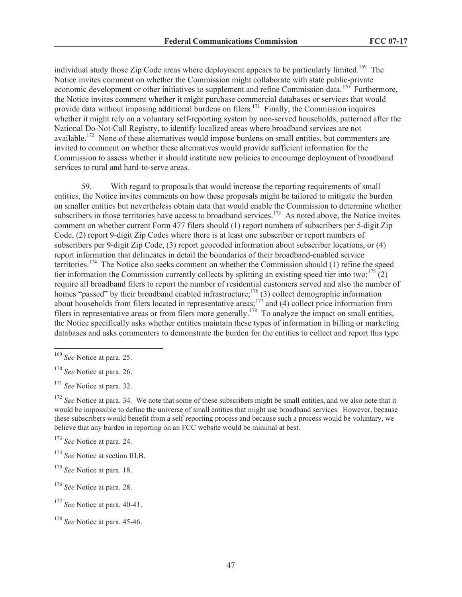individual study those Zip Code areas where deployment appears to be particularly limited.<sup>169</sup> The Notice invites comment on whether the Commission might collaborate with state public-private economic development or other initiatives to supplement and refine Commission data.<sup>170</sup> Furthermore, the Notice invites comment whether it might purchase commercial databases or services that would provide data without imposing additional burdens on filers.<sup>171</sup> Finally, the Commission inquires whether it might rely on a voluntary self-reporting system by non-served households, patterned after the National Do-Not-Call Registry, to identify localized areas where broadband services are not available.<sup>172</sup> None of these alternatives would impose burdens on small entities, but commenters are invited to comment on whether these alternatives would provide sufficient information for the Commission to assess whether it should institute new policies to encourage deployment of broadband services to rural and hard-to-serve areas.

59. With regard to proposals that would increase the reporting requirements of small entities, the Notice invites comments on how these proposals might be tailored to mitigate the burden on smaller entities but nevertheless obtain data that would enable the Commission to determine whether subscribers in those territories have access to broadband services.<sup>173</sup> As noted above, the Notice invites comment on whether current Form 477 filers should (1) report numbers of subscribers per 5-digit Zip Code, (2) report 9-digit Zip Codes where there is at least one subscriber or report numbers of subscribers per 9-digit Zip Code, (3) report geocoded information about subscriber locations, or (4) report information that delineates in detail the boundaries of their broadband-enabled service territories.<sup>174</sup> The Notice also seeks comment on whether the Commission should (1) refine the speed tier information the Commission currently collects by splitting an existing speed tier into two;<sup>175</sup> (2) require all broadband filers to report the number of residential customers served and also the number of homes "passed" by their broadband enabled infrastructure;<sup>176</sup> (3) collect demographic information about households from filers located in representative areas;<sup>177</sup> and (4) collect price information from filers in representative areas or from filers more generally.<sup>178</sup> To analyze the impact on small entities, the Notice specifically asks whether entities maintain these types of information in billing or marketing databases and asks commenters to demonstrate the burden for the entities to collect and report this type

- <sup>175</sup> *See* Notice at para. 18.
- <sup>176</sup> *See* Notice at para. 28.

<sup>169</sup> *See* Notice at para. 25.

<sup>170</sup> *See* Notice at para. 26.

<sup>171</sup> *See* Notice at para. 32.

<sup>&</sup>lt;sup>172</sup> *See* Notice at para. 34. We note that some of these subscribers might be small entities, and we also note that it would be impossible to define the universe of small entities that might use broadband services. However, because these subscribers would benefit from a self-reporting process and because such a process would be voluntary, we believe that any burden in reporting on an FCC website would be minimal at best.

<sup>173</sup> *See* Notice at para. 24.

<sup>174</sup> *See* Notice at section III.B.

<sup>177</sup> *See* Notice at para. 40-41.

<sup>178</sup> *See* Notice at para. 45-46.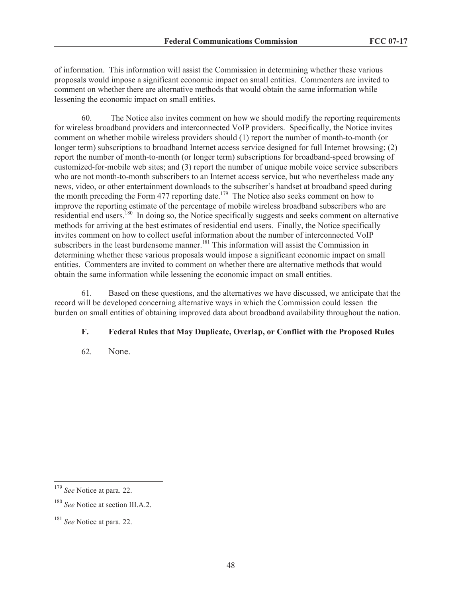of information. This information will assist the Commission in determining whether these various proposals would impose a significant economic impact on small entities. Commenters are invited to comment on whether there are alternative methods that would obtain the same information while lessening the economic impact on small entities.

60. The Notice also invites comment on how we should modify the reporting requirements for wireless broadband providers and interconnected VoIP providers. Specifically, the Notice invites comment on whether mobile wireless providers should (1) report the number of month-to-month (or longer term) subscriptions to broadband Internet access service designed for full Internet browsing; (2) report the number of month-to-month (or longer term) subscriptions for broadband-speed browsing of customized-for-mobile web sites; and (3) report the number of unique mobile voice service subscribers who are not month-to-month subscribers to an Internet access service, but who nevertheless made any news, video, or other entertainment downloads to the subscriber's handset at broadband speed during the month preceding the Form 477 reporting date.<sup>179</sup> The Notice also seeks comment on how to improve the reporting estimate of the percentage of mobile wireless broadband subscribers who are residential end users.<sup>180</sup> In doing so, the Notice specifically suggests and seeks comment on alternative methods for arriving at the best estimates of residential end users. Finally, the Notice specifically invites comment on how to collect useful information about the number of interconnected VoIP subscribers in the least burdensome manner.<sup>181</sup> This information will assist the Commission in determining whether these various proposals would impose a significant economic impact on small entities. Commenters are invited to comment on whether there are alternative methods that would obtain the same information while lessening the economic impact on small entities.

61. Based on these questions, and the alternatives we have discussed, we anticipate that the record will be developed concerning alternative ways in which the Commission could lessen the burden on small entities of obtaining improved data about broadband availability throughout the nation.

# **F. Federal Rules that May Duplicate, Overlap, or Conflict with the Proposed Rules**

62. None.

<sup>179</sup> *See* Notice at para. 22.

<sup>&</sup>lt;sup>180</sup> See Notice at section III.A.2.

<sup>181</sup> *See* Notice at para. 22.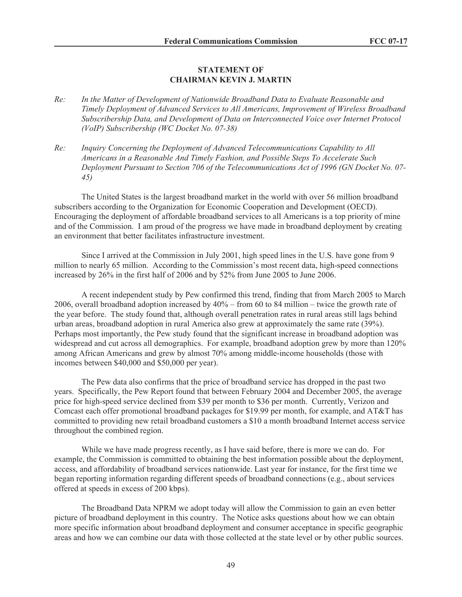#### **STATEMENT OF CHAIRMAN KEVIN J. MARTIN**

- *Re: In the Matter of Development of Nationwide Broadband Data to Evaluate Reasonable and Timely Deployment of Advanced Services to All Americans, Improvement of Wireless Broadband Subscribership Data, and Development of Data on Interconnected Voice over Internet Protocol (VoIP) Subscribership (WC Docket No. 07-38)*
- *Re: Inquiry Concerning the Deployment of Advanced Telecommunications Capability to All Americans in a Reasonable And Timely Fashion, and Possible Steps To Accelerate Such Deployment Pursuant to Section 706 of the Telecommunications Act of 1996 (GN Docket No. 07- 45)*

The United States is the largest broadband market in the world with over 56 million broadband subscribers according to the Organization for Economic Cooperation and Development (OECD). Encouraging the deployment of affordable broadband services to all Americans is a top priority of mine and of the Commission. I am proud of the progress we have made in broadband deployment by creating an environment that better facilitates infrastructure investment.

Since I arrived at the Commission in July 2001, high speed lines in the U.S. have gone from 9 million to nearly 65 million. According to the Commission's most recent data, high-speed connections increased by 26% in the first half of 2006 and by 52% from June 2005 to June 2006.

A recent independent study by Pew confirmed this trend, finding that from March 2005 to March 2006, overall broadband adoption increased by 40% – from 60 to 84 million – twice the growth rate of the year before. The study found that, although overall penetration rates in rural areas still lags behind urban areas, broadband adoption in rural America also grew at approximately the same rate (39%). Perhaps most importantly, the Pew study found that the significant increase in broadband adoption was widespread and cut across all demographics. For example, broadband adoption grew by more than 120% among African Americans and grew by almost 70% among middle-income households (those with incomes between \$40,000 and \$50,000 per year).

The Pew data also confirms that the price of broadband service has dropped in the past two years. Specifically, the Pew Report found that between February 2004 and December 2005, the average price for high-speed service declined from \$39 per month to \$36 per month. Currently, Verizon and Comcast each offer promotional broadband packages for \$19.99 per month, for example, and AT&T has committed to providing new retail broadband customers a \$10 a month broadband Internet access service throughout the combined region.

While we have made progress recently, as I have said before, there is more we can do. For example, the Commission is committed to obtaining the best information possible about the deployment, access, and affordability of broadband services nationwide. Last year for instance, for the first time we began reporting information regarding different speeds of broadband connections (e.g., about services offered at speeds in excess of 200 kbps).

The Broadband Data NPRM we adopt today will allow the Commission to gain an even better picture of broadband deployment in this country. The Notice asks questions about how we can obtain more specific information about broadband deployment and consumer acceptance in specific geographic areas and how we can combine our data with those collected at the state level or by other public sources.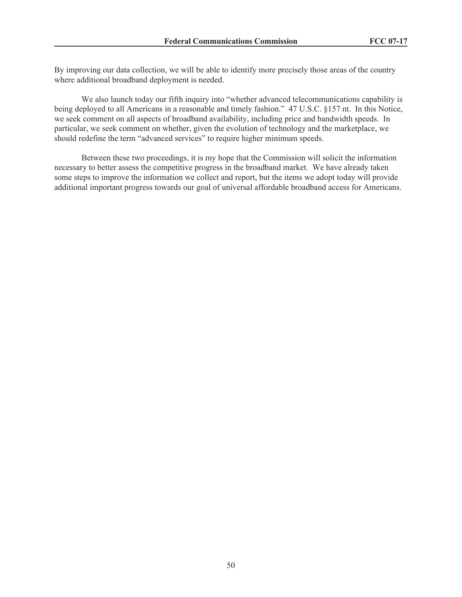By improving our data collection, we will be able to identify more precisely those areas of the country where additional broadband deployment is needed.

We also launch today our fifth inquiry into "whether advanced telecommunications capability is being deployed to all Americans in a reasonable and timely fashion." 47 U.S.C. §157 nt. In this Notice, we seek comment on all aspects of broadband availability, including price and bandwidth speeds. In particular, we seek comment on whether, given the evolution of technology and the marketplace, we should redefine the term "advanced services" to require higher minimum speeds.

Between these two proceedings, it is my hope that the Commission will solicit the information necessary to better assess the competitive progress in the broadband market. We have already taken some steps to improve the information we collect and report, but the items we adopt today will provide additional important progress towards our goal of universal affordable broadband access for Americans.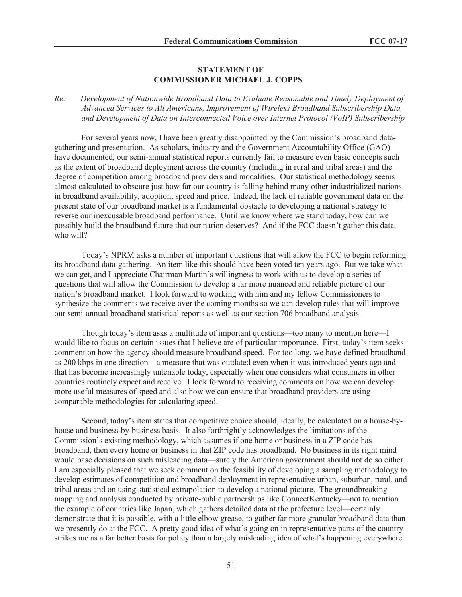#### **STATEMENT OF COMMISSIONER MICHAEL J. COPPS**

*Re: Development of Nationwide Broadband Data to Evaluate Reasonable and Timely Deployment of Advanced Services to All Americans, Improvement of Wireless Broadband Subscribership Data, and Development of Data on Interconnected Voice over Internet Protocol (VoIP) Subscribership*

For several years now, I have been greatly disappointed by the Commission's broadband datagathering and presentation. As scholars, industry and the Government Accountability Office (GAO) have documented, our semi-annual statistical reports currently fail to measure even basic concepts such as the extent of broadband deployment across the country (including in rural and tribal areas) and the degree of competition among broadband providers and modalities. Our statistical methodology seems almost calculated to obscure just how far our country is falling behind many other industrialized nations in broadband availability, adoption, speed and price. Indeed, the lack of reliable government data on the present state of our broadband market is a fundamental obstacle to developing a national strategy to reverse our inexcusable broadband performance. Until we know where we stand today, how can we possibly build the broadband future that our nation deserves? And if the FCC doesn't gather this data, who will?

Today's NPRM asks a number of important questions that will allow the FCC to begin reforming its broadband data-gathering. An item like this should have been voted ten years ago. But we take what we can get, and I appreciate Chairman Martin's willingness to work with us to develop a series of questions that will allow the Commission to develop a far more nuanced and reliable picture of our nation's broadband market. I look forward to working with him and my fellow Commissioners to synthesize the comments we receive over the coming months so we can develop rules that will improve our semi-annual broadband statistical reports as well as our section 706 broadband analysis.

Though today's item asks a multitude of important questions—too many to mention here—I would like to focus on certain issues that I believe are of particular importance. First, today's item seeks comment on how the agency should measure broadband speed. For too long, we have defined broadband as 200 kbps in one direction—a measure that was outdated even when it was introduced years ago and that has become increasingly untenable today, especially when one considers what consumers in other countries routinely expect and receive. I look forward to receiving comments on how we can develop more useful measures of speed and also how we can ensure that broadband providers are using comparable methodologies for calculating speed.

Second, today's item states that competitive choice should, ideally, be calculated on a house-byhouse and business-by-business basis. It also forthrightly acknowledges the limitations of the Commission's existing methodology, which assumes if one home or business in a ZIP code has broadband, then every home or business in that ZIP code has broadband. No business in its right mind would base decisions on such misleading data—surely the American government should not do so either. I am especially pleased that we seek comment on the feasibility of developing a sampling methodology to develop estimates of competition and broadband deployment in representative urban, suburban, rural, and tribal areas and on using statistical extrapolation to develop a national picture. The groundbreaking mapping and analysis conducted by private-public partnerships like ConnectKentucky—not to mention the example of countries like Japan, which gathers detailed data at the prefecture level—certainly demonstrate that it is possible, with a little elbow grease, to gather far more granular broadband data than we presently do at the FCC. A pretty good idea of what's going on in representative parts of the country strikes me as a far better basis for policy than a largely misleading idea of what's happening everywhere.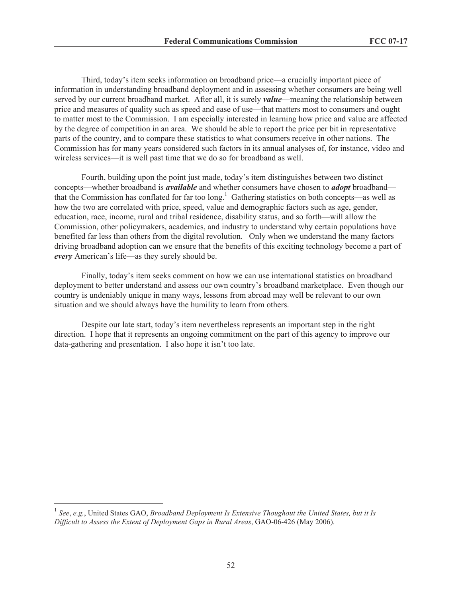Third, today's item seeks information on broadband price—a crucially important piece of information in understanding broadband deployment and in assessing whether consumers are being well served by our current broadband market. After all, it is surely *value*—meaning the relationship between price and measures of quality such as speed and ease of use—that matters most to consumers and ought to matter most to the Commission. I am especially interested in learning how price and value are affected by the degree of competition in an area. We should be able to report the price per bit in representative parts of the country, and to compare these statistics to what consumers receive in other nations. The Commission has for many years considered such factors in its annual analyses of, for instance, video and wireless services—it is well past time that we do so for broadband as well.

Fourth, building upon the point just made, today's item distinguishes between two distinct concepts—whether broadband is *available* and whether consumers have chosen to *adopt* broadband that the Commission has conflated for far too long.<sup>1</sup> Gathering statistics on both concepts—as well as how the two are correlated with price, speed, value and demographic factors such as age, gender, education, race, income, rural and tribal residence, disability status, and so forth—will allow the Commission, other policymakers, academics, and industry to understand why certain populations have benefited far less than others from the digital revolution. Only when we understand the many factors driving broadband adoption can we ensure that the benefits of this exciting technology become a part of *every* American's life—as they surely should be.

Finally, today's item seeks comment on how we can use international statistics on broadband deployment to better understand and assess our own country's broadband marketplace. Even though our country is undeniably unique in many ways, lessons from abroad may well be relevant to our own situation and we should always have the humility to learn from others.

Despite our late start, today's item nevertheless represents an important step in the right direction. I hope that it represents an ongoing commitment on the part of this agency to improve our data-gathering and presentation. I also hope it isn't too late.

<sup>&</sup>lt;sup>1</sup> See, e.g., United States GAO, *Broadband Deployment Is Extensive Thoughout the United States, but it Is Difficult to Assess the Extent of Deployment Gaps in Rural Areas*, GAO-06-426 (May 2006).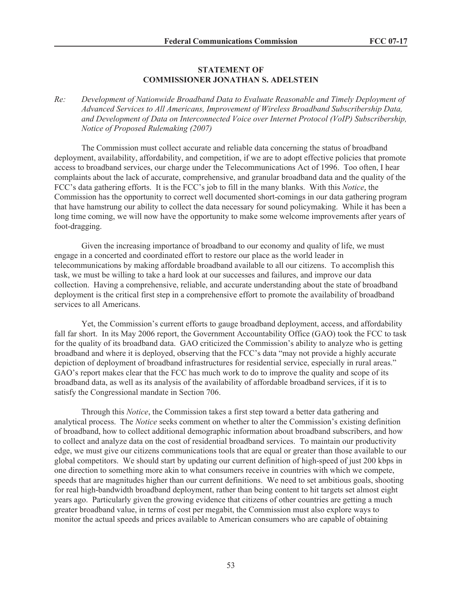#### **STATEMENT OF COMMISSIONER JONATHAN S. ADELSTEIN**

*Re: Development of Nationwide Broadband Data to Evaluate Reasonable and Timely Deployment of Advanced Services to All Americans, Improvement of Wireless Broadband Subscribership Data, and Development of Data on Interconnected Voice over Internet Protocol (VoIP) Subscribership, Notice of Proposed Rulemaking (2007)*

The Commission must collect accurate and reliable data concerning the status of broadband deployment, availability, affordability, and competition, if we are to adopt effective policies that promote access to broadband services, our charge under the Telecommunications Act of 1996. Too often, I hear complaints about the lack of accurate, comprehensive, and granular broadband data and the quality of the FCC's data gathering efforts. It is the FCC's job to fill in the many blanks. With this *Notice*, the Commission has the opportunity to correct well documented short-comings in our data gathering program that have hamstrung our ability to collect the data necessary for sound policymaking. While it has been a long time coming, we will now have the opportunity to make some welcome improvements after years of foot-dragging.

Given the increasing importance of broadband to our economy and quality of life, we must engage in a concerted and coordinated effort to restore our place as the world leader in telecommunications by making affordable broadband available to all our citizens. To accomplish this task, we must be willing to take a hard look at our successes and failures, and improve our data collection. Having a comprehensive, reliable, and accurate understanding about the state of broadband deployment is the critical first step in a comprehensive effort to promote the availability of broadband services to all Americans.

Yet, the Commission's current efforts to gauge broadband deployment, access, and affordability fall far short. In its May 2006 report, the Government Accountability Office (GAO) took the FCC to task for the quality of its broadband data. GAO criticized the Commission's ability to analyze who is getting broadband and where it is deployed, observing that the FCC's data "may not provide a highly accurate depiction of deployment of broadband infrastructures for residential service, especially in rural areas." GAO's report makes clear that the FCC has much work to do to improve the quality and scope of its broadband data, as well as its analysis of the availability of affordable broadband services, if it is to satisfy the Congressional mandate in Section 706.

Through this *Notice*, the Commission takes a first step toward a better data gathering and analytical process. The *Notice* seeks comment on whether to alter the Commission's existing definition of broadband, how to collect additional demographic information about broadband subscribers, and how to collect and analyze data on the cost of residential broadband services. To maintain our productivity edge, we must give our citizens communications tools that are equal or greater than those available to our global competitors. We should start by updating our current definition of high-speed of just 200 kbps in one direction to something more akin to what consumers receive in countries with which we compete, speeds that are magnitudes higher than our current definitions. We need to set ambitious goals, shooting for real high-bandwidth broadband deployment, rather than being content to hit targets set almost eight years ago. Particularly given the growing evidence that citizens of other countries are getting a much greater broadband value, in terms of cost per megabit, the Commission must also explore ways to monitor the actual speeds and prices available to American consumers who are capable of obtaining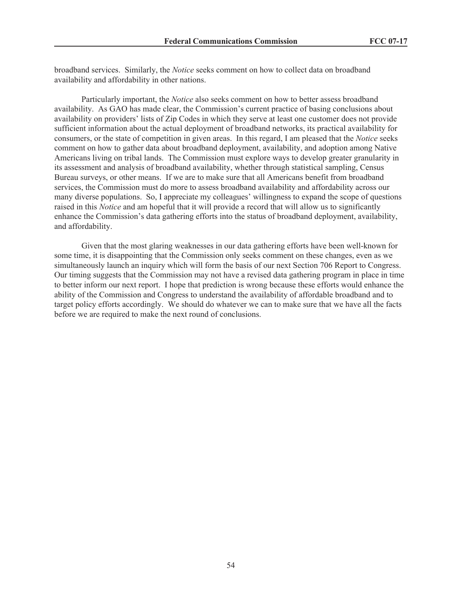broadband services. Similarly, the *Notice* seeks comment on how to collect data on broadband availability and affordability in other nations.

Particularly important, the *Notice* also seeks comment on how to better assess broadband availability. As GAO has made clear, the Commission's current practice of basing conclusions about availability on providers' lists of Zip Codes in which they serve at least one customer does not provide sufficient information about the actual deployment of broadband networks, its practical availability for consumers, or the state of competition in given areas. In this regard, I am pleased that the *Notice* seeks comment on how to gather data about broadband deployment, availability, and adoption among Native Americans living on tribal lands. The Commission must explore ways to develop greater granularity in its assessment and analysis of broadband availability, whether through statistical sampling, Census Bureau surveys, or other means. If we are to make sure that all Americans benefit from broadband services, the Commission must do more to assess broadband availability and affordability across our many diverse populations. So, I appreciate my colleagues' willingness to expand the scope of questions raised in this *Notice* and am hopeful that it will provide a record that will allow us to significantly enhance the Commission's data gathering efforts into the status of broadband deployment, availability, and affordability.

Given that the most glaring weaknesses in our data gathering efforts have been well-known for some time, it is disappointing that the Commission only seeks comment on these changes, even as we simultaneously launch an inquiry which will form the basis of our next Section 706 Report to Congress. Our timing suggests that the Commission may not have a revised data gathering program in place in time to better inform our next report. I hope that prediction is wrong because these efforts would enhance the ability of the Commission and Congress to understand the availability of affordable broadband and to target policy efforts accordingly. We should do whatever we can to make sure that we have all the facts before we are required to make the next round of conclusions.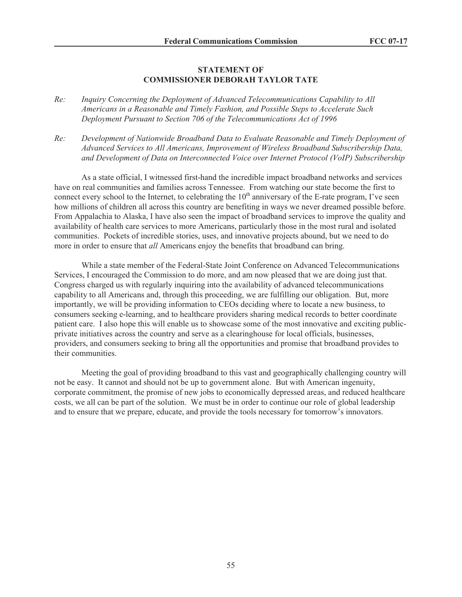#### **STATEMENT OF COMMISSIONER DEBORAH TAYLOR TATE**

- *Re: Inquiry Concerning the Deployment of Advanced Telecommunications Capability to All Americans in a Reasonable and Timely Fashion, and Possible Steps to Accelerate Such Deployment Pursuant to Section 706 of the Telecommunications Act of 1996*
- *Re: Development of Nationwide Broadband Data to Evaluate Reasonable and Timely Deployment of Advanced Services to All Americans, Improvement of Wireless Broadband Subscribership Data, and Development of Data on Interconnected Voice over Internet Protocol (VoIP) Subscribership*

As a state official, I witnessed first-hand the incredible impact broadband networks and services have on real communities and families across Tennessee. From watching our state become the first to connect every school to the Internet, to celebrating the  $10<sup>th</sup>$  anniversary of the E-rate program, I've seen how millions of children all across this country are benefiting in ways we never dreamed possible before. From Appalachia to Alaska, I have also seen the impact of broadband services to improve the quality and availability of health care services to more Americans, particularly those in the most rural and isolated communities. Pockets of incredible stories, uses, and innovative projects abound, but we need to do more in order to ensure that *all* Americans enjoy the benefits that broadband can bring.

While a state member of the Federal-State Joint Conference on Advanced Telecommunications Services, I encouraged the Commission to do more, and am now pleased that we are doing just that. Congress charged us with regularly inquiring into the availability of advanced telecommunications capability to all Americans and, through this proceeding, we are fulfilling our obligation. But, more importantly, we will be providing information to CEOs deciding where to locate a new business, to consumers seeking e-learning, and to healthcare providers sharing medical records to better coordinate patient care. I also hope this will enable us to showcase some of the most innovative and exciting publicprivate initiatives across the country and serve as a clearinghouse for local officials, businesses, providers, and consumers seeking to bring all the opportunities and promise that broadband provides to their communities.

Meeting the goal of providing broadband to this vast and geographically challenging country will not be easy. It cannot and should not be up to government alone. But with American ingenuity, corporate commitment, the promise of new jobs to economically depressed areas, and reduced healthcare costs, we all can be part of the solution. We must be in order to continue our role of global leadership and to ensure that we prepare, educate, and provide the tools necessary for tomorrow's innovators.